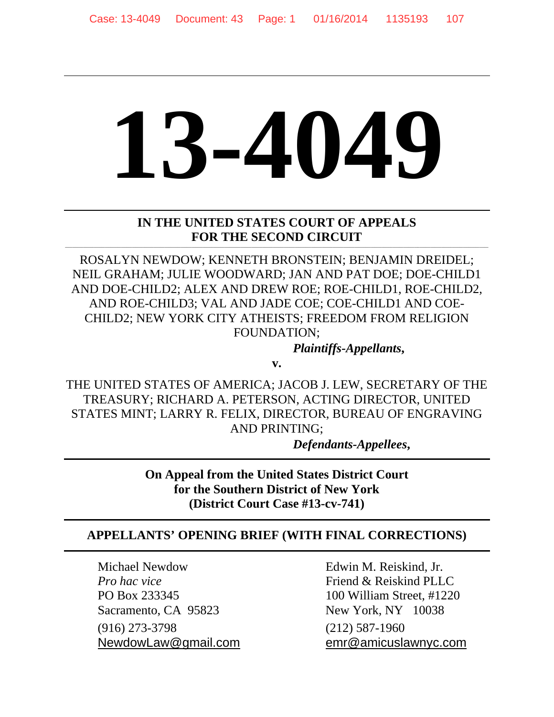# **13-4049**

### **IN THE UNITED STATES COURT OF APPEALS FOR THE SECOND CIRCUIT**

ROSALYN NEWDOW; KENNETH BRONSTEIN; BENJAMIN DREIDEL; NEIL GRAHAM; JULIE WOODWARD; JAN AND PAT DOE; DOE-CHILD1 AND DOE-CHILD2; ALEX AND DREW ROE; ROE-CHILD1, ROE-CHILD2, AND ROE-CHILD3; VAL AND JADE COE; COE-CHILD1 AND COE-CHILD2; NEW YORK CITY ATHEISTS; FREEDOM FROM RELIGION FOUNDATION;

*Plaintiffs-Appellants***,**

**v.** 

THE UNITED STATES OF AMERICA; JACOB J. LEW, SECRETARY OF THE TREASURY; RICHARD A. PETERSON, ACTING DIRECTOR, UNITED STATES MINT; LARRY R. FELIX, DIRECTOR, BUREAU OF ENGRAVING AND PRINTING;

*Defendants-Appellees***,** 

**On Appeal from the United States District Court for the Southern District of New York (District Court Case #13-cv-741)** 

## **APPELLANTS' OPENING BRIEF (WITH FINAL CORRECTIONS)**

Michael Newdow Edwin M. Reiskind, Jr. *Pro hac vice* Friend & Reiskind PLLC PO Box 233345 100 William Street, #1220 Sacramento, CA 95823 New York, NY 10038 (916) 273-3798 (212) 587-1960 NewdowLaw@gmail.com emr@amicuslawnyc.com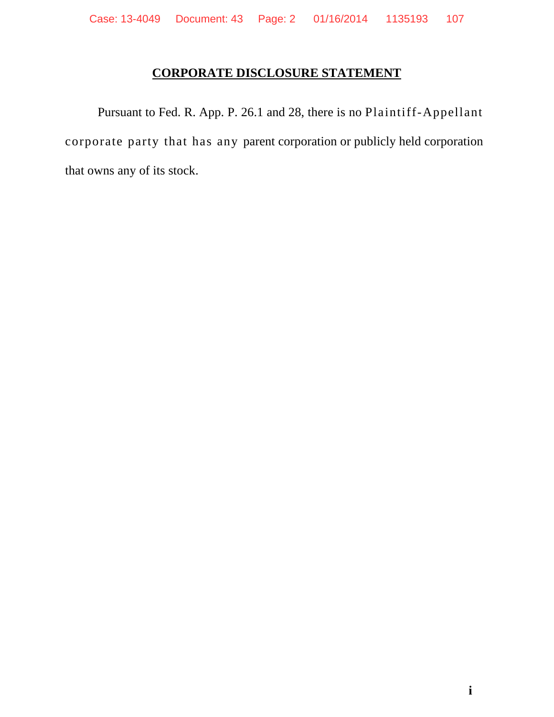# **CORPORATE DISCLOSURE STATEMENT**

Pursuant to Fed. R. App. P. 26.1 and 28, there is no Plaintiff-Appellant corporate party that has any parent corporation or publicly held corporation that owns any of its stock.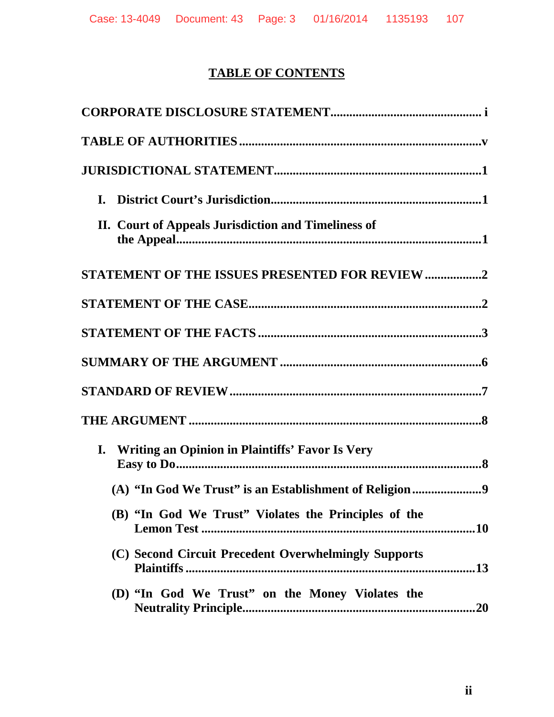# **TABLE OF CONTENTS**

| II. Court of Appeals Jurisdiction and Timeliness of                      |
|--------------------------------------------------------------------------|
| STATEMENT OF THE ISSUES PRESENTED FOR REVIEW 2                           |
|                                                                          |
|                                                                          |
|                                                                          |
|                                                                          |
|                                                                          |
| <b>Writing an Opinion in Plaintiffs' Favor Is Very</b><br>$\mathbf{I}$ . |
| (A) "In God We Trust" is an Establishment of Religion9                   |
| (B) "In God We Trust" Violates the Principles of the                     |
| (C) Second Circuit Precedent Overwhelmingly Supports                     |
| (D) "In God We Trust" on the Money Violates the                          |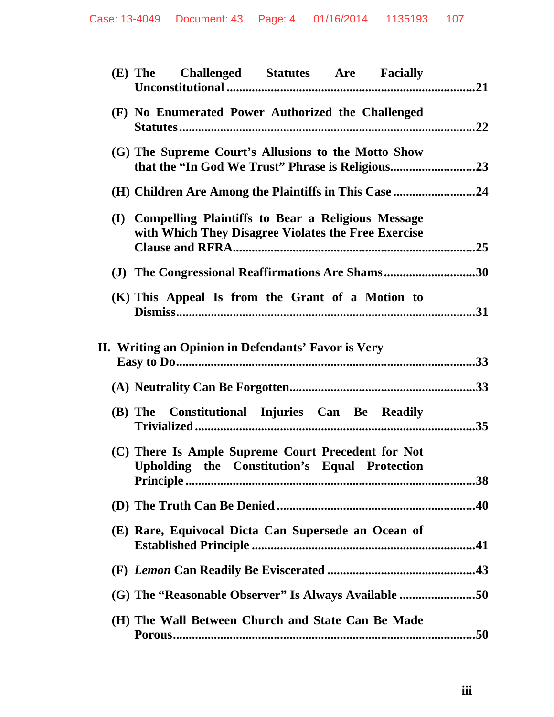| (E) The Challenged Statutes Are Facially                                                                     |  |
|--------------------------------------------------------------------------------------------------------------|--|
| (F) No Enumerated Power Authorized the Challenged                                                            |  |
| (G) The Supreme Court's Allusions to the Motto Show<br>that the "In God We Trust" Phrase is Religious23      |  |
| (H) Children Are Among the Plaintiffs in This Case 24                                                        |  |
| (I) Compelling Plaintiffs to Bear a Religious Message<br>with Which They Disagree Violates the Free Exercise |  |
| (J) The Congressional Reaffirmations Are Shams30                                                             |  |
| (K) This Appeal Is from the Grant of a Motion to                                                             |  |
| II. Writing an Opinion in Defendants' Favor is Very                                                          |  |
|                                                                                                              |  |
| (B) The Constitutional Injuries Can Be Readily                                                               |  |
| (C) There Is Ample Supreme Court Precedent for Not<br>Upholding the Constitution's Equal Protection          |  |
|                                                                                                              |  |
| (E) Rare, Equivocal Dicta Can Supersede an Ocean of                                                          |  |
|                                                                                                              |  |
| (G) The "Reasonable Observer" Is Always Available 50                                                         |  |
| (H) The Wall Between Church and State Can Be Made                                                            |  |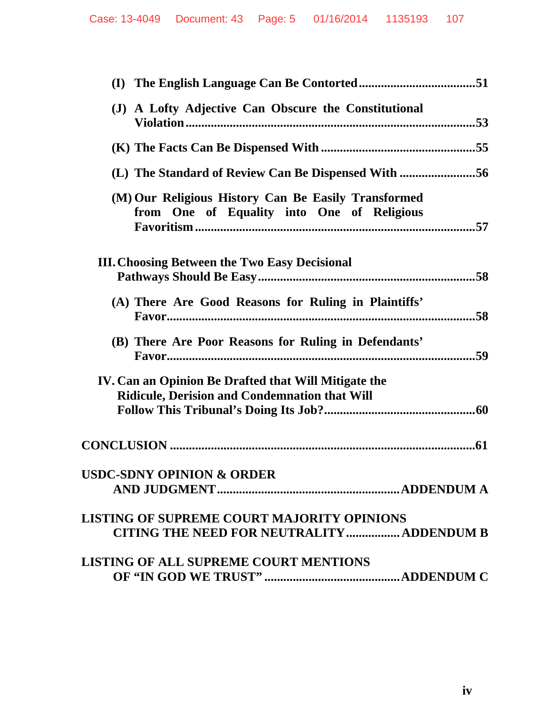| (J) A Lofty Adjective Can Obscure the Constitutional                                                   |
|--------------------------------------------------------------------------------------------------------|
|                                                                                                        |
| (L) The Standard of Review Can Be Dispensed With 56                                                    |
| (M) Our Religious History Can Be Easily Transformed<br>from One of Equality into One of Religious      |
| <b>III. Choosing Between the Two Easy Decisional</b>                                                   |
| (A) There Are Good Reasons for Ruling in Plaintiffs'                                                   |
| (B) There Are Poor Reasons for Ruling in Defendants'                                                   |
| IV. Can an Opinion Be Drafted that Will Mitigate the<br>Ridicule, Derision and Condemnation that Will  |
|                                                                                                        |
| <b>USDC-SDNY OPINION &amp; ORDER</b>                                                                   |
| <b>LISTING OF SUPREME COURT MAJORITY OPINIONS</b><br><b>CITING THE NEED FOR NEUTRALITY  ADDENDUM B</b> |
| <b>LISTING OF ALL SUPREME COURT MENTIONS</b>                                                           |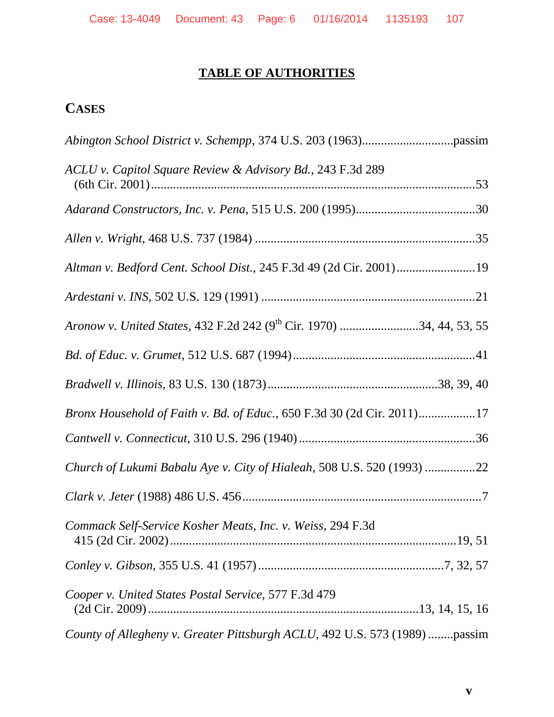# **TABLE OF AUTHORITIES**

# **CASES**

| ACLU v. Capitol Square Review & Advisory Bd., 243 F.3d 289                       |
|----------------------------------------------------------------------------------|
|                                                                                  |
|                                                                                  |
| Altman v. Bedford Cent. School Dist., 245 F.3d 49 (2d Cir. 2001)19               |
|                                                                                  |
| Aronow v. United States, 432 F.2d 242 (9 <sup>th</sup> Cir. 1970) 34, 44, 53, 55 |
|                                                                                  |
|                                                                                  |
| Bronx Household of Faith v. Bd. of Educ., 650 F.3d 30 (2d Cir. 2011)17           |
|                                                                                  |
| Church of Lukumi Babalu Aye v. City of Hialeah, 508 U.S. 520 (1993) 22           |
|                                                                                  |
| Commack Self-Service Kosher Meats, Inc. v. Weiss, 294 F.3d                       |
|                                                                                  |
| Cooper v. United States Postal Service, 577 F.3d 479                             |
| County of Allegheny v. Greater Pittsburgh ACLU, 492 U.S. 573 (1989) passim       |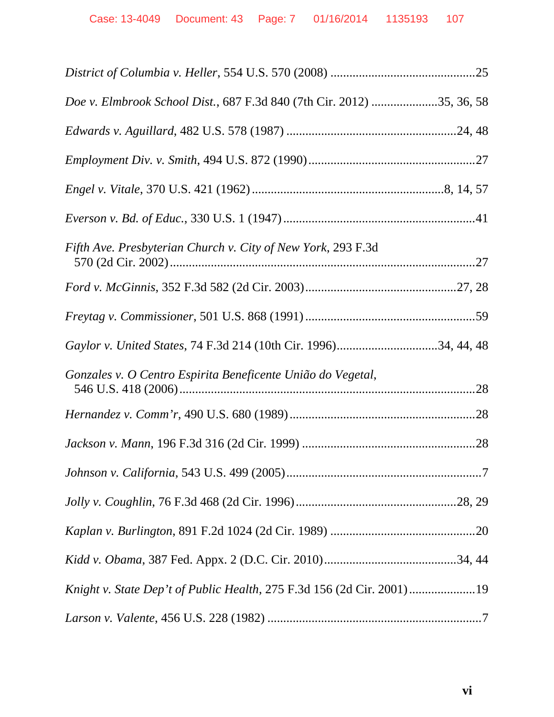| Doe v. Elmbrook School Dist., 687 F.3d 840 (7th Cir. 2012) 35, 36, 58 |
|-----------------------------------------------------------------------|
|                                                                       |
|                                                                       |
|                                                                       |
|                                                                       |
| Fifth Ave. Presbyterian Church v. City of New York, 293 F.3d          |
|                                                                       |
|                                                                       |
| Gaylor v. United States, 74 F.3d 214 (10th Cir. 1996)34, 44, 48       |
| Gonzales v. O Centro Espirita Beneficente União do Vegetal,           |
|                                                                       |
|                                                                       |
|                                                                       |
|                                                                       |
|                                                                       |
|                                                                       |
| Knight v. State Dep't of Public Health, 275 F.3d 156 (2d Cir. 2001)19 |
|                                                                       |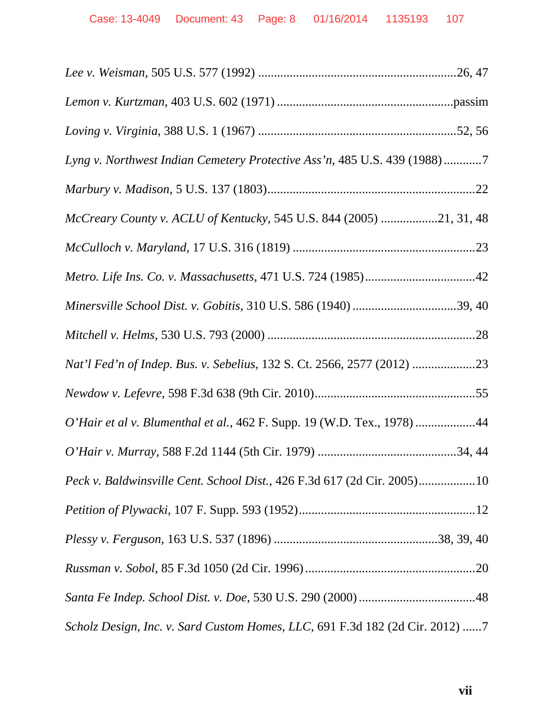| Lyng v. Northwest Indian Cemetery Protective Ass'n, 485 U.S. 439 (1988)7     |
|------------------------------------------------------------------------------|
|                                                                              |
| McCreary County v. ACLU of Kentucky, 545 U.S. 844 (2005) 21, 31, 48          |
|                                                                              |
|                                                                              |
| Minersville School Dist. v. Gobitis, 310 U.S. 586 (1940) 39, 40              |
|                                                                              |
| Nat'l Fed'n of Indep. Bus. v. Sebelius, 132 S. Ct. 2566, 2577 (2012) 23      |
|                                                                              |
| O'Hair et al v. Blumenthal et al., 462 F. Supp. 19 (W.D. Tex., 1978) 44      |
|                                                                              |
| Peck v. Baldwinsville Cent. School Dist., 426 F.3d 617 (2d Cir. 2005)10      |
|                                                                              |
|                                                                              |
|                                                                              |
|                                                                              |
| Scholz Design, Inc. v. Sard Custom Homes, LLC, 691 F.3d 182 (2d Cir. 2012) 7 |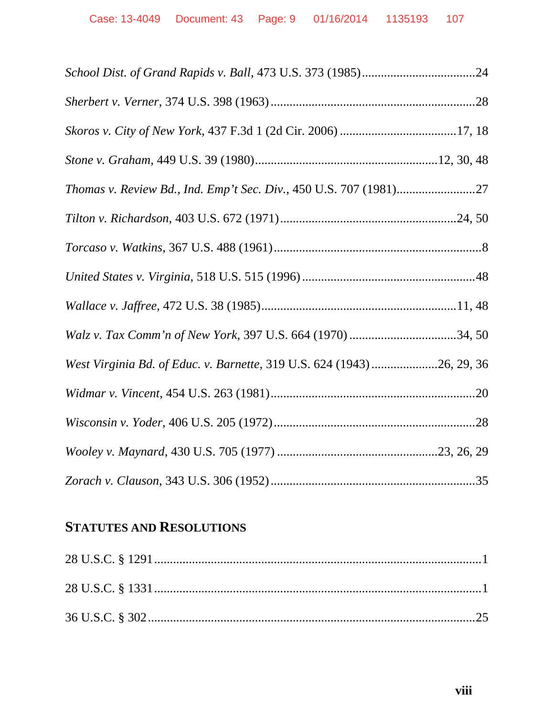| Walz v. Tax Comm'n of New York, 397 U.S. 664 (1970) 34, 50             |
|------------------------------------------------------------------------|
| West Virginia Bd. of Educ. v. Barnette, 319 U.S. 624 (1943) 26, 29, 36 |
|                                                                        |
|                                                                        |
|                                                                        |
|                                                                        |

# **STATUTES AND RESOLUTIONS**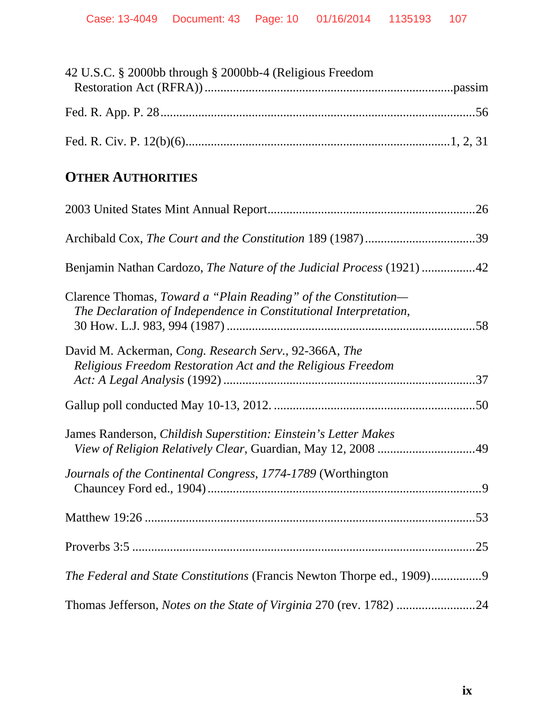| 42 U.S.C. § 2000bb through § 2000bb-4 (Religious Freedom |  |
|----------------------------------------------------------|--|
|                                                          |  |
|                                                          |  |
|                                                          |  |

# **OTHER AUTHORITIES**

| Benjamin Nathan Cardozo, The Nature of the Judicial Process (1921) 42                                                               |  |
|-------------------------------------------------------------------------------------------------------------------------------------|--|
| Clarence Thomas, Toward a "Plain Reading" of the Constitution—<br>The Declaration of Independence in Constitutional Interpretation, |  |
| David M. Ackerman, Cong. Research Serv., 92-366A, The<br>Religious Freedom Restoration Act and the Religious Freedom                |  |
|                                                                                                                                     |  |
| James Randerson, Childish Superstition: Einstein's Letter Makes<br>View of Religion Relatively Clear, Guardian, May 12, 2008 49     |  |
| Journals of the Continental Congress, 1774-1789 (Worthington                                                                        |  |
|                                                                                                                                     |  |
|                                                                                                                                     |  |
| The Federal and State Constitutions (Francis Newton Thorpe ed., 1909)                                                               |  |
| Thomas Jefferson, Notes on the State of Virginia 270 (rev. 1782) 24                                                                 |  |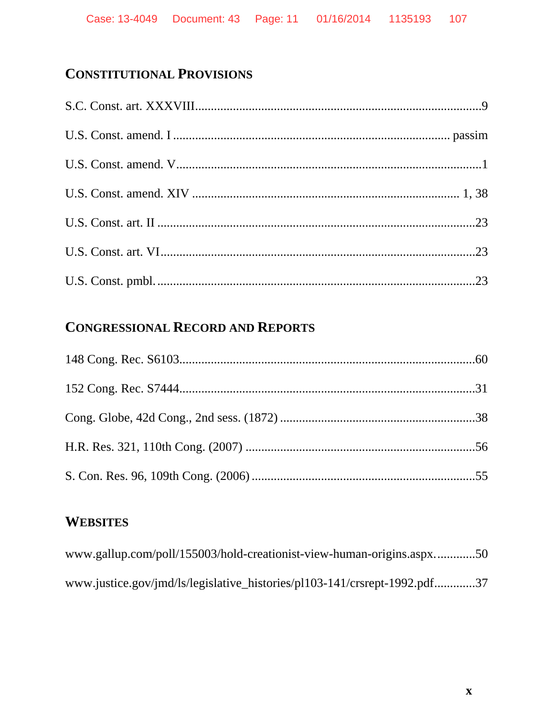# **CONSTITUTIONAL PROVISIONS**

# **CONGRESSIONAL RECORD AND REPORTS**

# **WEBSITES**

| www.gallup.com/poll/155003/hold-creationist-view-human-origins.aspx50     |
|---------------------------------------------------------------------------|
| www.justice.gov/jmd/ls/legislative_histories/pl103-141/crsrept-1992.pdf37 |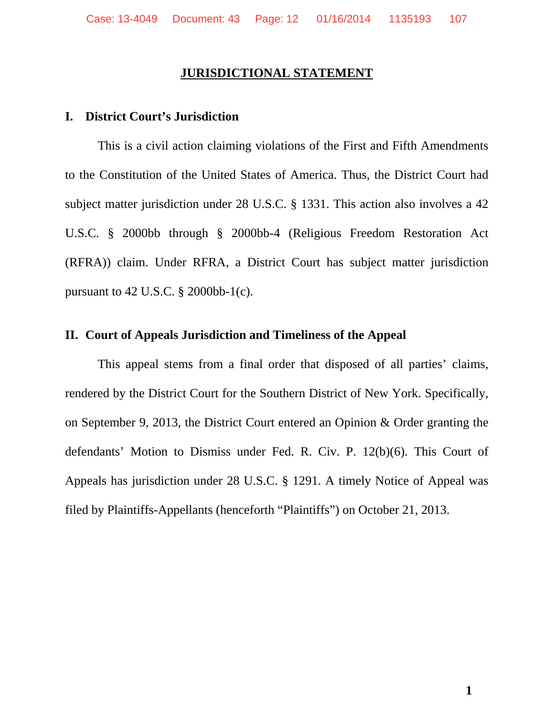#### **JURISDICTIONAL STATEMENT**

## **I. District Court's Jurisdiction**

This is a civil action claiming violations of the First and Fifth Amendments to the Constitution of the United States of America. Thus, the District Court had subject matter jurisdiction under 28 U.S.C. § 1331. This action also involves a 42 U.S.C. § 2000bb through § 2000bb-4 (Religious Freedom Restoration Act (RFRA)) claim. Under RFRA, a District Court has subject matter jurisdiction pursuant to 42 U.S.C.  $\S$  2000bb-1(c).

## **II. Court of Appeals Jurisdiction and Timeliness of the Appeal**

This appeal stems from a final order that disposed of all parties' claims, rendered by the District Court for the Southern District of New York. Specifically, on September 9, 2013, the District Court entered an Opinion & Order granting the defendants' Motion to Dismiss under Fed. R. Civ. P. 12(b)(6). This Court of Appeals has jurisdiction under 28 U.S.C. § 1291. A timely Notice of Appeal was filed by Plaintiffs-Appellants (henceforth "Plaintiffs") on October 21, 2013.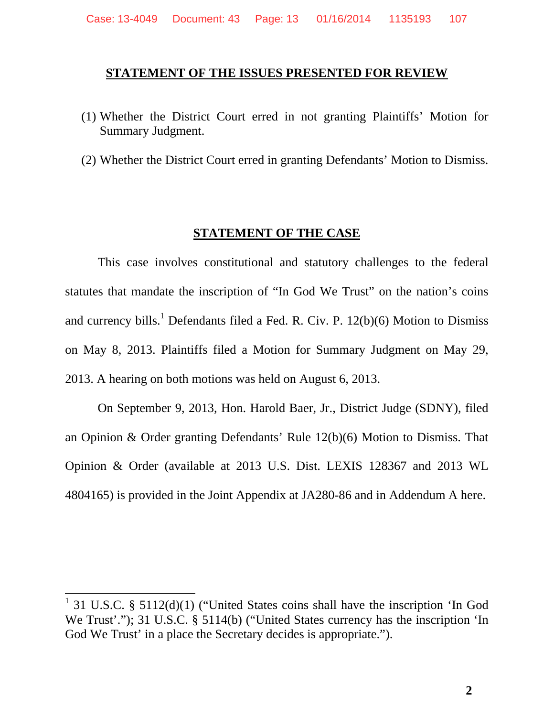#### **STATEMENT OF THE ISSUES PRESENTED FOR REVIEW**

- (1) Whether the District Court erred in not granting Plaintiffs' Motion for Summary Judgment.
- (2) Whether the District Court erred in granting Defendants' Motion to Dismiss.

#### **STATEMENT OF THE CASE**

This case involves constitutional and statutory challenges to the federal statutes that mandate the inscription of "In God We Trust" on the nation's coins and currency bills.<sup>1</sup> Defendants filed a Fed. R. Civ. P.  $12(b)(6)$  Motion to Dismiss on May 8, 2013. Plaintiffs filed a Motion for Summary Judgment on May 29, 2013. A hearing on both motions was held on August 6, 2013.

On September 9, 2013, Hon. Harold Baer, Jr., District Judge (SDNY), filed an Opinion & Order granting Defendants' Rule 12(b)(6) Motion to Dismiss. That Opinion & Order (available at 2013 U.S. Dist. LEXIS 128367 and 2013 WL 4804165) is provided in the Joint Appendix at JA280-86 and in Addendum A here.

 $\overline{a}$ 

<sup>&</sup>lt;sup>1</sup> 31 U.S.C. § 5112(d)(1) ("United States coins shall have the inscription 'In God We Trust'."); 31 U.S.C. § 5114(b) ("United States currency has the inscription 'In God We Trust' in a place the Secretary decides is appropriate.").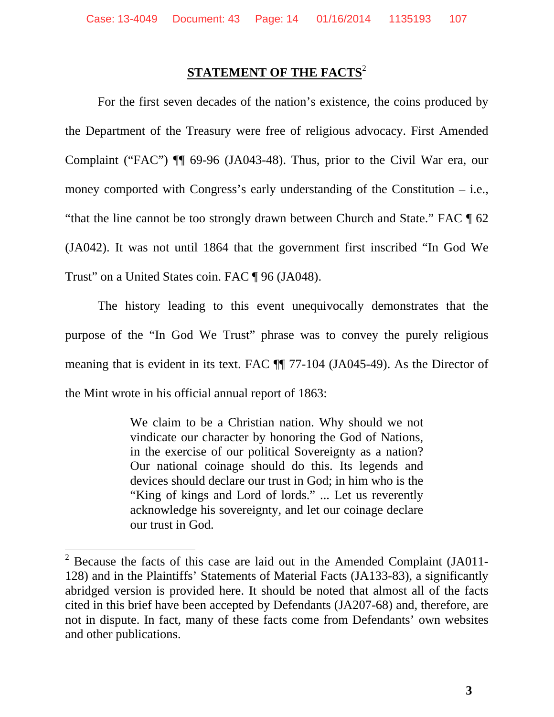## **STATEMENT OF THE FACTS**<sup>2</sup>

For the first seven decades of the nation's existence, the coins produced by the Department of the Treasury were free of religious advocacy. First Amended Complaint ("FAC") ¶¶ 69-96 (JA043-48). Thus, prior to the Civil War era, our money comported with Congress's early understanding of the Constitution – i.e., "that the line cannot be too strongly drawn between Church and State." FAC ¶ 62 (JA042). It was not until 1864 that the government first inscribed "In God We Trust" on a United States coin. FAC ¶ 96 (JA048).

The history leading to this event unequivocally demonstrates that the purpose of the "In God We Trust" phrase was to convey the purely religious meaning that is evident in its text. FAC ¶¶ 77-104 (JA045-49). As the Director of the Mint wrote in his official annual report of 1863:

> We claim to be a Christian nation. Why should we not vindicate our character by honoring the God of Nations, in the exercise of our political Sovereignty as a nation? Our national coinage should do this. Its legends and devices should declare our trust in God; in him who is the "King of kings and Lord of lords." ... Let us reverently acknowledge his sovereignty, and let our coinage declare our trust in God.

 $\overline{a}$ 

 $2$  Because the facts of this case are laid out in the Amended Complaint (JA011-128) and in the Plaintiffs' Statements of Material Facts (JA133-83), a significantly abridged version is provided here. It should be noted that almost all of the facts cited in this brief have been accepted by Defendants (JA207-68) and, therefore, are not in dispute. In fact, many of these facts come from Defendants' own websites and other publications.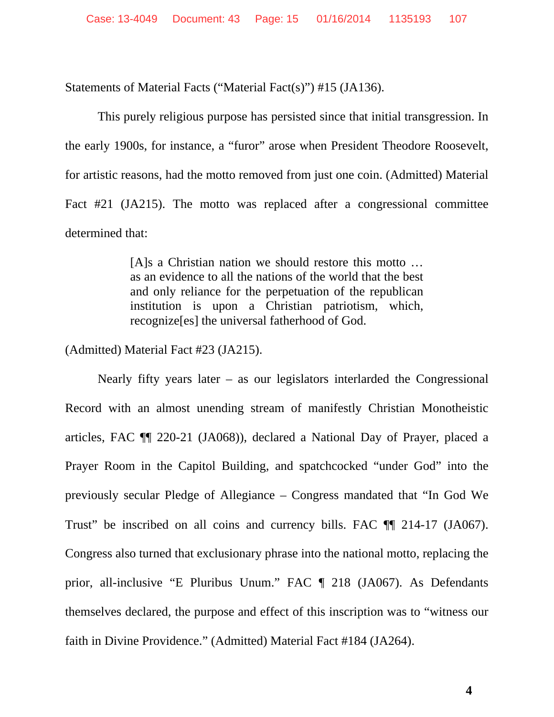Statements of Material Facts ("Material Fact(s)") #15 (JA136).

This purely religious purpose has persisted since that initial transgression. In the early 1900s, for instance, a "furor" arose when President Theodore Roosevelt, for artistic reasons, had the motto removed from just one coin. (Admitted) Material Fact #21 (JA215). The motto was replaced after a congressional committee determined that:

> [A]s a Christian nation we should restore this motto … as an evidence to all the nations of the world that the best and only reliance for the perpetuation of the republican institution is upon a Christian patriotism, which, recognize[es] the universal fatherhood of God.

(Admitted) Material Fact #23 (JA215).

Nearly fifty years later – as our legislators interlarded the Congressional Record with an almost unending stream of manifestly Christian Monotheistic articles, FAC ¶¶ 220-21 (JA068)), declared a National Day of Prayer, placed a Prayer Room in the Capitol Building, and spatchcocked "under God" into the previously secular Pledge of Allegiance – Congress mandated that "In God We Trust" be inscribed on all coins and currency bills. FAC ¶¶ 214-17 (JA067). Congress also turned that exclusionary phrase into the national motto, replacing the prior, all-inclusive "E Pluribus Unum." FAC ¶ 218 (JA067). As Defendants themselves declared, the purpose and effect of this inscription was to "witness our faith in Divine Providence." (Admitted) Material Fact #184 (JA264).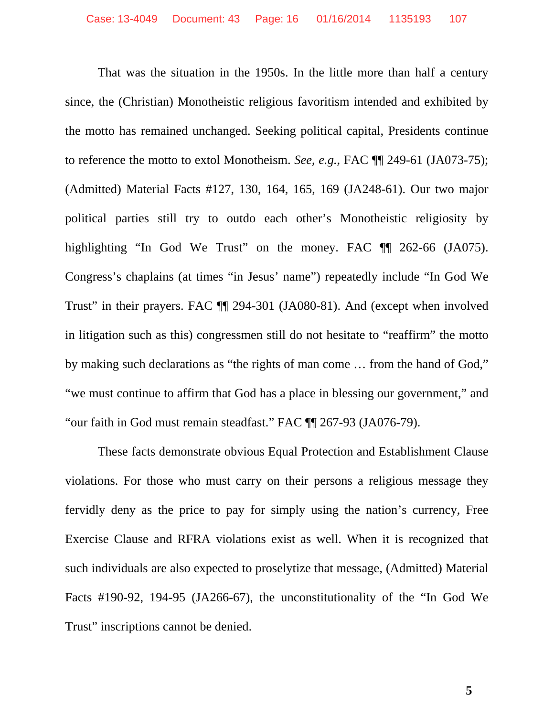That was the situation in the 1950s. In the little more than half a century since, the (Christian) Monotheistic religious favoritism intended and exhibited by the motto has remained unchanged. Seeking political capital, Presidents continue to reference the motto to extol Monotheism. *See*, *e.g.*, FAC ¶¶ 249-61 (JA073-75); (Admitted) Material Facts #127, 130, 164, 165, 169 (JA248-61). Our two major political parties still try to outdo each other's Monotheistic religiosity by highlighting "In God We Trust" on the money. FAC ¶¶ 262-66 (JA075). Congress's chaplains (at times "in Jesus' name") repeatedly include "In God We Trust" in their prayers. FAC ¶¶ 294-301 (JA080-81). And (except when involved in litigation such as this) congressmen still do not hesitate to "reaffirm" the motto by making such declarations as "the rights of man come … from the hand of God," "we must continue to affirm that God has a place in blessing our government," and "our faith in God must remain steadfast." FAC ¶¶ 267-93 (JA076-79).

These facts demonstrate obvious Equal Protection and Establishment Clause violations. For those who must carry on their persons a religious message they fervidly deny as the price to pay for simply using the nation's currency, Free Exercise Clause and RFRA violations exist as well. When it is recognized that such individuals are also expected to proselytize that message, (Admitted) Material Facts #190-92, 194-95 (JA266-67), the unconstitutionality of the "In God We Trust" inscriptions cannot be denied.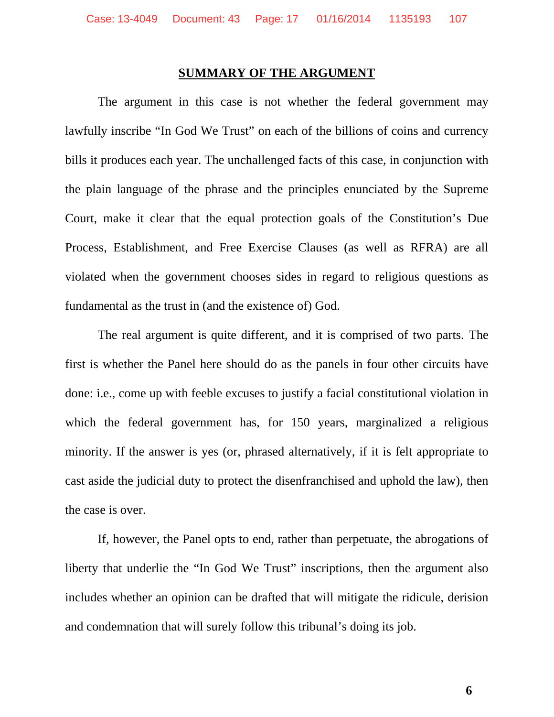#### **SUMMARY OF THE ARGUMENT**

The argument in this case is not whether the federal government may lawfully inscribe "In God We Trust" on each of the billions of coins and currency bills it produces each year. The unchallenged facts of this case, in conjunction with the plain language of the phrase and the principles enunciated by the Supreme Court, make it clear that the equal protection goals of the Constitution's Due Process, Establishment, and Free Exercise Clauses (as well as RFRA) are all violated when the government chooses sides in regard to religious questions as fundamental as the trust in (and the existence of) God.

The real argument is quite different, and it is comprised of two parts. The first is whether the Panel here should do as the panels in four other circuits have done: i.e., come up with feeble excuses to justify a facial constitutional violation in which the federal government has, for 150 years, marginalized a religious minority. If the answer is yes (or, phrased alternatively, if it is felt appropriate to cast aside the judicial duty to protect the disenfranchised and uphold the law), then the case is over.

If, however, the Panel opts to end, rather than perpetuate, the abrogations of liberty that underlie the "In God We Trust" inscriptions, then the argument also includes whether an opinion can be drafted that will mitigate the ridicule, derision and condemnation that will surely follow this tribunal's doing its job.

**6 6**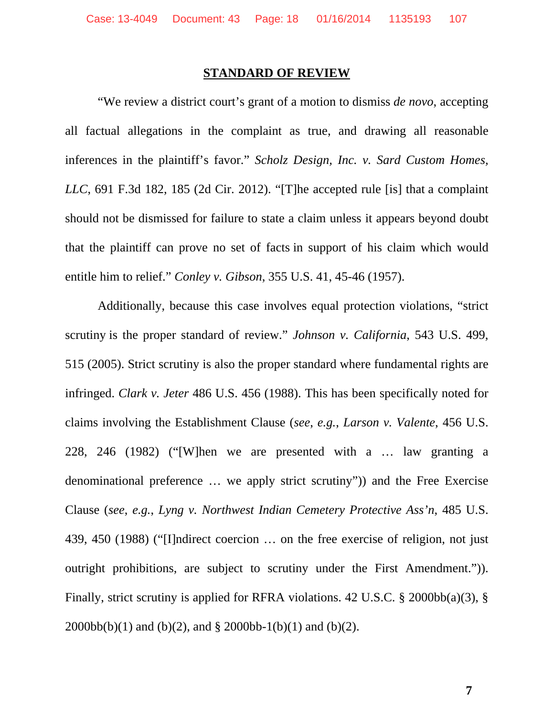#### **STANDARD OF REVIEW**

"We review a district court's grant of a motion to dismiss *de novo*, accepting all factual allegations in the complaint as true, and drawing all reasonable inferences in the plaintiff's favor." *Scholz Design, Inc. v. Sard Custom Homes, LLC*, 691 F.3d 182, 185 (2d Cir. 2012). "[T]he accepted rule [is] that a complaint should not be dismissed for failure to state a claim unless it appears beyond doubt that the plaintiff can prove no set of facts in support of his claim which would entitle him to relief." *Conley v. Gibson*, 355 U.S. 41, 45-46 (1957).

Additionally, because this case involves equal protection violations, "strict scrutiny is the proper standard of review." *Johnson v. California*, 543 U.S. 499, 515 (2005). Strict scrutiny is also the proper standard where fundamental rights are infringed. *Clark v. Jeter* 486 U.S. 456 (1988). This has been specifically noted for claims involving the Establishment Clause (*see*, *e.g.*, *Larson v. Valente*, 456 U.S. 228, 246 (1982) ("[W]hen we are presented with a … law granting a denominational preference … we apply strict scrutiny")) and the Free Exercise Clause (*see*, *e.g.*, *Lyng v. Northwest Indian Cemetery Protective Ass'n*, 485 U.S. 439, 450 (1988) ("[I]ndirect coercion … on the free exercise of religion, not just outright prohibitions, are subject to scrutiny under the First Amendment.")). Finally, strict scrutiny is applied for RFRA violations. 42 U.S.C. § 2000bb(a)(3), §  $2000bb(b)(1)$  and (b)(2), and § 2000bb-1(b)(1) and (b)(2).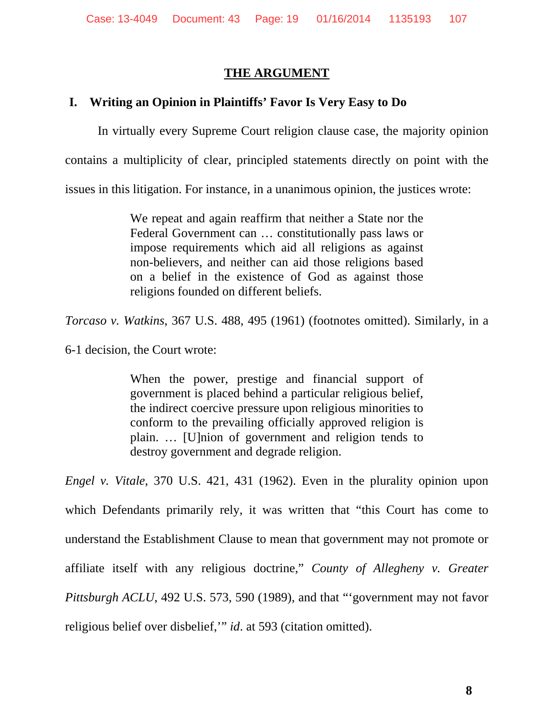## **THE ARGUMENT**

#### **I. Writing an Opinion in Plaintiffs' Favor Is Very Easy to Do**

In virtually every Supreme Court religion clause case, the majority opinion contains a multiplicity of clear, principled statements directly on point with the issues in this litigation. For instance, in a unanimous opinion, the justices wrote:

> We repeat and again reaffirm that neither a State nor the Federal Government can … constitutionally pass laws or impose requirements which aid all religions as against non-believers, and neither can aid those religions based on a belief in the existence of God as against those religions founded on different beliefs.

*Torcaso v. Watkins*, 367 U.S. 488, 495 (1961) (footnotes omitted). Similarly, in a

6-1 decision, the Court wrote:

When the power, prestige and financial support of government is placed behind a particular religious belief, the indirect coercive pressure upon religious minorities to conform to the prevailing officially approved religion is plain. … [U]nion of government and religion tends to destroy government and degrade religion.

*Engel v. Vitale*, 370 U.S. 421, 431 (1962). Even in the plurality opinion upon which Defendants primarily rely, it was written that "this Court has come to understand the Establishment Clause to mean that government may not promote or affiliate itself with any religious doctrine," *County of Allegheny v. Greater Pittsburgh ACLU*, 492 U.S. 573, 590 (1989), and that "'government may not favor religious belief over disbelief,'" *id*. at 593 (citation omitted).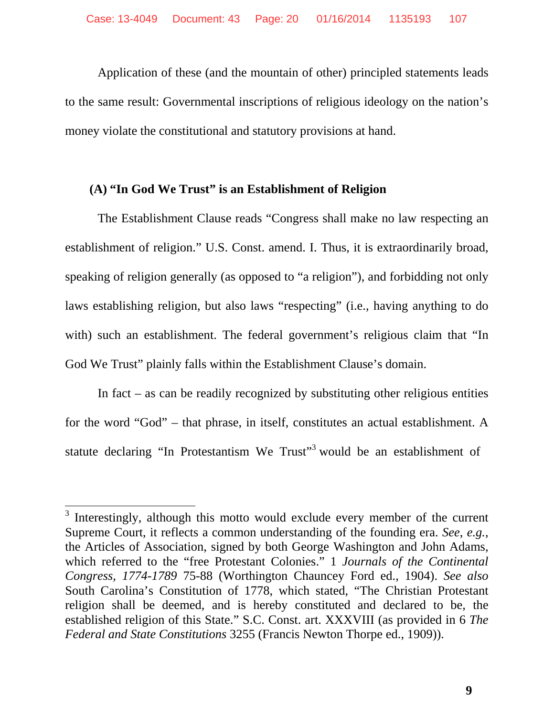Application of these (and the mountain of other) principled statements leads to the same result: Governmental inscriptions of religious ideology on the nation's money violate the constitutional and statutory provisions at hand.

#### **(A) "In God We Trust" is an Establishment of Religion**

The Establishment Clause reads "Congress shall make no law respecting an establishment of religion." U.S. Const. amend. I. Thus, it is extraordinarily broad, speaking of religion generally (as opposed to "a religion"), and forbidding not only laws establishing religion, but also laws "respecting" (i.e., having anything to do with) such an establishment. The federal government's religious claim that "In God We Trust" plainly falls within the Establishment Clause's domain.

In fact  $-$  as can be readily recognized by substituting other religious entities for the word "God" – that phrase, in itself, constitutes an actual establishment. A statute declaring "In Protestantism We Trust"<sup>3</sup> would be an establishment of

 $\overline{a}$ 

<sup>&</sup>lt;sup>3</sup> Interestingly, although this motto would exclude every member of the current Supreme Court, it reflects a common understanding of the founding era. *See*, *e.g.*, the Articles of Association, signed by both George Washington and John Adams, which referred to the "free Protestant Colonies." 1 *Journals of the Continental Congress, 1774-1789* 75-88 (Worthington Chauncey Ford ed., 1904). *See also* South Carolina's Constitution of 1778, which stated, "The Christian Protestant religion shall be deemed, and is hereby constituted and declared to be, the established religion of this State." S.C. Const. art. XXXVIII (as provided in 6 *The Federal and State Constitutions* 3255 (Francis Newton Thorpe ed., 1909)).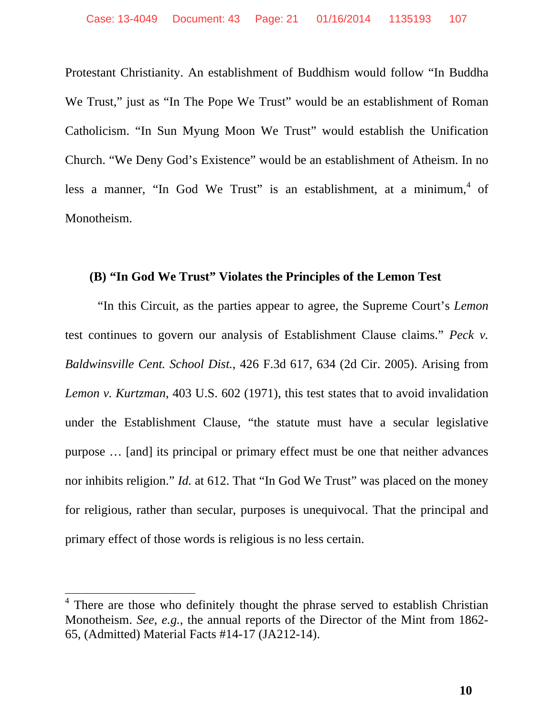Protestant Christianity. An establishment of Buddhism would follow "In Buddha We Trust," just as "In The Pope We Trust" would be an establishment of Roman Catholicism. "In Sun Myung Moon We Trust" would establish the Unification Church. "We Deny God's Existence" would be an establishment of Atheism. In no less a manner, "In God We Trust" is an establishment, at a minimum,  $4\sigma$ Monotheism.

#### **(B) "In God We Trust" Violates the Principles of the Lemon Test**

"In this Circuit, as the parties appear to agree, the Supreme Court's *Lemon* test continues to govern our analysis of Establishment Clause claims." *Peck v. Baldwinsville Cent. School Dist.*, 426 F.3d 617, 634 (2d Cir. 2005). Arising from *Lemon v. Kurtzman*, 403 U.S. 602 (1971), this test states that to avoid invalidation under the Establishment Clause, "the statute must have a secular legislative purpose … [and] its principal or primary effect must be one that neither advances nor inhibits religion." *Id.* at 612. That "In God We Trust" was placed on the money for religious, rather than secular, purposes is unequivocal. That the principal and primary effect of those words is religious is no less certain.

 $\overline{a}$ 

<sup>&</sup>lt;sup>4</sup> There are those who definitely thought the phrase served to establish Christian Monotheism. *See*, *e.g.*, the annual reports of the Director of the Mint from 1862- 65, (Admitted) Material Facts #14-17 (JA212-14).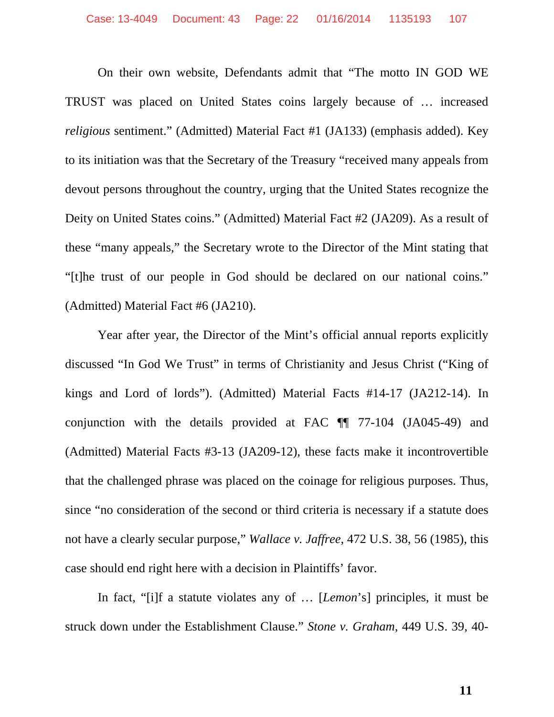On their own website, Defendants admit that "The motto IN GOD WE TRUST was placed on United States coins largely because of … increased *religious* sentiment." (Admitted) Material Fact #1 (JA133) (emphasis added). Key to its initiation was that the Secretary of the Treasury "received many appeals from devout persons throughout the country, urging that the United States recognize the Deity on United States coins." (Admitted) Material Fact #2 (JA209). As a result of these "many appeals," the Secretary wrote to the Director of the Mint stating that "[t]he trust of our people in God should be declared on our national coins." (Admitted) Material Fact #6 (JA210).

Year after year, the Director of the Mint's official annual reports explicitly discussed "In God We Trust" in terms of Christianity and Jesus Christ ("King of kings and Lord of lords"). (Admitted) Material Facts #14-17 (JA212-14). In conjunction with the details provided at FAC ¶¶ 77-104 (JA045-49) and (Admitted) Material Facts #3-13 (JA209-12), these facts make it incontrovertible that the challenged phrase was placed on the coinage for religious purposes. Thus, since "no consideration of the second or third criteria is necessary if a statute does not have a clearly secular purpose," *Wallace v. Jaffree*, 472 U.S. 38, 56 (1985), this case should end right here with a decision in Plaintiffs' favor.

In fact, "[i]f a statute violates any of … [*Lemon*'s] principles, it must be struck down under the Establishment Clause." *Stone v. Graham*, 449 U.S. 39, 40-

**11 11**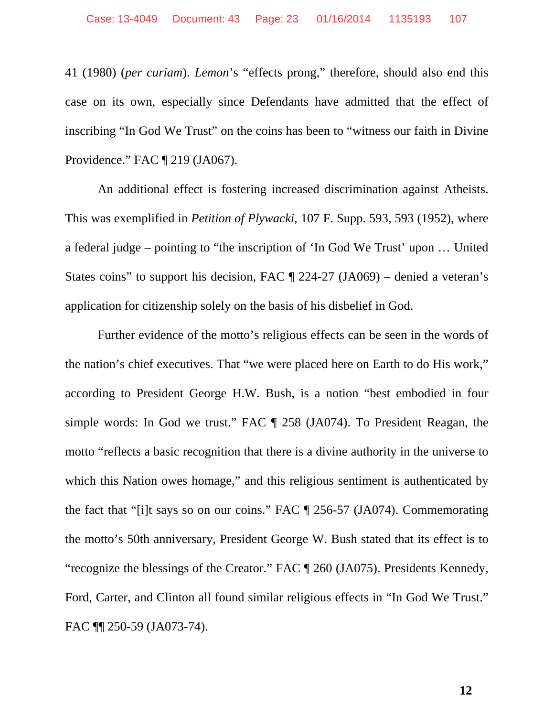41 (1980) (*per curiam*). *Lemon*'s "effects prong," therefore, should also end this case on its own, especially since Defendants have admitted that the effect of inscribing "In God We Trust" on the coins has been to "witness our faith in Divine Providence." FAC ¶ 219 (JA067).

An additional effect is fostering increased discrimination against Atheists. This was exemplified in *Petition of Plywacki,* 107 F. Supp. 593, 593 (1952), where a federal judge – pointing to "the inscription of 'In God We Trust' upon … United States coins" to support his decision, FAC  $\P$  224-27 (JA069) – denied a veteran's application for citizenship solely on the basis of his disbelief in God.

Further evidence of the motto's religious effects can be seen in the words of the nation's chief executives. That "we were placed here on Earth to do His work," according to President George H.W. Bush, is a notion "best embodied in four simple words: In God we trust." FAC ¶ 258 (JA074). To President Reagan, the motto "reflects a basic recognition that there is a divine authority in the universe to which this Nation owes homage," and this religious sentiment is authenticated by the fact that "[i]t says so on our coins." FAC ¶ 256-57 (JA074). Commemorating the motto's 50th anniversary, President George W. Bush stated that its effect is to "recognize the blessings of the Creator." FAC ¶ 260 (JA075). Presidents Kennedy, Ford, Carter, and Clinton all found similar religious effects in "In God We Trust." FAC ¶¶ 250-59 (JA073-74).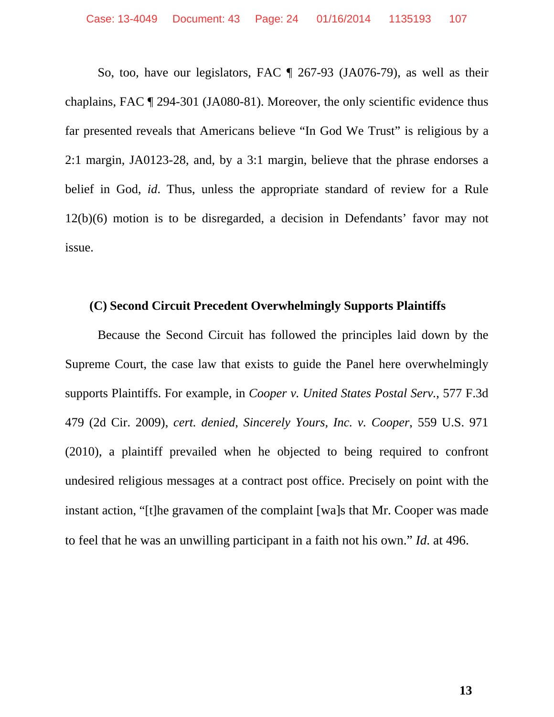So, too, have our legislators, FAC ¶ 267-93 (JA076-79), as well as their chaplains, FAC ¶ 294-301 (JA080-81). Moreover, the only scientific evidence thus far presented reveals that Americans believe "In God We Trust" is religious by a 2:1 margin, JA0123-28, and, by a 3:1 margin, believe that the phrase endorses a belief in God, *id*. Thus, unless the appropriate standard of review for a Rule 12(b)(6) motion is to be disregarded, a decision in Defendants' favor may not issue.

## **(C) Second Circuit Precedent Overwhelmingly Supports Plaintiffs**

Because the Second Circuit has followed the principles laid down by the Supreme Court, the case law that exists to guide the Panel here overwhelmingly supports Plaintiffs. For example, in *Cooper v. United States Postal Serv.*, 577 F.3d 479 (2d Cir. 2009), *cert. denied*, *Sincerely Yours, Inc. v. Cooper*, 559 U.S. 971 (2010), a plaintiff prevailed when he objected to being required to confront undesired religious messages at a contract post office. Precisely on point with the instant action, "[t]he gravamen of the complaint [wa]s that Mr. Cooper was made to feel that he was an unwilling participant in a faith not his own." *Id*. at 496.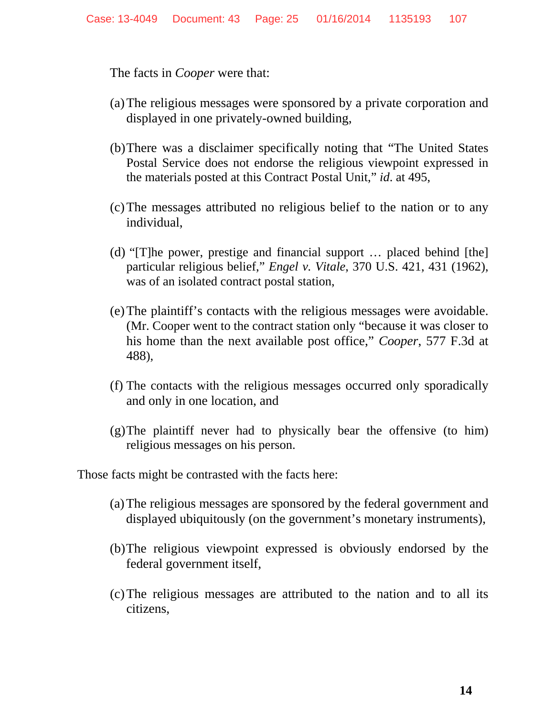The facts in *Cooper* were that:

- (a)The religious messages were sponsored by a private corporation and displayed in one privately-owned building,
- (b)There was a disclaimer specifically noting that "The United States Postal Service does not endorse the religious viewpoint expressed in the materials posted at this Contract Postal Unit," *id*. at 495,
- (c)The messages attributed no religious belief to the nation or to any individual,
- (d) "[T]he power, prestige and financial support … placed behind [the] particular religious belief," *Engel v. Vitale*, 370 U.S. 421, 431 (1962), was of an isolated contract postal station,
- (e)The plaintiff's contacts with the religious messages were avoidable. (Mr. Cooper went to the contract station only "because it was closer to his home than the next available post office," *Cooper*, 577 F.3d at 488),
- (f) The contacts with the religious messages occurred only sporadically and only in one location, and
- (g)The plaintiff never had to physically bear the offensive (to him) religious messages on his person.

Those facts might be contrasted with the facts here:

- (a)The religious messages are sponsored by the federal government and displayed ubiquitously (on the government's monetary instruments),
- (b)The religious viewpoint expressed is obviously endorsed by the federal government itself,
- (c)The religious messages are attributed to the nation and to all its citizens,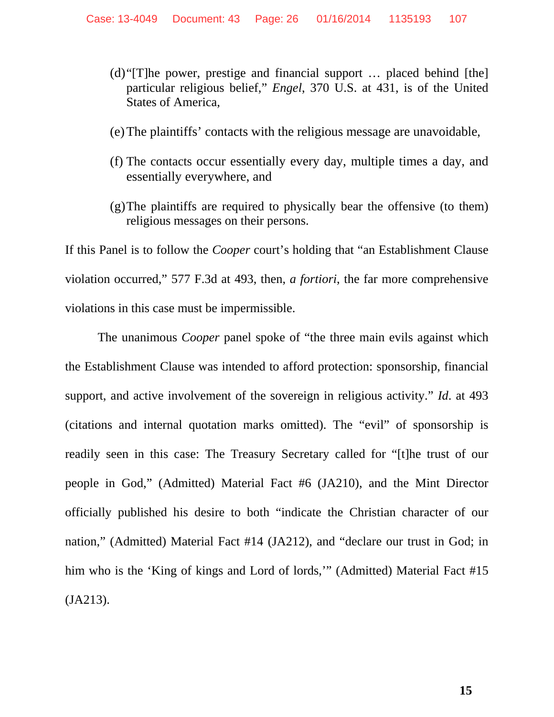- (d)"[T]he power, prestige and financial support … placed behind [the] particular religious belief," *Engel*, 370 U.S. at 431, is of the United States of America,
- (e)The plaintiffs' contacts with the religious message are unavoidable,
- (f) The contacts occur essentially every day, multiple times a day, and essentially everywhere, and
- (g)The plaintiffs are required to physically bear the offensive (to them) religious messages on their persons.

If this Panel is to follow the *Cooper* court's holding that "an Establishment Clause violation occurred," 577 F.3d at 493, then, *a fortiori*, the far more comprehensive violations in this case must be impermissible.

The unanimous *Cooper* panel spoke of "the three main evils against which the Establishment Clause was intended to afford protection: sponsorship, financial support, and active involvement of the sovereign in religious activity." *Id*. at 493 (citations and internal quotation marks omitted). The "evil" of sponsorship is readily seen in this case: The Treasury Secretary called for "[t]he trust of our people in God," (Admitted) Material Fact #6 (JA210), and the Mint Director officially published his desire to both "indicate the Christian character of our nation," (Admitted) Material Fact #14 (JA212), and "declare our trust in God; in him who is the 'King of kings and Lord of lords,'" (Admitted) Material Fact #15 (JA213).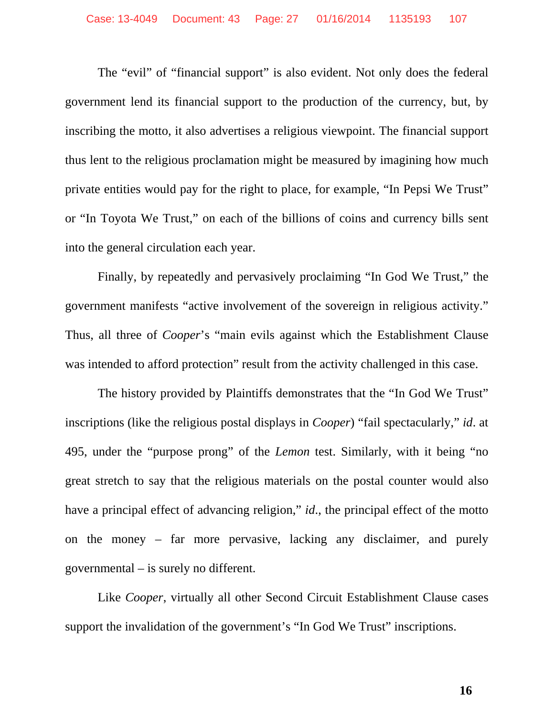The "evil" of "financial support" is also evident. Not only does the federal government lend its financial support to the production of the currency, but, by inscribing the motto, it also advertises a religious viewpoint. The financial support thus lent to the religious proclamation might be measured by imagining how much private entities would pay for the right to place, for example, "In Pepsi We Trust" or "In Toyota We Trust," on each of the billions of coins and currency bills sent into the general circulation each year.

Finally, by repeatedly and pervasively proclaiming "In God We Trust," the government manifests "active involvement of the sovereign in religious activity." Thus, all three of *Cooper*'s "main evils against which the Establishment Clause was intended to afford protection" result from the activity challenged in this case.

The history provided by Plaintiffs demonstrates that the "In God We Trust" inscriptions (like the religious postal displays in *Cooper*) "fail spectacularly," *id*. at 495, under the "purpose prong" of the *Lemon* test. Similarly, with it being "no great stretch to say that the religious materials on the postal counter would also have a principal effect of advancing religion," *id.*, the principal effect of the motto on the money – far more pervasive, lacking any disclaimer, and purely governmental – is surely no different.

Like *Cooper*, virtually all other Second Circuit Establishment Clause cases support the invalidation of the government's "In God We Trust" inscriptions.

**16 16**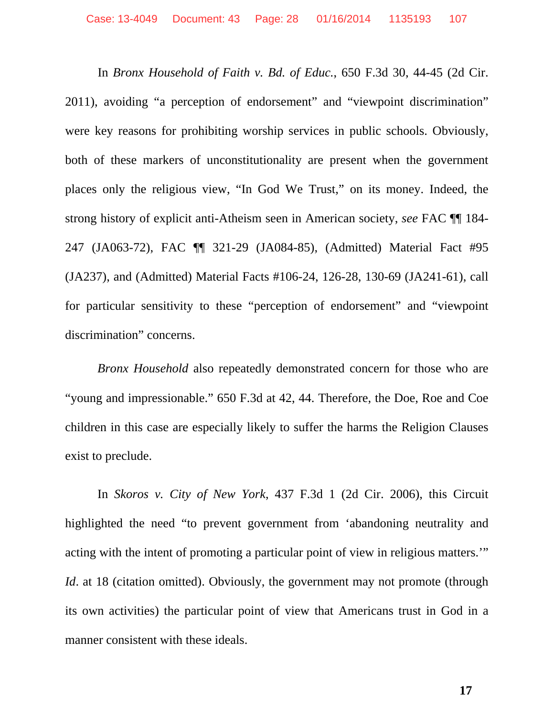In *Bronx Household of Faith v. Bd. of Educ.*, 650 F.3d 30, 44-45 (2d Cir. 2011), avoiding "a perception of endorsement" and "viewpoint discrimination" were key reasons for prohibiting worship services in public schools. Obviously, both of these markers of unconstitutionality are present when the government places only the religious view, "In God We Trust," on its money. Indeed, the strong history of explicit anti-Atheism seen in American society, *see* FAC ¶¶ 184- 247 (JA063-72), FAC ¶¶ 321-29 (JA084-85), (Admitted) Material Fact #95 (JA237), and (Admitted) Material Facts #106-24, 126-28, 130-69 (JA241-61), call for particular sensitivity to these "perception of endorsement" and "viewpoint discrimination" concerns.

*Bronx Household* also repeatedly demonstrated concern for those who are "young and impressionable." 650 F.3d at 42, 44. Therefore, the Doe, Roe and Coe children in this case are especially likely to suffer the harms the Religion Clauses exist to preclude.

In *Skoros v. City of New York*, 437 F.3d 1 (2d Cir. 2006), this Circuit highlighted the need "to prevent government from 'abandoning neutrality and acting with the intent of promoting a particular point of view in religious matters.'" *Id.* at 18 (citation omitted). Obviously, the government may not promote (through its own activities) the particular point of view that Americans trust in God in a manner consistent with these ideals.

**17**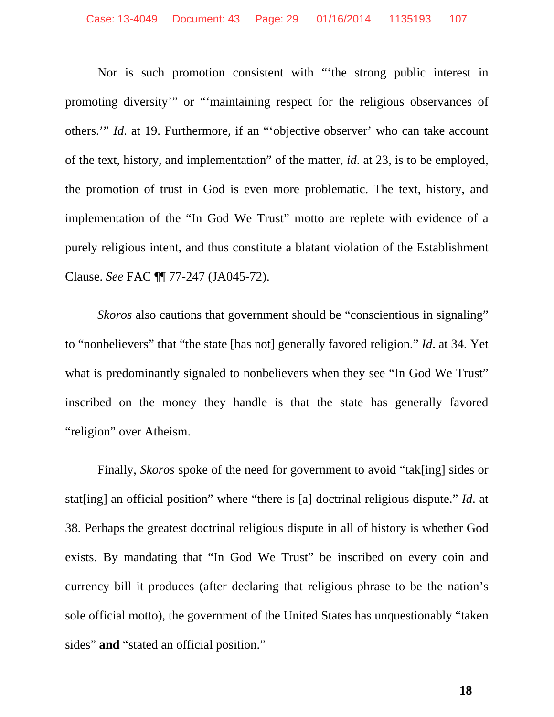Nor is such promotion consistent with "'the strong public interest in promoting diversity'" or "'maintaining respect for the religious observances of others.'" *Id*. at 19. Furthermore, if an "'objective observer' who can take account of the text, history, and implementation" of the matter, *id*. at 23, is to be employed, the promotion of trust in God is even more problematic. The text, history, and implementation of the "In God We Trust" motto are replete with evidence of a purely religious intent, and thus constitute a blatant violation of the Establishment Clause. *See* FAC ¶¶ 77-247 (JA045-72).

*Skoros* also cautions that government should be "conscientious in signaling" to "nonbelievers" that "the state [has not] generally favored religion." *Id*. at 34. Yet what is predominantly signaled to nonbelievers when they see "In God We Trust" inscribed on the money they handle is that the state has generally favored "religion" over Atheism.

Finally, *Skoros* spoke of the need for government to avoid "tak[ing] sides or stat[ing] an official position" where "there is [a] doctrinal religious dispute." *Id*. at 38. Perhaps the greatest doctrinal religious dispute in all of history is whether God exists. By mandating that "In God We Trust" be inscribed on every coin and currency bill it produces (after declaring that religious phrase to be the nation's sole official motto), the government of the United States has unquestionably "taken sides" **and** "stated an official position."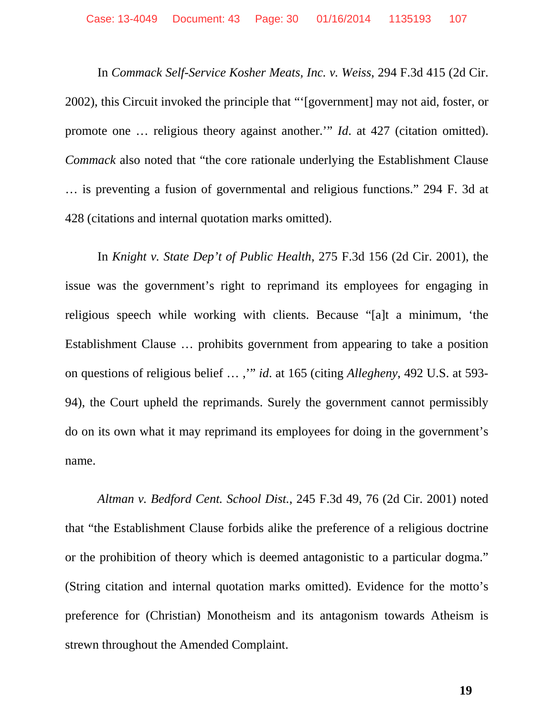In *Commack Self-Service Kosher Meats, Inc. v. Weiss*, 294 F.3d 415 (2d Cir. 2002), this Circuit invoked the principle that "'[government] may not aid, foster, or promote one … religious theory against another.'" *Id*. at 427 (citation omitted). *Commack* also noted that "the core rationale underlying the Establishment Clause … is preventing a fusion of governmental and religious functions." 294 F. 3d at 428 (citations and internal quotation marks omitted).

In *Knight v. State Dep't of Public Health*, 275 F.3d 156 (2d Cir. 2001), the issue was the government's right to reprimand its employees for engaging in religious speech while working with clients. Because "[a]t a minimum, 'the Establishment Clause … prohibits government from appearing to take a position on questions of religious belief … ,'" *id*. at 165 (citing *Allegheny*, 492 U.S. at 593- 94), the Court upheld the reprimands. Surely the government cannot permissibly do on its own what it may reprimand its employees for doing in the government's name.

*Altman v. Bedford Cent. School Dist.*, 245 F.3d 49, 76 (2d Cir. 2001) noted that "the Establishment Clause forbids alike the preference of a religious doctrine or the prohibition of theory which is deemed antagonistic to a particular dogma." (String citation and internal quotation marks omitted). Evidence for the motto's preference for (Christian) Monotheism and its antagonism towards Atheism is strewn throughout the Amended Complaint.

**19 19**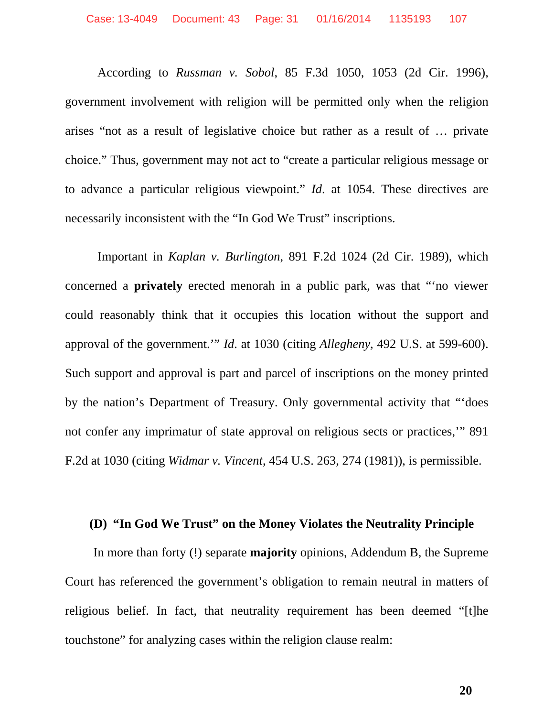According to *Russman v. Sobol*, 85 F.3d 1050, 1053 (2d Cir. 1996), government involvement with religion will be permitted only when the religion arises "not as a result of legislative choice but rather as a result of … private choice." Thus, government may not act to "create a particular religious message or to advance a particular religious viewpoint." *Id*. at 1054. These directives are necessarily inconsistent with the "In God We Trust" inscriptions.

Important in *Kaplan v. Burlington*, 891 F.2d 1024 (2d Cir. 1989), which concerned a **privately** erected menorah in a public park, was that "'no viewer could reasonably think that it occupies this location without the support and approval of the government.'" *Id*. at 1030 (citing *Allegheny*, 492 U.S. at 599-600). Such support and approval is part and parcel of inscriptions on the money printed by the nation's Department of Treasury. Only governmental activity that "'does not confer any imprimatur of state approval on religious sects or practices,'" 891 F.2d at 1030 (citing *Widmar v. Vincent*, 454 U.S. 263, 274 (1981)), is permissible.

#### **(D) "In God We Trust" on the Money Violates the Neutrality Principle**

In more than forty (!) separate **majority** opinions, Addendum B, the Supreme Court has referenced the government's obligation to remain neutral in matters of religious belief. In fact, that neutrality requirement has been deemed "[t]he touchstone" for analyzing cases within the religion clause realm: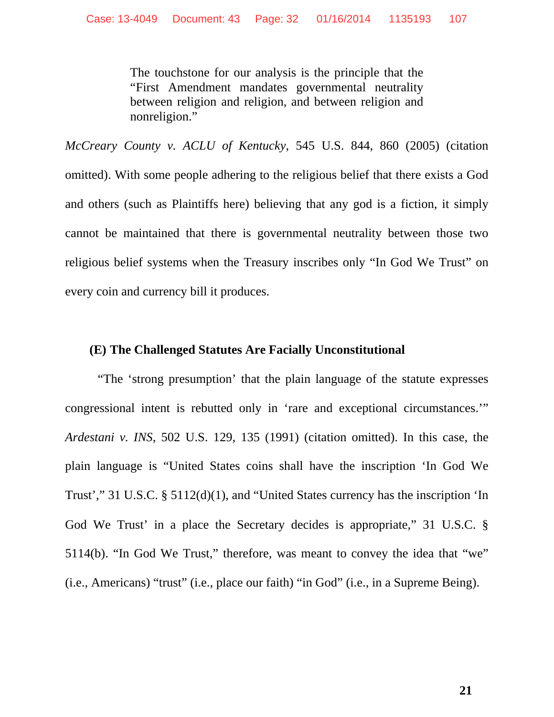The touchstone for our analysis is the principle that the "First Amendment mandates governmental neutrality between religion and religion, and between religion and nonreligion."

*McCreary County v. ACLU of Kentucky*, 545 U.S. 844, 860 (2005) (citation omitted). With some people adhering to the religious belief that there exists a God and others (such as Plaintiffs here) believing that any god is a fiction, it simply cannot be maintained that there is governmental neutrality between those two religious belief systems when the Treasury inscribes only "In God We Trust" on every coin and currency bill it produces.

#### **(E) The Challenged Statutes Are Facially Unconstitutional**

"The 'strong presumption' that the plain language of the statute expresses congressional intent is rebutted only in 'rare and exceptional circumstances.'" *Ardestani v. INS*, 502 U.S. 129, 135 (1991) (citation omitted). In this case, the plain language is "United States coins shall have the inscription 'In God We Trust'," 31 U.S.C. § 5112(d)(1), and "United States currency has the inscription 'In God We Trust' in a place the Secretary decides is appropriate," 31 U.S.C. § 5114(b). "In God We Trust," therefore, was meant to convey the idea that "we" (i.e., Americans) "trust" (i.e., place our faith) "in God" (i.e., in a Supreme Being).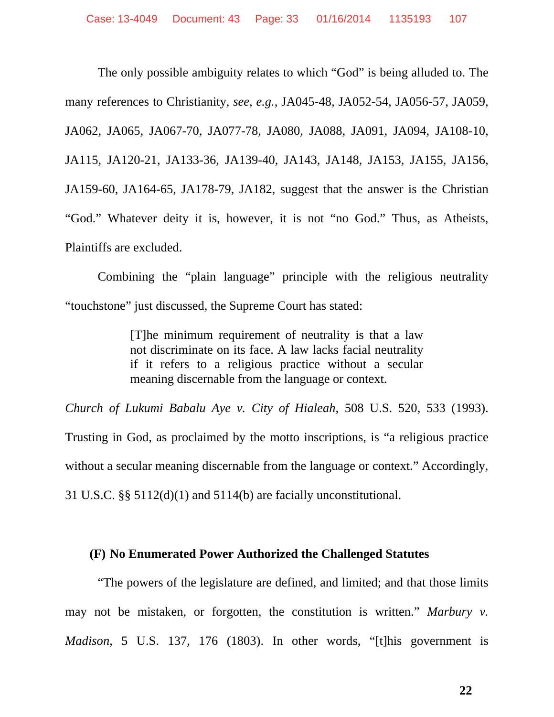The only possible ambiguity relates to which "God" is being alluded to. The many references to Christianity, *see*, *e.g.*, JA045-48, JA052-54, JA056-57, JA059, JA062, JA065, JA067-70, JA077-78, JA080, JA088, JA091, JA094, JA108-10, JA115, JA120-21, JA133-36, JA139-40, JA143, JA148, JA153, JA155, JA156, JA159-60, JA164-65, JA178-79, JA182, suggest that the answer is the Christian "God." Whatever deity it is, however, it is not "no God." Thus, as Atheists, Plaintiffs are excluded.

Combining the "plain language" principle with the religious neutrality "touchstone" just discussed, the Supreme Court has stated:

> [T]he minimum requirement of neutrality is that a law not discriminate on its face. A law lacks facial neutrality if it refers to a religious practice without a secular meaning discernable from the language or context.

*Church of Lukumi Babalu Aye v. City of Hialeah*, 508 U.S. 520, 533 (1993). Trusting in God, as proclaimed by the motto inscriptions, is "a religious practice without a secular meaning discernable from the language or context." Accordingly, 31 U.S.C. §§ 5112(d)(1) and 5114(b) are facially unconstitutional.

#### **(F) No Enumerated Power Authorized the Challenged Statutes**

"The powers of the legislature are defined, and limited; and that those limits may not be mistaken, or forgotten, the constitution is written." *Marbury v. Madison*, 5 U.S. 137, 176 (1803). In other words, "[t]his government is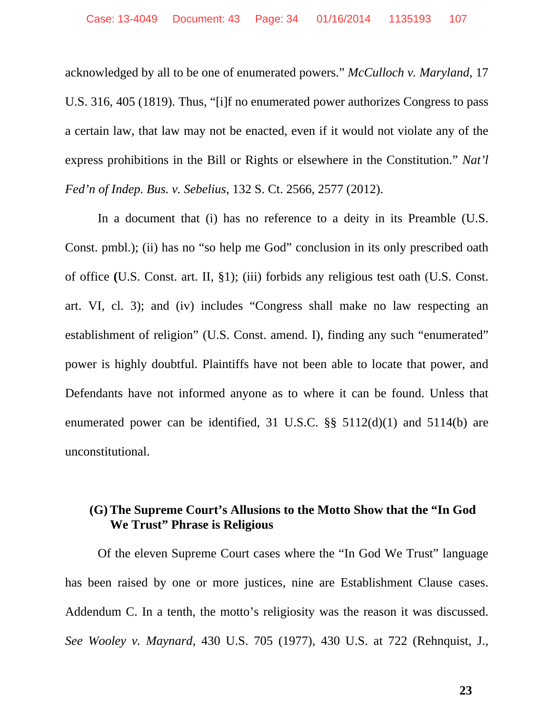acknowledged by all to be one of enumerated powers." *McCulloch v. Maryland*, 17 U.S. 316, 405 (1819). Thus, "[i]f no enumerated power authorizes Congress to pass a certain law, that law may not be enacted, even if it would not violate any of the express prohibitions in the Bill or Rights or elsewhere in the Constitution." *Nat'l Fed'n of Indep. Bus. v. Sebelius*, 132 S. Ct. 2566, 2577 (2012).

In a document that (i) has no reference to a deity in its Preamble (U.S. Const. pmbl.); (ii) has no "so help me God" conclusion in its only prescribed oath of office **(**U.S. Const. art. II, §1); (iii) forbids any religious test oath (U.S. Const. art. VI, cl. 3); and (iv) includes "Congress shall make no law respecting an establishment of religion" (U.S. Const. amend. I), finding any such "enumerated" power is highly doubtful. Plaintiffs have not been able to locate that power, and Defendants have not informed anyone as to where it can be found. Unless that enumerated power can be identified, 31 U.S.C. §§ 5112(d)(1) and 5114(b) are unconstitutional.

## **(G)The Supreme Court's Allusions to the Motto Show that the "In God We Trust" Phrase is Religious**

Of the eleven Supreme Court cases where the "In God We Trust" language has been raised by one or more justices, nine are Establishment Clause cases. Addendum C. In a tenth, the motto's religiosity was the reason it was discussed. *See Wooley v. Maynard*, 430 U.S. 705 (1977), 430 U.S. at 722 (Rehnquist, J.,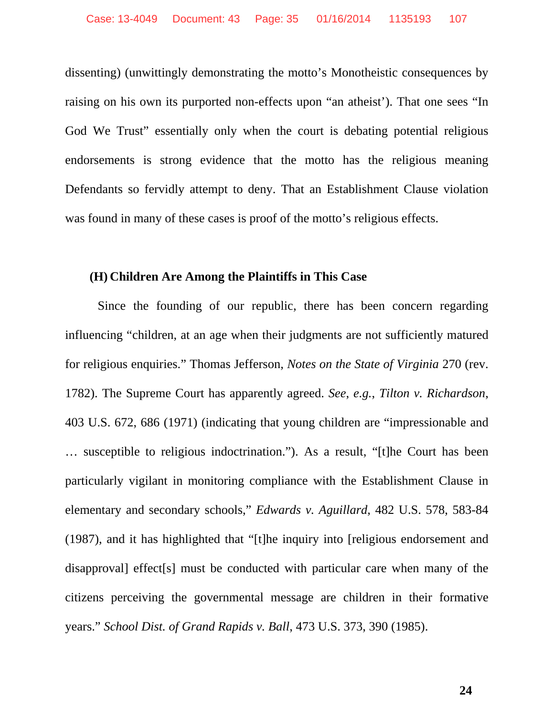dissenting) (unwittingly demonstrating the motto's Monotheistic consequences by raising on his own its purported non-effects upon "an atheist'). That one sees "In God We Trust" essentially only when the court is debating potential religious endorsements is strong evidence that the motto has the religious meaning Defendants so fervidly attempt to deny. That an Establishment Clause violation was found in many of these cases is proof of the motto's religious effects.

#### **(H) Children Are Among the Plaintiffs in This Case**

Since the founding of our republic, there has been concern regarding influencing "children, at an age when their judgments are not sufficiently matured for religious enquiries." Thomas Jefferson, *Notes on the State of Virginia* 270 (rev. 1782). The Supreme Court has apparently agreed. *See*, *e.g.*, *Tilton v. Richardson*, 403 U.S. 672, 686 (1971) (indicating that young children are "impressionable and … susceptible to religious indoctrination."). As a result, "[t]he Court has been particularly vigilant in monitoring compliance with the Establishment Clause in elementary and secondary schools," *Edwards v. Aguillard*, 482 U.S. 578, 583-84 (1987), and it has highlighted that "[t]he inquiry into [religious endorsement and disapproval] effect[s] must be conducted with particular care when many of the citizens perceiving the governmental message are children in their formative years." *School Dist. of Grand Rapids v. Ball*, 473 U.S. 373, 390 (1985).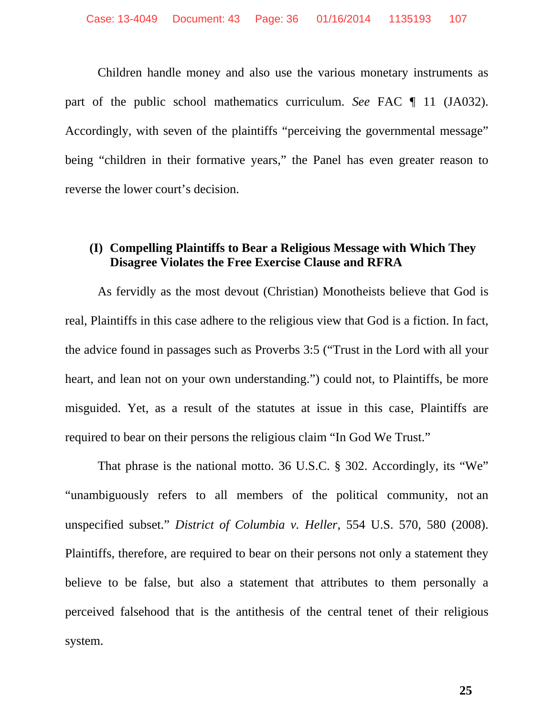Children handle money and also use the various monetary instruments as part of the public school mathematics curriculum. *See* FAC ¶ 11 (JA032). Accordingly, with seven of the plaintiffs "perceiving the governmental message" being "children in their formative years," the Panel has even greater reason to reverse the lower court's decision.

## **(I) Compelling Plaintiffs to Bear a Religious Message with Which They Disagree Violates the Free Exercise Clause and RFRA**

As fervidly as the most devout (Christian) Monotheists believe that God is real, Plaintiffs in this case adhere to the religious view that God is a fiction. In fact, the advice found in passages such as Proverbs 3:5 ("Trust in the Lord with all your heart, and lean not on your own understanding.") could not, to Plaintiffs, be more misguided. Yet, as a result of the statutes at issue in this case, Plaintiffs are required to bear on their persons the religious claim "In God We Trust."

That phrase is the national motto. 36 U.S.C. § 302. Accordingly, its "We" "unambiguously refers to all members of the political community, not an unspecified subset." *District of Columbia v. Heller*, 554 U.S. 570, 580 (2008). Plaintiffs, therefore, are required to bear on their persons not only a statement they believe to be false, but also a statement that attributes to them personally a perceived falsehood that is the antithesis of the central tenet of their religious system.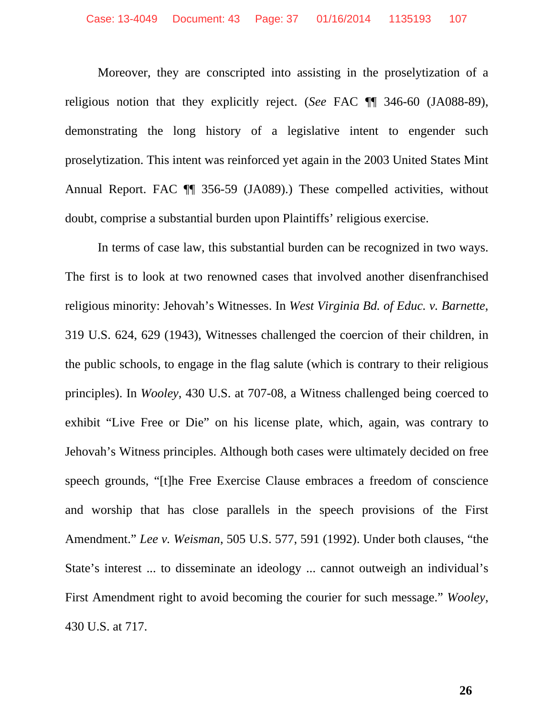Moreover, they are conscripted into assisting in the proselytization of a religious notion that they explicitly reject. (*See* FAC ¶¶ 346-60 (JA088-89), demonstrating the long history of a legislative intent to engender such proselytization. This intent was reinforced yet again in the 2003 United States Mint Annual Report. FAC ¶¶ 356-59 (JA089).) These compelled activities, without doubt, comprise a substantial burden upon Plaintiffs' religious exercise.

In terms of case law, this substantial burden can be recognized in two ways. The first is to look at two renowned cases that involved another disenfranchised religious minority: Jehovah's Witnesses. In *West Virginia Bd. of Educ. v. Barnette*, 319 U.S. 624, 629 (1943), Witnesses challenged the coercion of their children, in the public schools, to engage in the flag salute (which is contrary to their religious principles). In *Wooley*, 430 U.S. at 707-08, a Witness challenged being coerced to exhibit "Live Free or Die" on his license plate, which, again, was contrary to Jehovah's Witness principles. Although both cases were ultimately decided on free speech grounds, "[t]he Free Exercise Clause embraces a freedom of conscience and worship that has close parallels in the speech provisions of the First Amendment." *Lee v. Weisman*, 505 U.S. 577, 591 (1992). Under both clauses, "the State's interest ... to disseminate an ideology ... cannot outweigh an individual's First Amendment right to avoid becoming the courier for such message." *Wooley*, 430 U.S. at 717.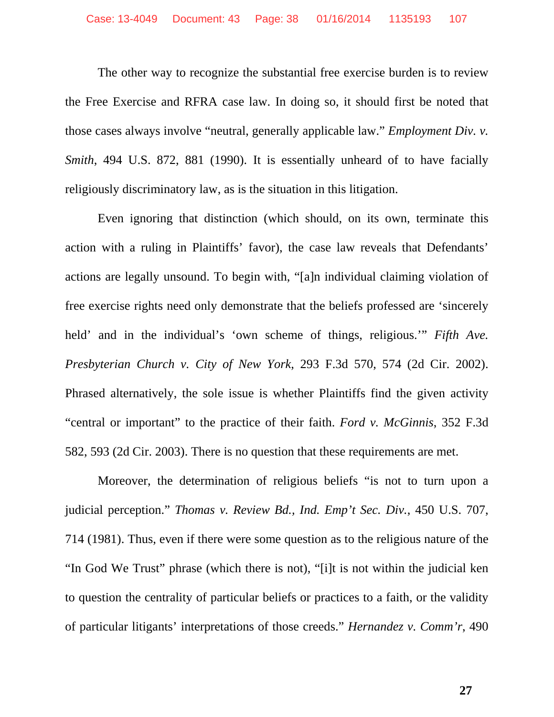The other way to recognize the substantial free exercise burden is to review the Free Exercise and RFRA case law. In doing so, it should first be noted that those cases always involve "neutral, generally applicable law." *Employment Div. v. Smith*, 494 U.S. 872, 881 (1990). It is essentially unheard of to have facially religiously discriminatory law, as is the situation in this litigation.

Even ignoring that distinction (which should, on its own, terminate this action with a ruling in Plaintiffs' favor), the case law reveals that Defendants' actions are legally unsound. To begin with, "[a]n individual claiming violation of free exercise rights need only demonstrate that the beliefs professed are 'sincerely held' and in the individual's 'own scheme of things, religious.'" *Fifth Ave. Presbyterian Church v. City of New York*, 293 F.3d 570, 574 (2d Cir. 2002). Phrased alternatively, the sole issue is whether Plaintiffs find the given activity "central or important" to the practice of their faith. *Ford v. McGinnis*, 352 F.3d 582, 593 (2d Cir. 2003). There is no question that these requirements are met.

Moreover, the determination of religious beliefs "is not to turn upon a judicial perception." *Thomas v. Review Bd., Ind. Emp't Sec. Div.*, 450 U.S. 707, 714 (1981). Thus, even if there were some question as to the religious nature of the "In God We Trust" phrase (which there is not), "[i]t is not within the judicial ken to question the centrality of particular beliefs or practices to a faith, or the validity of particular litigants' interpretations of those creeds." *Hernandez v. Comm'r*, 490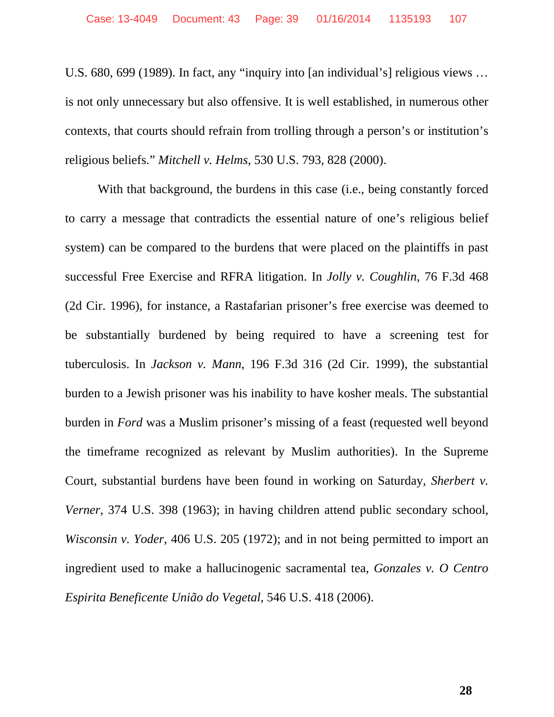U.S. 680, 699 (1989). In fact, any "inquiry into [an individual's] religious views … is not only unnecessary but also offensive. It is well established, in numerous other contexts, that courts should refrain from trolling through a person's or institution's religious beliefs." *Mitchell v. Helms*, 530 U.S. 793, 828 (2000).

With that background, the burdens in this case (i.e., being constantly forced to carry a message that contradicts the essential nature of one's religious belief system) can be compared to the burdens that were placed on the plaintiffs in past successful Free Exercise and RFRA litigation. In *Jolly v. Coughlin*, 76 F.3d 468 (2d Cir. 1996), for instance, a Rastafarian prisoner's free exercise was deemed to be substantially burdened by being required to have a screening test for tuberculosis. In *Jackson v. Mann*, 196 F.3d 316 (2d Cir. 1999), the substantial burden to a Jewish prisoner was his inability to have kosher meals. The substantial burden in *Ford* was a Muslim prisoner's missing of a feast (requested well beyond the timeframe recognized as relevant by Muslim authorities). In the Supreme Court, substantial burdens have been found in working on Saturday, *Sherbert v. Verner*, 374 U.S. 398 (1963); in having children attend public secondary school, *Wisconsin v. Yoder*, 406 U.S. 205 (1972); and in not being permitted to import an ingredient used to make a hallucinogenic sacramental tea, *Gonzales v. O Centro Espirita Beneficente União do Vegetal*, 546 U.S. 418 (2006).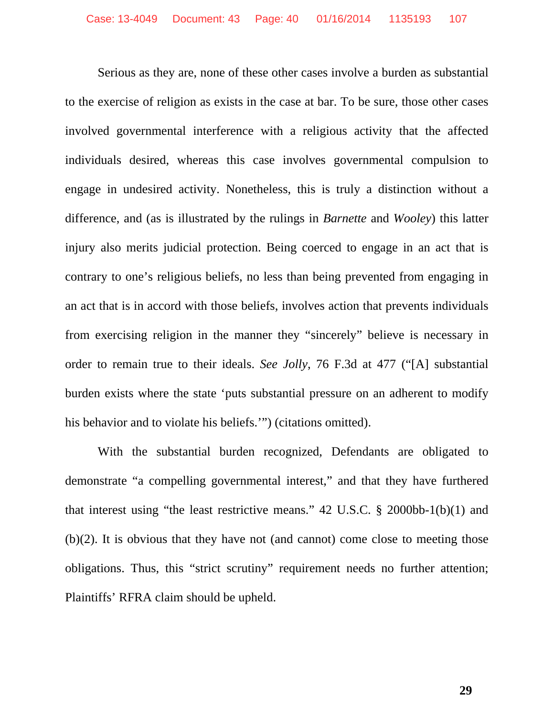Serious as they are, none of these other cases involve a burden as substantial to the exercise of religion as exists in the case at bar. To be sure, those other cases involved governmental interference with a religious activity that the affected individuals desired, whereas this case involves governmental compulsion to engage in undesired activity. Nonetheless, this is truly a distinction without a difference, and (as is illustrated by the rulings in *Barnette* and *Wooley*) this latter injury also merits judicial protection. Being coerced to engage in an act that is contrary to one's religious beliefs, no less than being prevented from engaging in an act that is in accord with those beliefs, involves action that prevents individuals from exercising religion in the manner they "sincerely" believe is necessary in order to remain true to their ideals. *See Jolly*, 76 F.3d at 477 ("[A] substantial burden exists where the state 'puts substantial pressure on an adherent to modify his behavior and to violate his beliefs.'") (citations omitted).

With the substantial burden recognized, Defendants are obligated to demonstrate "a compelling governmental interest," and that they have furthered that interest using "the least restrictive means." 42 U.S.C. § 2000bb-1(b)(1) and (b)(2). It is obvious that they have not (and cannot) come close to meeting those obligations. Thus, this "strict scrutiny" requirement needs no further attention; Plaintiffs' RFRA claim should be upheld.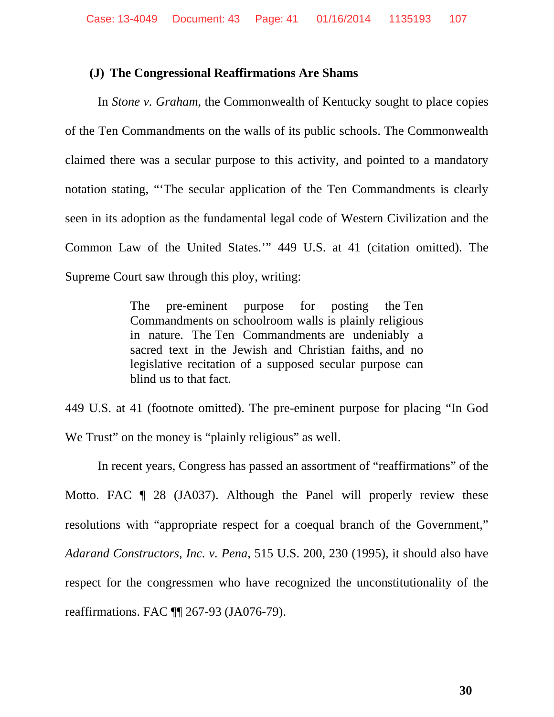### **(J) The Congressional Reaffirmations Are Shams**

In *Stone v. Graham*, the Commonwealth of Kentucky sought to place copies of the Ten Commandments on the walls of its public schools. The Commonwealth claimed there was a secular purpose to this activity, and pointed to a mandatory notation stating, "'The secular application of the Ten Commandments is clearly seen in its adoption as the fundamental legal code of Western Civilization and the Common Law of the United States.'" 449 U.S. at 41 (citation omitted). The Supreme Court saw through this ploy, writing:

> The pre-eminent purpose for posting the Ten Commandments on schoolroom walls is plainly religious in nature. The Ten Commandments are undeniably a sacred text in the Jewish and Christian faiths, and no legislative recitation of a supposed secular purpose can blind us to that fact.

449 U.S. at 41 (footnote omitted). The pre-eminent purpose for placing "In God We Trust" on the money is "plainly religious" as well.

In recent years, Congress has passed an assortment of "reaffirmations" of the Motto. FAC  $\parallel$  28 (JA037). Although the Panel will properly review these resolutions with "appropriate respect for a coequal branch of the Government," *Adarand Constructors, Inc. v. Pena*, 515 U.S. 200, 230 (1995), it should also have respect for the congressmen who have recognized the unconstitutionality of the reaffirmations. FAC ¶¶ 267-93 (JA076-79).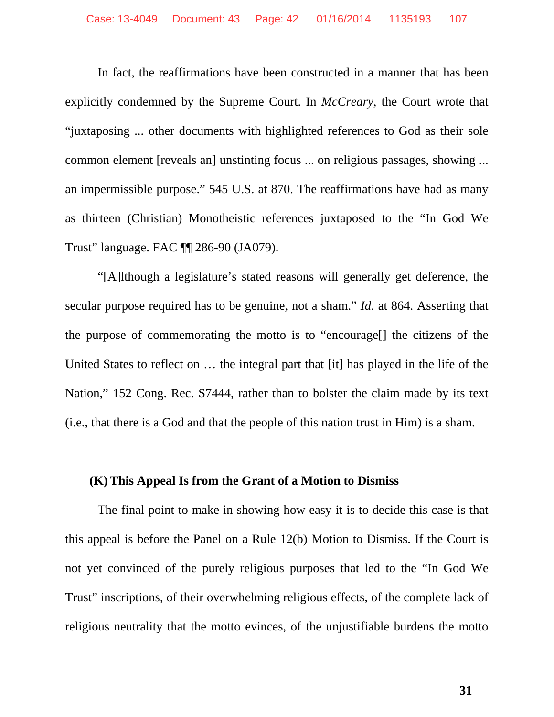In fact, the reaffirmations have been constructed in a manner that has been explicitly condemned by the Supreme Court. In *McCreary*, the Court wrote that "juxtaposing ... other documents with highlighted references to God as their sole common element [reveals an] unstinting focus ... on religious passages, showing ... an impermissible purpose." 545 U.S. at 870. The reaffirmations have had as many as thirteen (Christian) Monotheistic references juxtaposed to the "In God We Trust" language. FAC ¶¶ 286-90 (JA079).

"[A]lthough a legislature's stated reasons will generally get deference, the secular purpose required has to be genuine, not a sham." *Id*. at 864. Asserting that the purpose of commemorating the motto is to "encourage[] the citizens of the United States to reflect on … the integral part that [it] has played in the life of the Nation," 152 Cong. Rec. S7444, rather than to bolster the claim made by its text (i.e., that there is a God and that the people of this nation trust in Him) is a sham.

### **(K)This Appeal Is from the Grant of a Motion to Dismiss**

The final point to make in showing how easy it is to decide this case is that this appeal is before the Panel on a Rule 12(b) Motion to Dismiss. If the Court is not yet convinced of the purely religious purposes that led to the "In God We Trust" inscriptions, of their overwhelming religious effects, of the complete lack of religious neutrality that the motto evinces, of the unjustifiable burdens the motto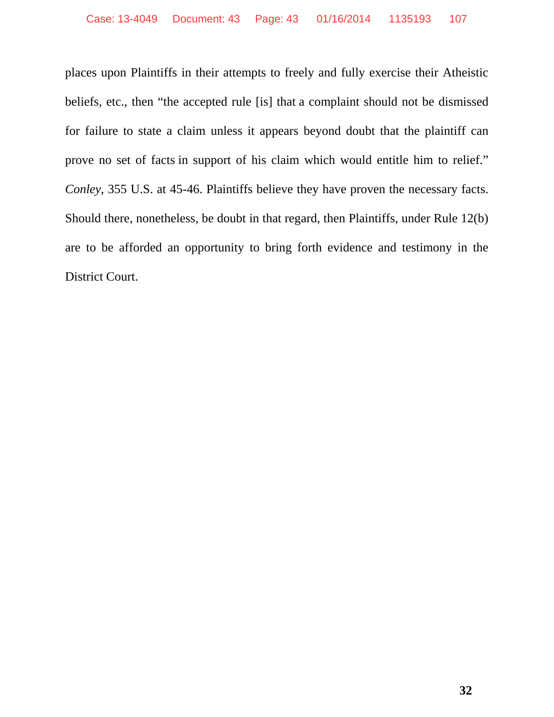places upon Plaintiffs in their attempts to freely and fully exercise their Atheistic beliefs, etc., then "the accepted rule [is] that a complaint should not be dismissed for failure to state a claim unless it appears beyond doubt that the plaintiff can prove no set of facts in support of his claim which would entitle him to relief." *Conley*, 355 U.S. at 45-46. Plaintiffs believe they have proven the necessary facts. Should there, nonetheless, be doubt in that regard, then Plaintiffs, under Rule 12(b) are to be afforded an opportunity to bring forth evidence and testimony in the District Court.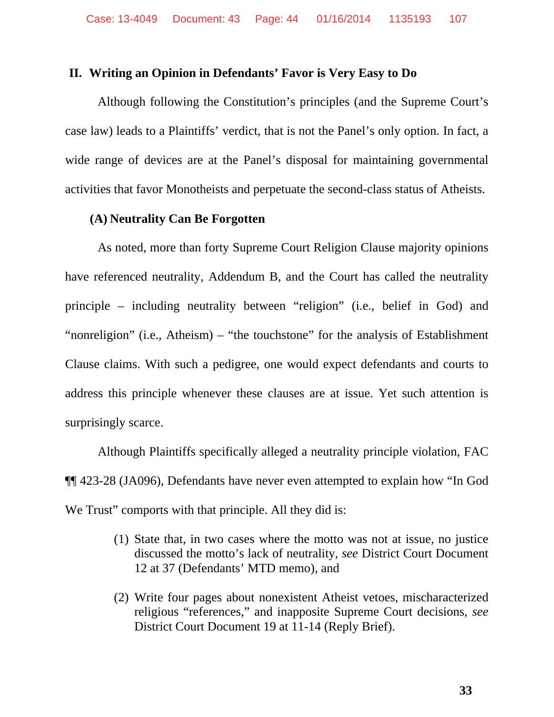### **II. Writing an Opinion in Defendants' Favor is Very Easy to Do**

Although following the Constitution's principles (and the Supreme Court's case law) leads to a Plaintiffs' verdict, that is not the Panel's only option. In fact, a wide range of devices are at the Panel's disposal for maintaining governmental activities that favor Monotheists and perpetuate the second-class status of Atheists.

#### **(A) Neutrality Can Be Forgotten**

As noted, more than forty Supreme Court Religion Clause majority opinions have referenced neutrality, Addendum B, and the Court has called the neutrality principle – including neutrality between "religion" (i.e., belief in God) and "nonreligion" (i.e., Atheism) – "the touchstone" for the analysis of Establishment Clause claims. With such a pedigree, one would expect defendants and courts to address this principle whenever these clauses are at issue. Yet such attention is surprisingly scarce.

Although Plaintiffs specifically alleged a neutrality principle violation, FAC ¶¶ 423-28 (JA096), Defendants have never even attempted to explain how "In God We Trust" comports with that principle. All they did is:

- (1) State that, in two cases where the motto was not at issue, no justice discussed the motto's lack of neutrality, *see* District Court Document 12 at 37 (Defendants' MTD memo), and
- (2) Write four pages about nonexistent Atheist vetoes, mischaracterized religious "references," and inapposite Supreme Court decisions, *see* District Court Document 19 at 11-14 (Reply Brief).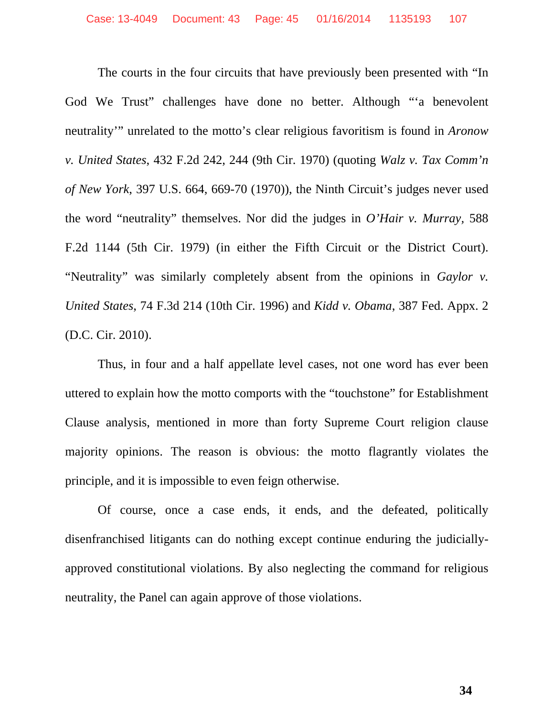The courts in the four circuits that have previously been presented with "In God We Trust" challenges have done no better. Although "'a benevolent neutrality'" unrelated to the motto's clear religious favoritism is found in *Aronow v. United States*, 432 F.2d 242, 244 (9th Cir. 1970) (quoting *Walz v. Tax Comm'n of New York*, 397 U.S. 664, 669-70 (1970)), the Ninth Circuit's judges never used the word "neutrality" themselves. Nor did the judges in *O'Hair v. Murray,* 588 F.2d 1144 (5th Cir. 1979) (in either the Fifth Circuit or the District Court). "Neutrality" was similarly completely absent from the opinions in *Gaylor v. United States*, 74 F.3d 214 (10th Cir. 1996) and *Kidd v. Obama*, 387 Fed. Appx. 2 (D.C. Cir. 2010).

Thus, in four and a half appellate level cases, not one word has ever been uttered to explain how the motto comports with the "touchstone" for Establishment Clause analysis, mentioned in more than forty Supreme Court religion clause majority opinions. The reason is obvious: the motto flagrantly violates the principle, and it is impossible to even feign otherwise.

Of course, once a case ends, it ends, and the defeated, politically disenfranchised litigants can do nothing except continue enduring the judiciallyapproved constitutional violations. By also neglecting the command for religious neutrality, the Panel can again approve of those violations.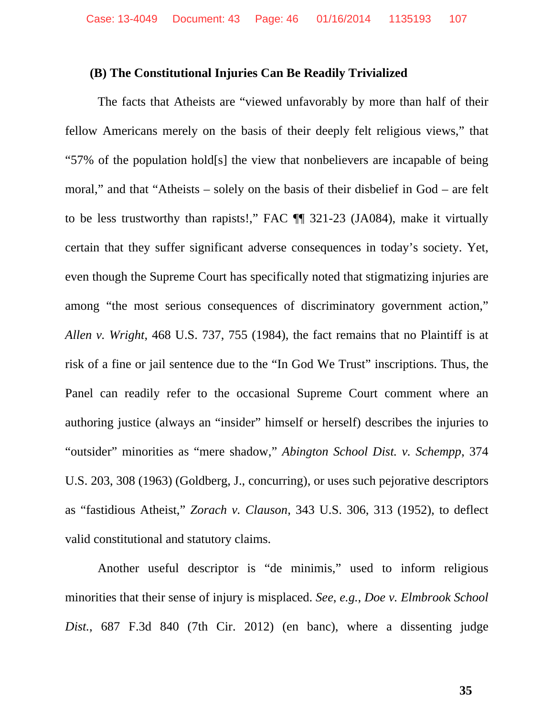### **(B) The Constitutional Injuries Can Be Readily Trivialized**

The facts that Atheists are "viewed unfavorably by more than half of their fellow Americans merely on the basis of their deeply felt religious views," that "57% of the population hold[s] the view that nonbelievers are incapable of being moral," and that "Atheists – solely on the basis of their disbelief in God – are felt to be less trustworthy than rapists!," FAC ¶¶ 321-23 (JA084), make it virtually certain that they suffer significant adverse consequences in today's society. Yet, even though the Supreme Court has specifically noted that stigmatizing injuries are among "the most serious consequences of discriminatory government action," *Allen v. Wright*, 468 U.S. 737, 755 (1984), the fact remains that no Plaintiff is at risk of a fine or jail sentence due to the "In God We Trust" inscriptions. Thus, the Panel can readily refer to the occasional Supreme Court comment where an authoring justice (always an "insider" himself or herself) describes the injuries to "outsider" minorities as "mere shadow," *Abington School Dist. v. Schempp*, 374 U.S. 203, 308 (1963) (Goldberg, J., concurring), or uses such pejorative descriptors as "fastidious Atheist," *Zorach v. Clauson*, 343 U.S. 306, 313 (1952), to deflect valid constitutional and statutory claims.

Another useful descriptor is "de minimis," used to inform religious minorities that their sense of injury is misplaced. *See*, *e.g.*, *Doe v. Elmbrook School Dist.*, 687 F.3d 840 (7th Cir. 2012) (en banc), where a dissenting judge

**35 35**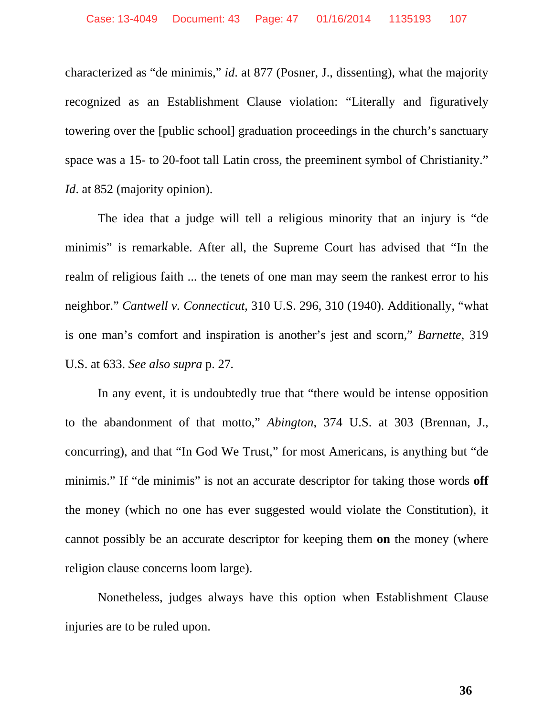characterized as "de minimis," *id*. at 877 (Posner, J., dissenting), what the majority recognized as an Establishment Clause violation: "Literally and figuratively towering over the [public school] graduation proceedings in the church's sanctuary space was a 15- to 20-foot tall Latin cross, the preeminent symbol of Christianity." *Id.* at 852 (majority opinion).

The idea that a judge will tell a religious minority that an injury is "de minimis" is remarkable. After all, the Supreme Court has advised that "In the realm of religious faith ... the tenets of one man may seem the rankest error to his neighbor." *Cantwell v. Connecticut*, 310 U.S. 296, 310 (1940). Additionally, "what is one man's comfort and inspiration is another's jest and scorn," *Barnette*, 319 U.S. at 633. *See also supra* p. 27*.*

In any event, it is undoubtedly true that "there would be intense opposition to the abandonment of that motto," *Abington*, 374 U.S. at 303 (Brennan, J., concurring), and that "In God We Trust," for most Americans, is anything but "de minimis." If "de minimis" is not an accurate descriptor for taking those words **off** the money (which no one has ever suggested would violate the Constitution), it cannot possibly be an accurate descriptor for keeping them **on** the money (where religion clause concerns loom large).

Nonetheless, judges always have this option when Establishment Clause injuries are to be ruled upon.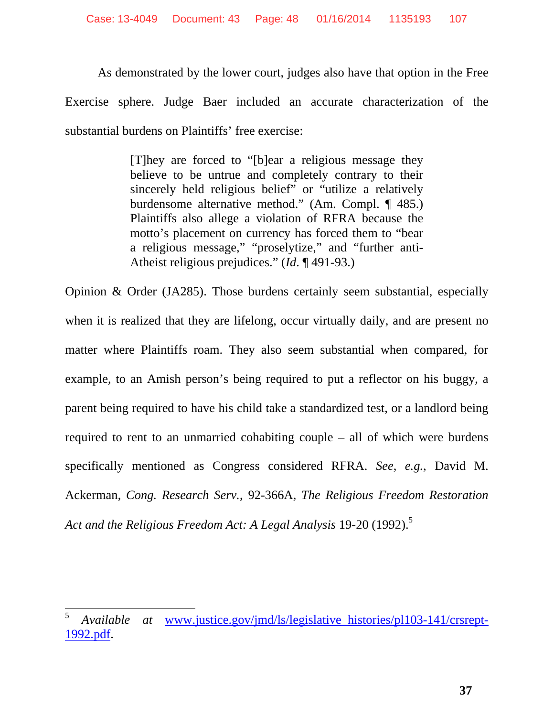As demonstrated by the lower court, judges also have that option in the Free Exercise sphere. Judge Baer included an accurate characterization of the substantial burdens on Plaintiffs' free exercise:

> [T]hey are forced to "[b]ear a religious message they believe to be untrue and completely contrary to their sincerely held religious belief" or "utilize a relatively burdensome alternative method." (Am. Compl. ¶ 485.) Plaintiffs also allege a violation of RFRA because the motto's placement on currency has forced them to "bear a religious message," "proselytize," and "further anti-Atheist religious prejudices." (*Id*. ¶ 491-93.)

Opinion & Order (JA285). Those burdens certainly seem substantial, especially when it is realized that they are lifelong, occur virtually daily, and are present no matter where Plaintiffs roam. They also seem substantial when compared, for example, to an Amish person's being required to put a reflector on his buggy, a parent being required to have his child take a standardized test, or a landlord being required to rent to an unmarried cohabiting couple – all of which were burdens specifically mentioned as Congress considered RFRA. *See*, *e.g.*, David M. Ackerman, *Cong. Research Serv.*, 92-366A, *The Religious Freedom Restoration Act and the Religious Freedom Act: A Legal Analysis* 19-20 (1992).5

 $\overline{a}$ 

Available at www.justice.gov/jmd/ls/legislative histories/pl103-141/crsrept-1992.pdf.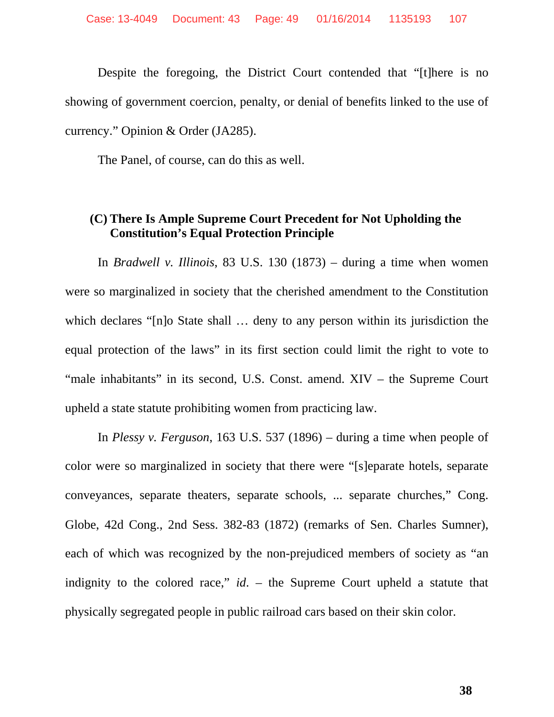Despite the foregoing, the District Court contended that "[t]here is no showing of government coercion, penalty, or denial of benefits linked to the use of currency." Opinion & Order (JA285).

The Panel, of course, can do this as well.

# **(C) There Is Ample Supreme Court Precedent for Not Upholding the Constitution's Equal Protection Principle**

In *Bradwell v. Illinois*, 83 U.S. 130 (1873) – during a time when women were so marginalized in society that the cherished amendment to the Constitution which declares "[n]o State shall ... deny to any person within its jurisdiction the equal protection of the laws" in its first section could limit the right to vote to "male inhabitants" in its second, U.S. Const. amend. XIV – the Supreme Court upheld a state statute prohibiting women from practicing law.

In *Plessy v. Ferguson*, 163 U.S. 537 (1896) – during a time when people of color were so marginalized in society that there were "[s]eparate hotels, separate conveyances, separate theaters, separate schools, ... separate churches," Cong. Globe, 42d Cong., 2nd Sess. 382-83 (1872) (remarks of Sen. Charles Sumner), each of which was recognized by the non-prejudiced members of society as "an indignity to the colored race," *id*. – the Supreme Court upheld a statute that physically segregated people in public railroad cars based on their skin color.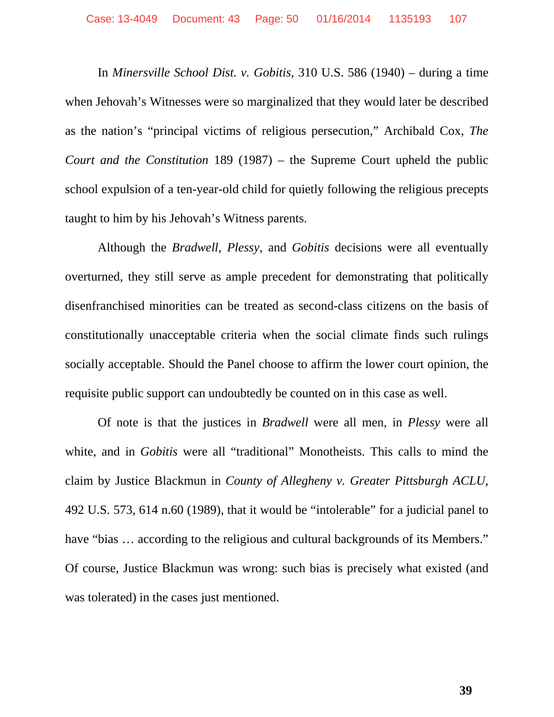In *Minersville School Dist. v. Gobitis*, 310 U.S. 586 (1940) – during a time when Jehovah's Witnesses were so marginalized that they would later be described as the nation's "principal victims of religious persecution," Archibald Cox, *The Court and the Constitution* 189 (1987) – the Supreme Court upheld the public school expulsion of a ten-year-old child for quietly following the religious precepts taught to him by his Jehovah's Witness parents.

Although the *Bradwell*, *Plessy*, and *Gobitis* decisions were all eventually overturned, they still serve as ample precedent for demonstrating that politically disenfranchised minorities can be treated as second-class citizens on the basis of constitutionally unacceptable criteria when the social climate finds such rulings socially acceptable. Should the Panel choose to affirm the lower court opinion, the requisite public support can undoubtedly be counted on in this case as well.

Of note is that the justices in *Bradwell* were all men, in *Plessy* were all white, and in *Gobitis* were all "traditional" Monotheists. This calls to mind the claim by Justice Blackmun in *County of Allegheny v. Greater Pittsburgh ACLU*, 492 U.S. 573, 614 n.60 (1989), that it would be "intolerable" for a judicial panel to have "bias ... according to the religious and cultural backgrounds of its Members." Of course, Justice Blackmun was wrong: such bias is precisely what existed (and was tolerated) in the cases just mentioned.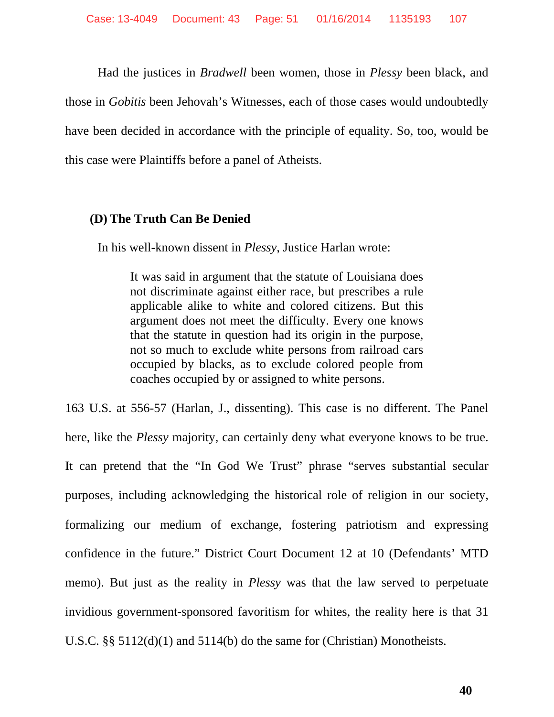Had the justices in *Bradwell* been women, those in *Plessy* been black, and those in *Gobitis* been Jehovah's Witnesses, each of those cases would undoubtedly have been decided in accordance with the principle of equality. So, too, would be this case were Plaintiffs before a panel of Atheists.

### **(D) The Truth Can Be Denied**

In his well-known dissent in *Plessy*, Justice Harlan wrote:

It was said in argument that the statute of Louisiana does not discriminate against either race, but prescribes a rule applicable alike to white and colored citizens. But this argument does not meet the difficulty. Every one knows that the statute in question had its origin in the purpose, not so much to exclude white persons from railroad cars occupied by blacks, as to exclude colored people from coaches occupied by or assigned to white persons.

163 U.S. at 556-57 (Harlan, J., dissenting). This case is no different. The Panel here, like the *Plessy* majority, can certainly deny what everyone knows to be true. It can pretend that the "In God We Trust" phrase "serves substantial secular purposes, including acknowledging the historical role of religion in our society, formalizing our medium of exchange, fostering patriotism and expressing confidence in the future." District Court Document 12 at 10 (Defendants' MTD memo). But just as the reality in *Plessy* was that the law served to perpetuate invidious government-sponsored favoritism for whites, the reality here is that 31 U.S.C. §§ 5112(d)(1) and 5114(b) do the same for (Christian) Monotheists.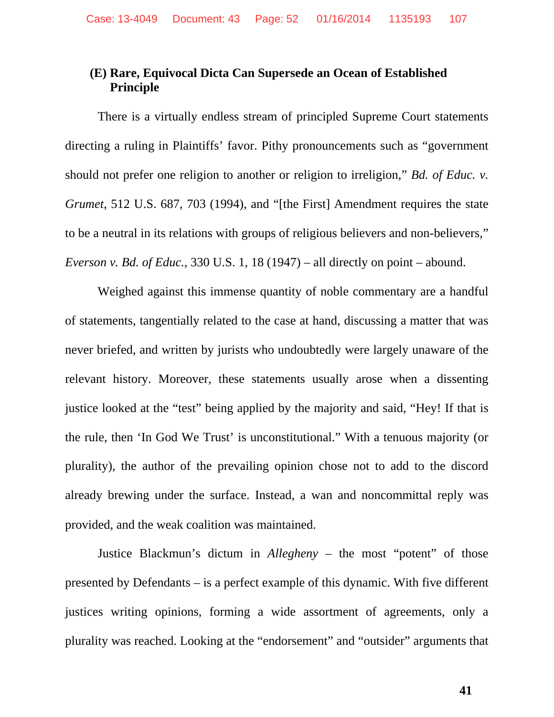## **(E) Rare, Equivocal Dicta Can Supersede an Ocean of Established Principle**

There is a virtually endless stream of principled Supreme Court statements directing a ruling in Plaintiffs' favor. Pithy pronouncements such as "government should not prefer one religion to another or religion to irreligion," *Bd. of Educ. v. Grumet*, 512 U.S. 687, 703 (1994), and "[the First] Amendment requires the state to be a neutral in its relations with groups of religious believers and non-believers," *Everson v. Bd. of Educ.*, 330 U.S. 1, 18 (1947) – all directly on point – abound.

Weighed against this immense quantity of noble commentary are a handful of statements, tangentially related to the case at hand, discussing a matter that was never briefed, and written by jurists who undoubtedly were largely unaware of the relevant history. Moreover, these statements usually arose when a dissenting justice looked at the "test" being applied by the majority and said, "Hey! If that is the rule, then 'In God We Trust' is unconstitutional." With a tenuous majority (or plurality), the author of the prevailing opinion chose not to add to the discord already brewing under the surface. Instead, a wan and noncommittal reply was provided, and the weak coalition was maintained.

Justice Blackmun's dictum in *Allegheny* – the most "potent" of those presented by Defendants – is a perfect example of this dynamic. With five different justices writing opinions, forming a wide assortment of agreements, only a plurality was reached. Looking at the "endorsement" and "outsider" arguments that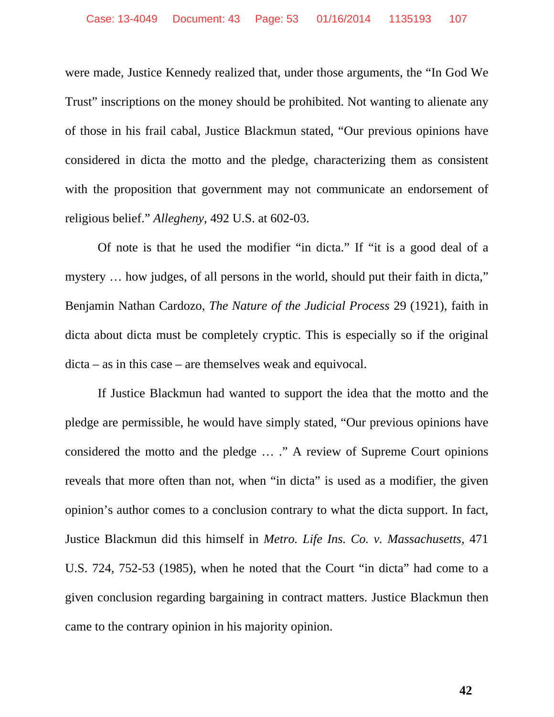were made, Justice Kennedy realized that, under those arguments, the "In God We Trust" inscriptions on the money should be prohibited. Not wanting to alienate any of those in his frail cabal, Justice Blackmun stated, "Our previous opinions have considered in dicta the motto and the pledge, characterizing them as consistent with the proposition that government may not communicate an endorsement of religious belief." *Allegheny*, 492 U.S. at 602-03.

Of note is that he used the modifier "in dicta." If "it is a good deal of a mystery ... how judges, of all persons in the world, should put their faith in dicta," Benjamin Nathan Cardozo, *The Nature of the Judicial Process* 29 (1921), faith in dicta about dicta must be completely cryptic. This is especially so if the original dicta – as in this case – are themselves weak and equivocal.

If Justice Blackmun had wanted to support the idea that the motto and the pledge are permissible, he would have simply stated, "Our previous opinions have considered the motto and the pledge … ." A review of Supreme Court opinions reveals that more often than not, when "in dicta" is used as a modifier, the given opinion's author comes to a conclusion contrary to what the dicta support. In fact, Justice Blackmun did this himself in *Metro. Life Ins. Co. v. Massachusetts*, 471 U.S. 724, 752-53 (1985), when he noted that the Court "in dicta" had come to a given conclusion regarding bargaining in contract matters. Justice Blackmun then came to the contrary opinion in his majority opinion.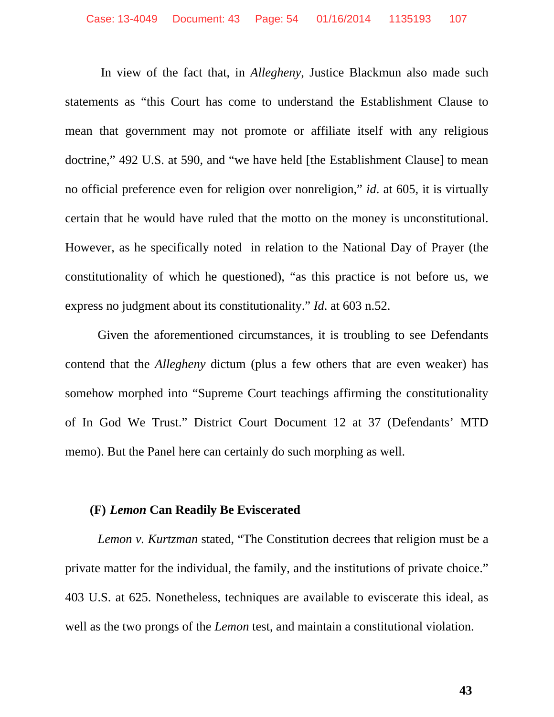In view of the fact that, in *Allegheny*, Justice Blackmun also made such statements as "this Court has come to understand the Establishment Clause to mean that government may not promote or affiliate itself with any religious doctrine," 492 U.S. at 590, and "we have held [the Establishment Clause] to mean no official preference even for religion over nonreligion," *id*. at 605, it is virtually certain that he would have ruled that the motto on the money is unconstitutional. However, as he specifically noted in relation to the National Day of Prayer (the constitutionality of which he questioned), "as this practice is not before us, we express no judgment about its constitutionality." *Id*. at 603 n.52.

Given the aforementioned circumstances, it is troubling to see Defendants contend that the *Allegheny* dictum (plus a few others that are even weaker) has somehow morphed into "Supreme Court teachings affirming the constitutionality of In God We Trust." District Court Document 12 at 37 (Defendants' MTD memo). But the Panel here can certainly do such morphing as well.

#### **(F)** *Lemon* **Can Readily Be Eviscerated**

*Lemon v. Kurtzman* stated, "The Constitution decrees that religion must be a private matter for the individual, the family, and the institutions of private choice." 403 U.S. at 625. Nonetheless, techniques are available to eviscerate this ideal, as well as the two prongs of the *Lemon* test, and maintain a constitutional violation.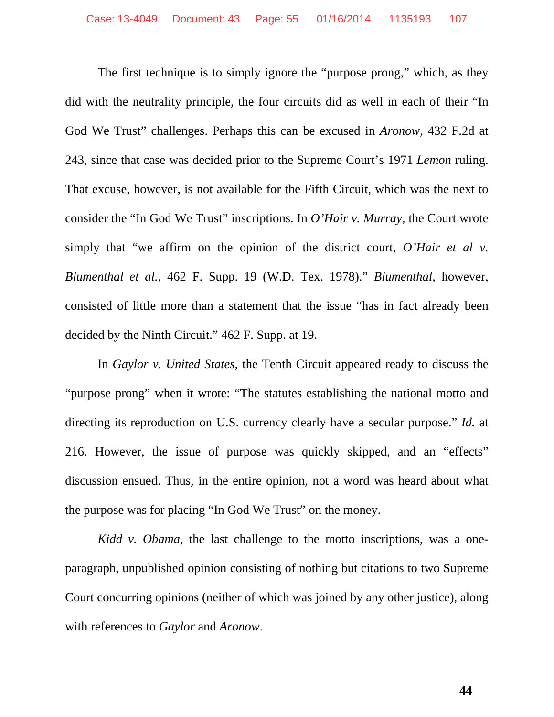The first technique is to simply ignore the "purpose prong," which, as they did with the neutrality principle, the four circuits did as well in each of their "In God We Trust" challenges. Perhaps this can be excused in *Aronow*, 432 F.2d at 243, since that case was decided prior to the Supreme Court's 1971 *Lemon* ruling. That excuse, however, is not available for the Fifth Circuit, which was the next to consider the "In God We Trust" inscriptions. In *O'Hair v. Murray*, the Court wrote simply that "we affirm on the opinion of the district court, *O'Hair et al v. Blumenthal et al.*, 462 F. Supp. 19 (W.D. Tex. 1978)." *Blumenthal*, however, consisted of little more than a statement that the issue "has in fact already been decided by the Ninth Circuit." 462 F. Supp. at 19.

In *Gaylor v. United States*, the Tenth Circuit appeared ready to discuss the "purpose prong" when it wrote: "The statutes establishing the national motto and directing its reproduction on U.S. currency clearly have a secular purpose." *Id.* at 216. However, the issue of purpose was quickly skipped, and an "effects" discussion ensued. Thus, in the entire opinion, not a word was heard about what the purpose was for placing "In God We Trust" on the money.

*Kidd v. Obama,* the last challenge to the motto inscriptions, was a oneparagraph, unpublished opinion consisting of nothing but citations to two Supreme Court concurring opinions (neither of which was joined by any other justice), along with references to *Gaylor* and *Aronow*.

*44*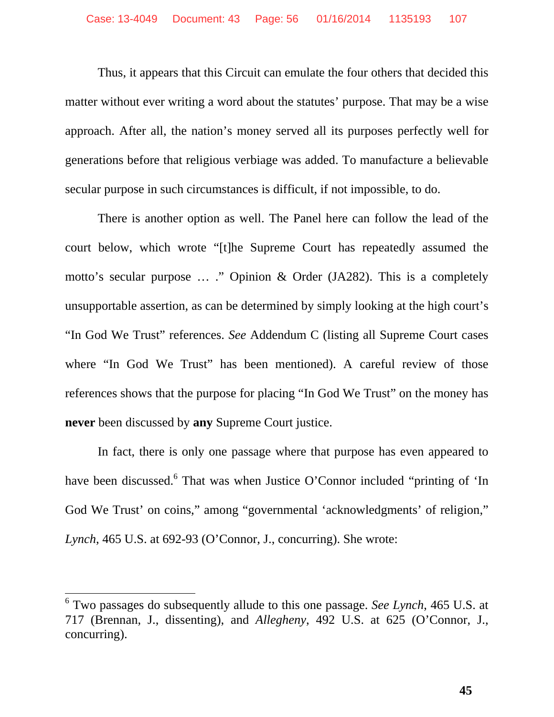Thus, it appears that this Circuit can emulate the four others that decided this matter without ever writing a word about the statutes' purpose. That may be a wise approach. After all, the nation's money served all its purposes perfectly well for generations before that religious verbiage was added. To manufacture a believable secular purpose in such circumstances is difficult, if not impossible, to do.

There is another option as well. The Panel here can follow the lead of the court below, which wrote "[t]he Supreme Court has repeatedly assumed the motto's secular purpose … ." Opinion & Order (JA282). This is a completely unsupportable assertion, as can be determined by simply looking at the high court's "In God We Trust" references. *See* Addendum C (listing all Supreme Court cases where "In God We Trust" has been mentioned). A careful review of those references shows that the purpose for placing "In God We Trust" on the money has **never** been discussed by **any** Supreme Court justice.

In fact, there is only one passage where that purpose has even appeared to have been discussed.<sup>6</sup> That was when Justice O'Connor included "printing of 'In God We Trust' on coins," among "governmental 'acknowledgments' of religion," *Lynch*, 465 U.S. at 692-93 (O'Connor, J., concurring). She wrote:

 $\overline{a}$ 

<sup>6</sup> Two passages do subsequently allude to this one passage. *See Lynch*, 465 U.S. at 717 (Brennan, J., dissenting), and *Allegheny*, 492 U.S. at 625 (O'Connor, J., concurring).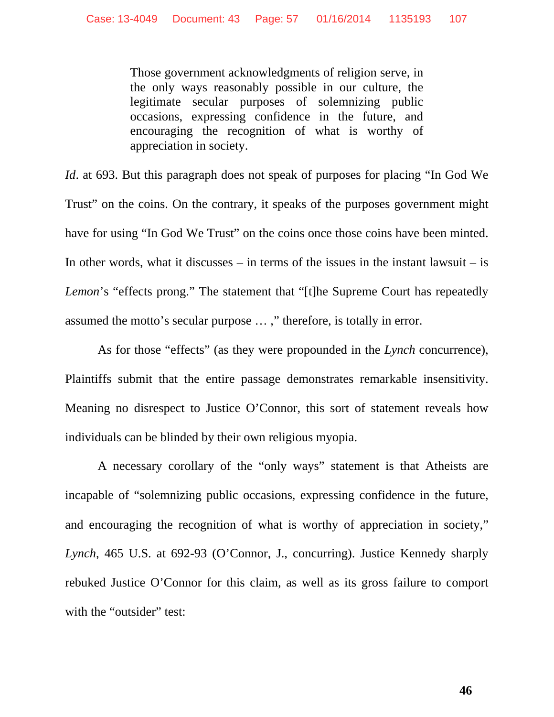Those government acknowledgments of religion serve, in the only ways reasonably possible in our culture, the legitimate secular purposes of solemnizing public occasions, expressing confidence in the future, and encouraging the recognition of what is worthy of appreciation in society.

*Id.* at 693. But this paragraph does not speak of purposes for placing "In God We Trust" on the coins. On the contrary, it speaks of the purposes government might have for using "In God We Trust" on the coins once those coins have been minted. In other words, what it discusses – in terms of the issues in the instant lawsuit – is *Lemon*'s "effects prong." The statement that "[t]he Supreme Court has repeatedly assumed the motto's secular purpose … ," therefore, is totally in error.

As for those "effects" (as they were propounded in the *Lynch* concurrence), Plaintiffs submit that the entire passage demonstrates remarkable insensitivity. Meaning no disrespect to Justice O'Connor, this sort of statement reveals how individuals can be blinded by their own religious myopia.

A necessary corollary of the "only ways" statement is that Atheists are incapable of "solemnizing public occasions, expressing confidence in the future, and encouraging the recognition of what is worthy of appreciation in society," *Lynch*, 465 U.S. at 692-93 (O'Connor, J., concurring). Justice Kennedy sharply rebuked Justice O'Connor for this claim, as well as its gross failure to comport with the "outsider" test: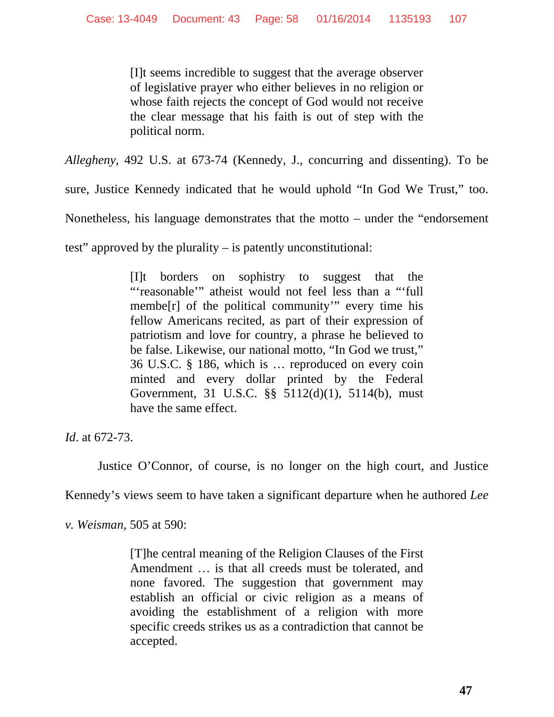[I]t seems incredible to suggest that the average observer of legislative prayer who either believes in no religion or whose faith rejects the concept of God would not receive the clear message that his faith is out of step with the political norm.

*Allegheny*, 492 U.S. at 673-74 (Kennedy, J., concurring and dissenting). To be

sure, Justice Kennedy indicated that he would uphold "In God We Trust," too.

Nonetheless, his language demonstrates that the motto – under the "endorsement

test" approved by the plurality – is patently unconstitutional:

[I]t borders on sophistry to suggest that the "'reasonable'" atheist would not feel less than a "'full membe[r] of the political community'" every time his fellow Americans recited, as part of their expression of patriotism and love for country, a phrase he believed to be false. Likewise, our national motto, "In God we trust," 36 U.S.C. § 186, which is … reproduced on every coin minted and every dollar printed by the Federal Government, 31 U.S.C. §§ 5112(d)(1), 5114(b), must have the same effect.

*Id*. at 672-73.

Justice O'Connor, of course, is no longer on the high court, and Justice

Kennedy's views seem to have taken a significant departure when he authored *Lee* 

*v. Weisman*, 505 at 590:

[T]he central meaning of the Religion Clauses of the First Amendment … is that all creeds must be tolerated, and none favored. The suggestion that government may establish an official or civic religion as a means of avoiding the establishment of a religion with more specific creeds strikes us as a contradiction that cannot be accepted.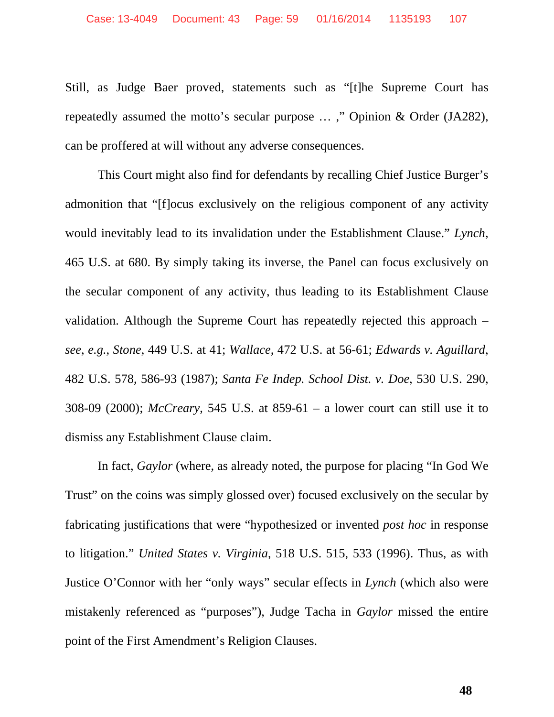Still, as Judge Baer proved, statements such as "[t]he Supreme Court has repeatedly assumed the motto's secular purpose … ," Opinion & Order (JA282), can be proffered at will without any adverse consequences.

This Court might also find for defendants by recalling Chief Justice Burger's admonition that "[f]ocus exclusively on the religious component of any activity would inevitably lead to its invalidation under the Establishment Clause." *Lynch*, 465 U.S. at 680. By simply taking its inverse, the Panel can focus exclusively on the secular component of any activity, thus leading to its Establishment Clause validation. Although the Supreme Court has repeatedly rejected this approach – *see*, *e.g.*, *Stone*, 449 U.S. at 41; *Wallace*, 472 U.S. at 56-61; *Edwards v. Aguillard*, 482 U.S. 578, 586-93 (1987); *Santa Fe Indep. School Dist. v. Doe*, 530 U.S. 290, 308-09 (2000); *McCreary*, 545 U.S. at 859-61 – a lower court can still use it to dismiss any Establishment Clause claim.

In fact, *Gaylor* (where, as already noted, the purpose for placing "In God We Trust" on the coins was simply glossed over) focused exclusively on the secular by fabricating justifications that were "hypothesized or invented *post hoc* in response to litigation." *United States v. Virginia*, 518 U.S. 515, 533 (1996). Thus, as with Justice O'Connor with her "only ways" secular effects in *Lynch* (which also were mistakenly referenced as "purposes"), Judge Tacha in *Gaylor* missed the entire point of the First Amendment's Religion Clauses.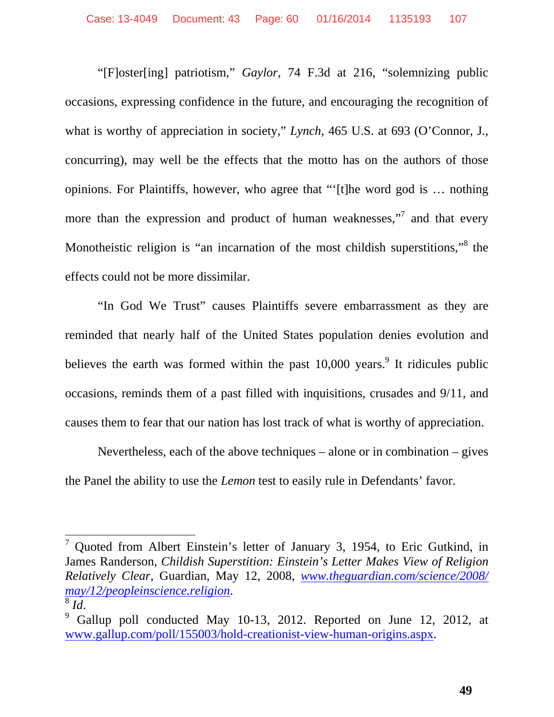"[F]oster[ing] patriotism," *Gaylor*, 74 F.3d at 216, "solemnizing public occasions, expressing confidence in the future, and encouraging the recognition of what is worthy of appreciation in society," *Lynch*, 465 U.S. at 693 (O'Connor, J., concurring), may well be the effects that the motto has on the authors of those opinions. For Plaintiffs, however, who agree that "'[t]he word god is … nothing more than the expression and product of human weaknesses,"<sup>7</sup> and that every Monotheistic religion is "an incarnation of the most childish superstitions,"<sup>8</sup> the effects could not be more dissimilar.

"In God We Trust" causes Plaintiffs severe embarrassment as they are reminded that nearly half of the United States population denies evolution and believes the earth was formed within the past  $10,000$  years.<sup>9</sup> It ridicules public occasions, reminds them of a past filled with inquisitions, crusades and 9/11, and causes them to fear that our nation has lost track of what is worthy of appreciation.

Nevertheless, each of the above techniques – alone or in combination – gives the Panel the ability to use the *Lemon* test to easily rule in Defendants' favor.

 $\overline{a}$ 

<sup>7</sup> Quoted from Albert Einstein's letter of January 3, 1954, to Eric Gutkind, in James Randerson, *Childish Superstition: Einstein's Letter Makes View of Religion Relatively Clear*, Guardian, May 12, 2008, *www.theguardian.com/science/2008/ may/12/peopleinscience.religion.*<br><sup>8</sup> *Id* 

Gallup poll conducted May 10-13, 2012. Reported on June 12, 2012, at www.gallup.com/poll/155003/hold-creationist-view-human-origins.aspx.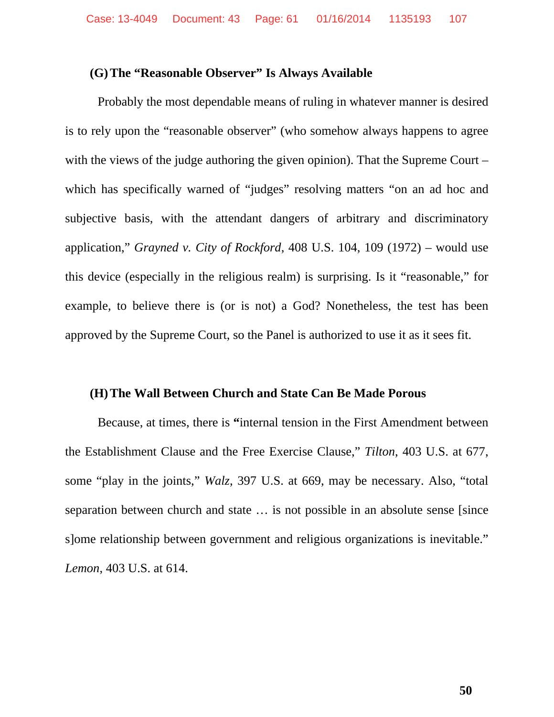### **(G)The "Reasonable Observer" Is Always Available**

Probably the most dependable means of ruling in whatever manner is desired is to rely upon the "reasonable observer" (who somehow always happens to agree with the views of the judge authoring the given opinion). That the Supreme Court – which has specifically warned of "judges" resolving matters "on an ad hoc and subjective basis, with the attendant dangers of arbitrary and discriminatory application," *Grayned v. City of Rockford*, 408 U.S. 104, 109 (1972) – would use this device (especially in the religious realm) is surprising. Is it "reasonable," for example, to believe there is (or is not) a God? Nonetheless, the test has been approved by the Supreme Court, so the Panel is authorized to use it as it sees fit.

#### **(H)The Wall Between Church and State Can Be Made Porous**

Because, at times, there is **"**internal tension in the First Amendment between the Establishment Clause and the Free Exercise Clause," *Tilton*, 403 U.S. at 677, some "play in the joints," *Walz*, 397 U.S. at 669, may be necessary. Also, "total separation between church and state … is not possible in an absolute sense [since s]ome relationship between government and religious organizations is inevitable." *Lemon*, 403 U.S. at 614.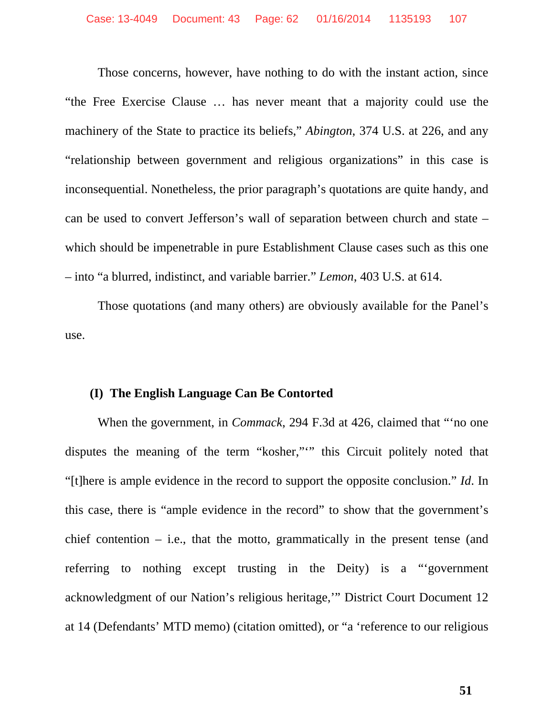Those concerns, however, have nothing to do with the instant action, since "the Free Exercise Clause … has never meant that a majority could use the machinery of the State to practice its beliefs," *Abington*, 374 U.S. at 226, and any "relationship between government and religious organizations" in this case is inconsequential. Nonetheless, the prior paragraph's quotations are quite handy, and can be used to convert Jefferson's wall of separation between church and state – which should be impenetrable in pure Establishment Clause cases such as this one – into "a blurred, indistinct, and variable barrier." *Lemon*, 403 U.S. at 614.

Those quotations (and many others) are obviously available for the Panel's use.

#### **(I) The English Language Can Be Contorted**

When the government, in *Commack*, 294 F.3d at 426, claimed that "'no one disputes the meaning of the term "kosher,"" this Circuit politely noted that "[t]here is ample evidence in the record to support the opposite conclusion." *Id*. In this case, there is "ample evidence in the record" to show that the government's chief contention  $-$  i.e., that the motto, grammatically in the present tense (and referring to nothing except trusting in the Deity) is a "'government acknowledgment of our Nation's religious heritage,'" District Court Document 12 at 14 (Defendants' MTD memo) (citation omitted), or "a 'reference to our religious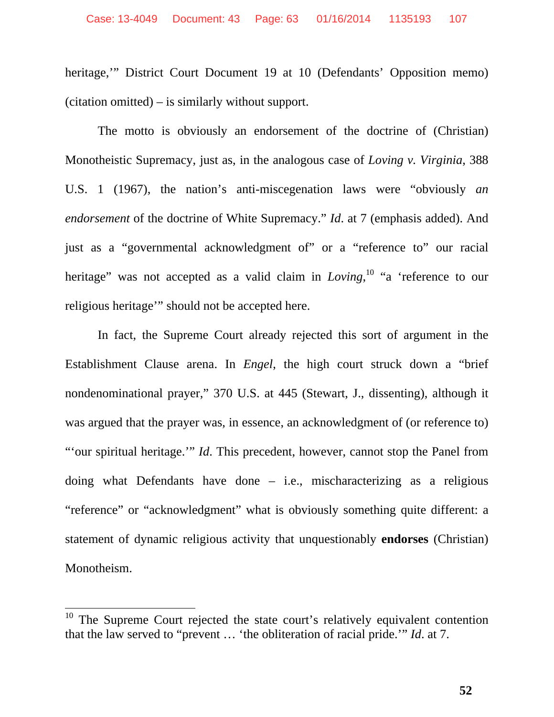heritage," District Court Document 19 at 10 (Defendants' Opposition memo) (citation omitted) – is similarly without support.

The motto is obviously an endorsement of the doctrine of (Christian) Monotheistic Supremacy, just as, in the analogous case of *Loving v. Virginia*, 388 U.S. 1 (1967), the nation's anti-miscegenation laws were "obviously *an endorsement* of the doctrine of White Supremacy." *Id*. at 7 (emphasis added). And just as a "governmental acknowledgment of" or a "reference to" our racial heritage" was not accepted as a valid claim in *Loving*, 10 "a 'reference to our religious heritage'" should not be accepted here.

In fact, the Supreme Court already rejected this sort of argument in the Establishment Clause arena. In *Engel*, the high court struck down a "brief nondenominational prayer," 370 U.S. at 445 (Stewart, J., dissenting), although it was argued that the prayer was, in essence, an acknowledgment of (or reference to) "'our spiritual heritage.'" *Id*. This precedent, however, cannot stop the Panel from doing what Defendants have done – i.e., mischaracterizing as a religious "reference" or "acknowledgment" what is obviously something quite different: a statement of dynamic religious activity that unquestionably **endorses** (Christian) Monotheism.

 $\overline{a}$ 

 $10$  The Supreme Court rejected the state court's relatively equivalent contention that the law served to "prevent … 'the obliteration of racial pride.'" *Id*. at 7.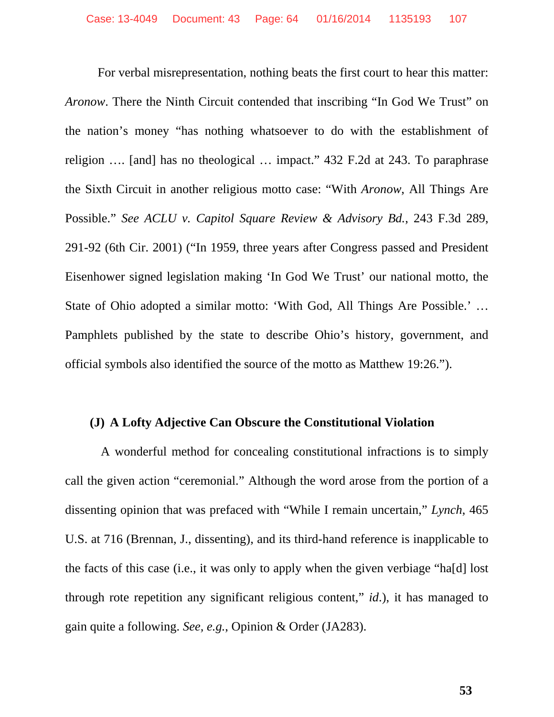For verbal misrepresentation, nothing beats the first court to hear this matter: *Aronow*. There the Ninth Circuit contended that inscribing "In God We Trust" on the nation's money "has nothing whatsoever to do with the establishment of religion …. [and] has no theological … impact." 432 F.2d at 243. To paraphrase the Sixth Circuit in another religious motto case: "With *Aronow*, All Things Are Possible." *See ACLU v. Capitol Square Review & Advisory Bd.*, 243 F.3d 289, 291-92 (6th Cir. 2001) ("In 1959, three years after Congress passed and President Eisenhower signed legislation making 'In God We Trust' our national motto, the State of Ohio adopted a similar motto: 'With God, All Things Are Possible.' … Pamphlets published by the state to describe Ohio's history, government, and official symbols also identified the source of the motto as Matthew 19:26.").

#### **(J) A Lofty Adjective Can Obscure the Constitutional Violation**

 A wonderful method for concealing constitutional infractions is to simply call the given action "ceremonial." Although the word arose from the portion of a dissenting opinion that was prefaced with "While I remain uncertain," *Lynch*, 465 U.S. at 716 (Brennan, J., dissenting), and its third-hand reference is inapplicable to the facts of this case (i.e., it was only to apply when the given verbiage "ha[d] lost through rote repetition any significant religious content," *id*.), it has managed to gain quite a following. *See, e.g.*, Opinion & Order (JA283).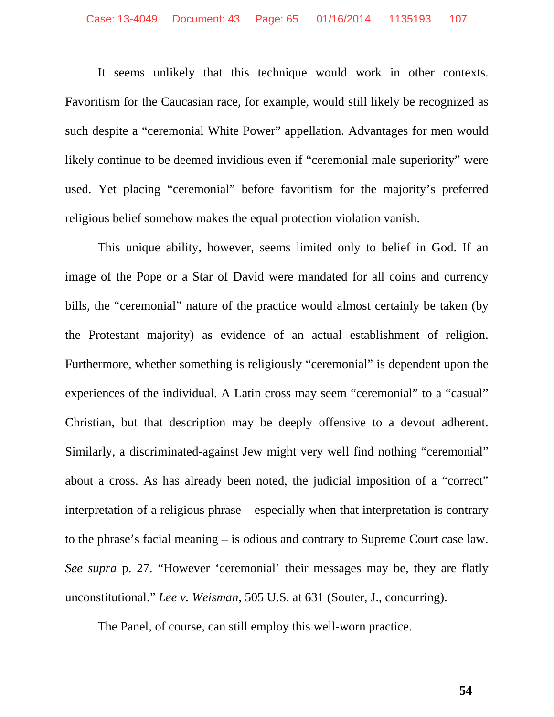It seems unlikely that this technique would work in other contexts. Favoritism for the Caucasian race, for example, would still likely be recognized as such despite a "ceremonial White Power" appellation. Advantages for men would likely continue to be deemed invidious even if "ceremonial male superiority" were used. Yet placing "ceremonial" before favoritism for the majority's preferred religious belief somehow makes the equal protection violation vanish.

This unique ability, however, seems limited only to belief in God. If an image of the Pope or a Star of David were mandated for all coins and currency bills, the "ceremonial" nature of the practice would almost certainly be taken (by the Protestant majority) as evidence of an actual establishment of religion. Furthermore, whether something is religiously "ceremonial" is dependent upon the experiences of the individual. A Latin cross may seem "ceremonial" to a "casual" Christian, but that description may be deeply offensive to a devout adherent. Similarly, a discriminated-against Jew might very well find nothing "ceremonial" about a cross. As has already been noted, the judicial imposition of a "correct" interpretation of a religious phrase – especially when that interpretation is contrary to the phrase's facial meaning – is odious and contrary to Supreme Court case law. *See supra* p. 27. "However 'ceremonial' their messages may be, they are flatly unconstitutional." *Lee v. Weisman*, 505 U.S. at 631 (Souter, J., concurring).

The Panel, of course, can still employ this well-worn practice.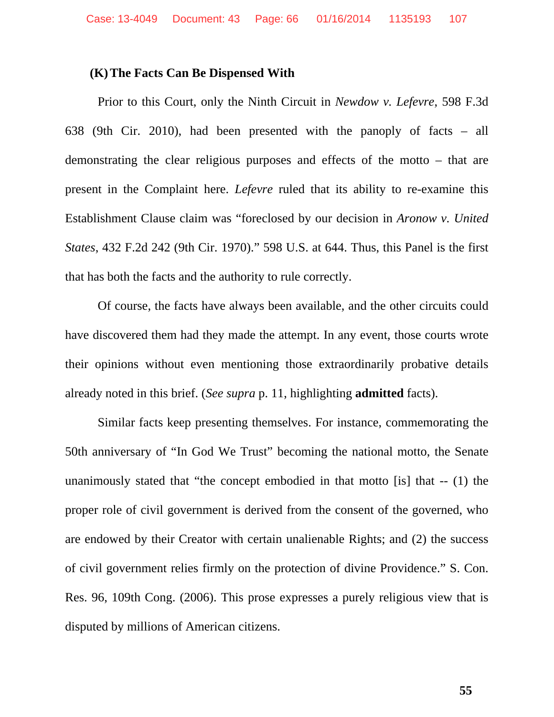#### **(K)The Facts Can Be Dispensed With**

Prior to this Court, only the Ninth Circuit in *Newdow v. Lefevre*, 598 F.3d 638 (9th Cir. 2010), had been presented with the panoply of facts – all demonstrating the clear religious purposes and effects of the motto – that are present in the Complaint here. *Lefevre* ruled that its ability to re-examine this Establishment Clause claim was "foreclosed by our decision in *Aronow v. United States*, 432 F.2d 242 (9th Cir. 1970)." 598 U.S. at 644. Thus, this Panel is the first that has both the facts and the authority to rule correctly.

Of course, the facts have always been available, and the other circuits could have discovered them had they made the attempt. In any event, those courts wrote their opinions without even mentioning those extraordinarily probative details already noted in this brief. (*See supra* p. 11, highlighting **admitted** facts).

Similar facts keep presenting themselves. For instance, commemorating the 50th anniversary of "In God We Trust" becoming the national motto, the Senate unanimously stated that "the concept embodied in that motto [is] that -- (1) the proper role of civil government is derived from the consent of the governed, who are endowed by their Creator with certain unalienable Rights; and (2) the success of civil government relies firmly on the protection of divine Providence." S. Con. Res. 96, 109th Cong. (2006). This prose expresses a purely religious view that is disputed by millions of American citizens.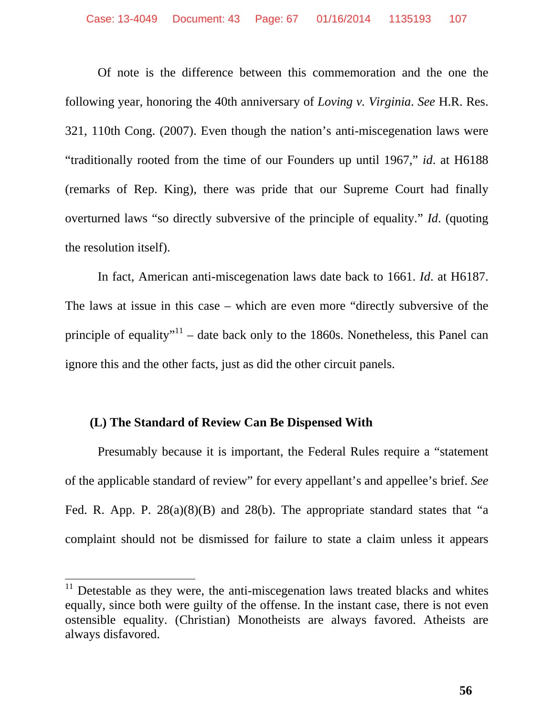Of note is the difference between this commemoration and the one the following year, honoring the 40th anniversary of *Loving v. Virginia*. *See* H.R. Res. 321, 110th Cong. (2007). Even though the nation's anti-miscegenation laws were "traditionally rooted from the time of our Founders up until 1967," *id*. at H6188 (remarks of Rep. King), there was pride that our Supreme Court had finally overturned laws "so directly subversive of the principle of equality." *Id*. (quoting the resolution itself).

In fact, American anti-miscegenation laws date back to 1661. *Id*. at H6187. The laws at issue in this case – which are even more "directly subversive of the principle of equality"<sup>11</sup> – date back only to the 1860s. Nonetheless, this Panel can ignore this and the other facts, just as did the other circuit panels.

## **(L) The Standard of Review Can Be Dispensed With**

 $\overline{a}$ 

Presumably because it is important, the Federal Rules require a "statement of the applicable standard of review" for every appellant's and appellee's brief. *See*  Fed. R. App. P. 28(a)(8)(B) and 28(b). The appropriate standard states that "a complaint should not be dismissed for failure to state a claim unless it appears

 $11$  Detestable as they were, the anti-miscegenation laws treated blacks and whites equally, since both were guilty of the offense. In the instant case, there is not even ostensible equality. (Christian) Monotheists are always favored. Atheists are always disfavored.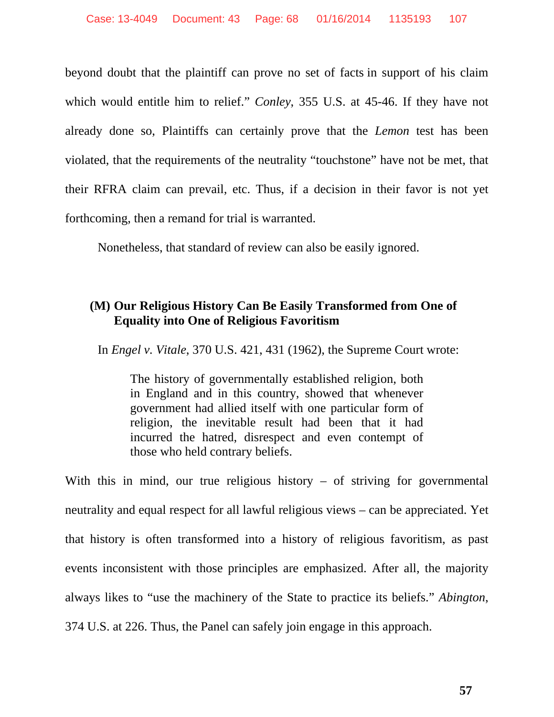beyond doubt that the plaintiff can prove no set of facts in support of his claim which would entitle him to relief." *Conley*, 355 U.S. at 45-46. If they have not already done so, Plaintiffs can certainly prove that the *Lemon* test has been violated, that the requirements of the neutrality "touchstone" have not be met, that their RFRA claim can prevail, etc. Thus, if a decision in their favor is not yet forthcoming, then a remand for trial is warranted.

Nonetheless, that standard of review can also be easily ignored.

## **(M) Our Religious History Can Be Easily Transformed from One of Equality into One of Religious Favoritism**

In *Engel v. Vitale*, 370 U.S. 421, 431 (1962), the Supreme Court wrote:

The history of governmentally established religion, both in England and in this country, showed that whenever government had allied itself with one particular form of religion, the inevitable result had been that it had incurred the hatred, disrespect and even contempt of those who held contrary beliefs.

With this in mind, our true religious history – of striving for governmental neutrality and equal respect for all lawful religious views – can be appreciated. Yet that history is often transformed into a history of religious favoritism, as past events inconsistent with those principles are emphasized. After all, the majority always likes to "use the machinery of the State to practice its beliefs." *Abington*, 374 U.S. at 226. Thus, the Panel can safely join engage in this approach.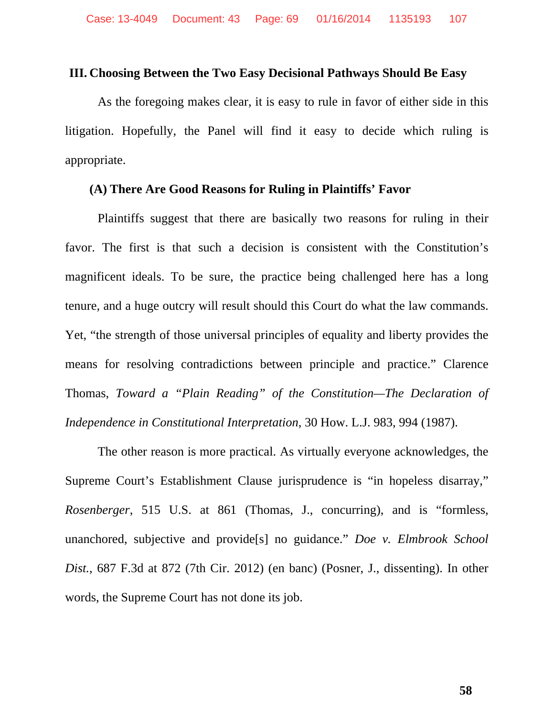### **III. Choosing Between the Two Easy Decisional Pathways Should Be Easy**

As the foregoing makes clear, it is easy to rule in favor of either side in this litigation. Hopefully, the Panel will find it easy to decide which ruling is appropriate.

#### **(A) There Are Good Reasons for Ruling in Plaintiffs' Favor**

Plaintiffs suggest that there are basically two reasons for ruling in their favor. The first is that such a decision is consistent with the Constitution's magnificent ideals. To be sure, the practice being challenged here has a long tenure, and a huge outcry will result should this Court do what the law commands. Yet, "the strength of those universal principles of equality and liberty provides the means for resolving contradictions between principle and practice." Clarence Thomas, *Toward a "Plain Reading" of the Constitution—The Declaration of Independence in Constitutional Interpretation*, 30 How. L.J. 983, 994 (1987).

The other reason is more practical. As virtually everyone acknowledges, the Supreme Court's Establishment Clause jurisprudence is "in hopeless disarray," *Rosenberger*, 515 U.S. at 861 (Thomas, J., concurring), and is "formless, unanchored, subjective and provide[s] no guidance." *Doe v. Elmbrook School Dist.*, 687 F.3d at 872 (7th Cir. 2012) (en banc) (Posner, J., dissenting). In other words, the Supreme Court has not done its job.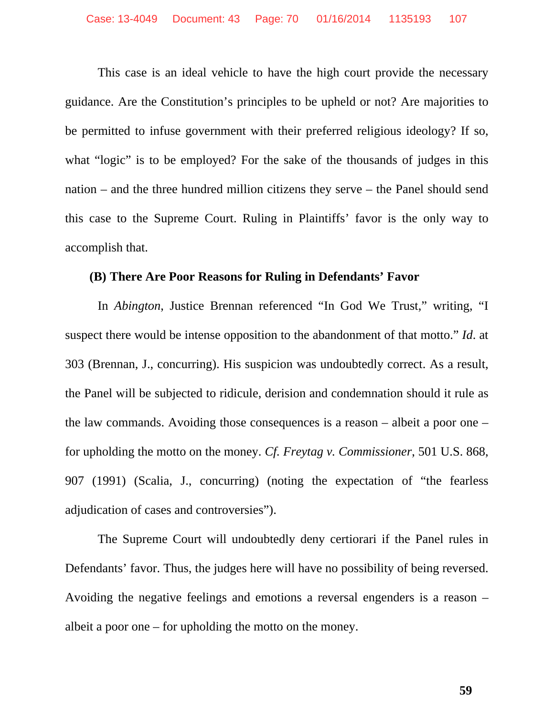This case is an ideal vehicle to have the high court provide the necessary guidance. Are the Constitution's principles to be upheld or not? Are majorities to be permitted to infuse government with their preferred religious ideology? If so, what "logic" is to be employed? For the sake of the thousands of judges in this nation – and the three hundred million citizens they serve – the Panel should send this case to the Supreme Court. Ruling in Plaintiffs' favor is the only way to accomplish that.

### **(B) There Are Poor Reasons for Ruling in Defendants' Favor**

In *Abington*, Justice Brennan referenced "In God We Trust," writing, "I suspect there would be intense opposition to the abandonment of that motto." *Id*. at 303 (Brennan, J., concurring). His suspicion was undoubtedly correct. As a result, the Panel will be subjected to ridicule, derision and condemnation should it rule as the law commands. Avoiding those consequences is a reason – albeit a poor one – for upholding the motto on the money. *Cf. Freytag v. Commissioner*, 501 U.S. 868, 907 (1991) (Scalia, J., concurring) (noting the expectation of "the fearless adjudication of cases and controversies").

The Supreme Court will undoubtedly deny certiorari if the Panel rules in Defendants' favor. Thus, the judges here will have no possibility of being reversed. Avoiding the negative feelings and emotions a reversal engenders is a reason – albeit a poor one – for upholding the motto on the money.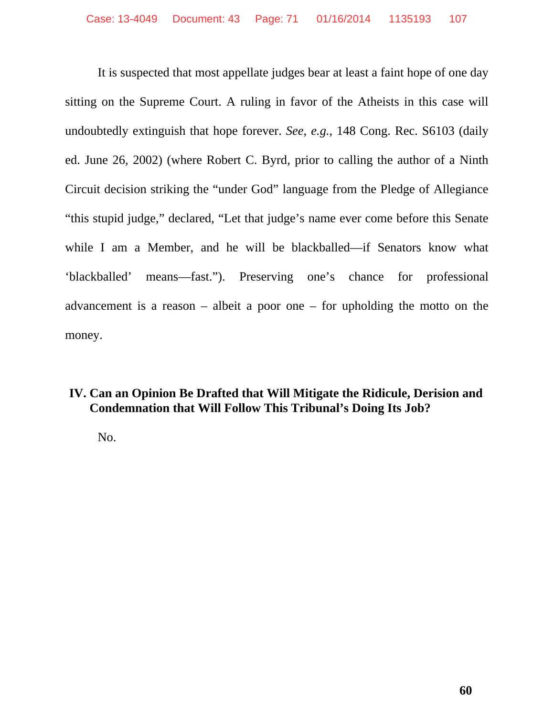It is suspected that most appellate judges bear at least a faint hope of one day sitting on the Supreme Court. A ruling in favor of the Atheists in this case will undoubtedly extinguish that hope forever. *See*, *e.g.*, 148 Cong. Rec. S6103 (daily ed. June 26, 2002) (where Robert C. Byrd, prior to calling the author of a Ninth Circuit decision striking the "under God" language from the Pledge of Allegiance "this stupid judge," declared, "Let that judge's name ever come before this Senate while I am a Member, and he will be blackballed—if Senators know what 'blackballed' means—fast."). Preserving one's chance for professional advancement is a reason – albeit a poor one – for upholding the motto on the money.

## **IV. Can an Opinion Be Drafted that Will Mitigate the Ridicule, Derision and Condemnation that Will Follow This Tribunal's Doing Its Job?**

No.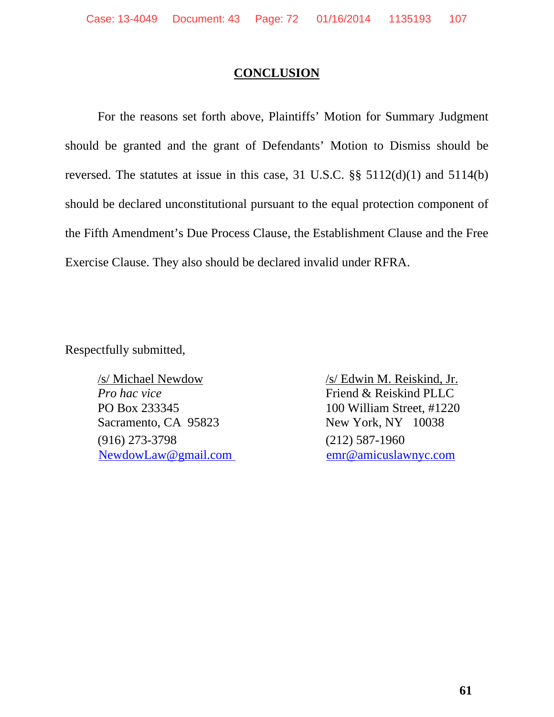# **CONCLUSION**

For the reasons set forth above, Plaintiffs' Motion for Summary Judgment should be granted and the grant of Defendants' Motion to Dismiss should be reversed. The statutes at issue in this case, 31 U.S.C. §§ 5112(d)(1) and 5114(b) should be declared unconstitutional pursuant to the equal protection component of the Fifth Amendment's Due Process Clause, the Establishment Clause and the Free Exercise Clause. They also should be declared invalid under RFRA.

Respectfully submitted,

/s/ Michael Newdow /s/ Edwin M. Reiskind, Jr. *Pro hac vice* Friend & Reiskind PLLC Sacramento, CA 95823 New York, NY 10038 (916) 273-3798 (212) 587-1960 NewdowLaw@gmail.com emr@amicuslawnyc.com

PO Box 233345 100 William Street, #1220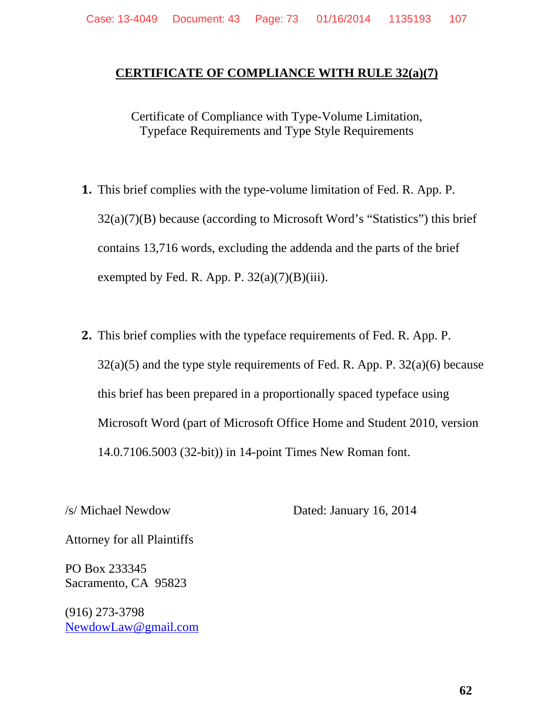#### **CERTIFICATE OF COMPLIANCE WITH RULE 32(a)(7)**

Certificate of Compliance with Type-Volume Limitation, Typeface Requirements and Type Style Requirements

- **1.** This brief complies with the type-volume limitation of Fed. R. App. P.  $32(a)(7)(B)$  because (according to Microsoft Word's "Statistics") this brief contains 13,716 words, excluding the addenda and the parts of the brief exempted by Fed. R. App. P.  $32(a)(7)(B)(iii)$ .
- **2.** This brief complies with the typeface requirements of Fed. R. App. P.  $32(a)(5)$  and the type style requirements of Fed. R. App. P.  $32(a)(6)$  because this brief has been prepared in a proportionally spaced typeface using Microsoft Word (part of Microsoft Office Home and Student 2010, version 14.0.7106.5003 (32-bit)) in 14-point Times New Roman font.

/s/ Michael Newdow Dated: January 16, 2014

Attorney for all Plaintiffs

PO Box 233345 Sacramento, CA 95823

(916) 273-3798 NewdowLaw@gmail.com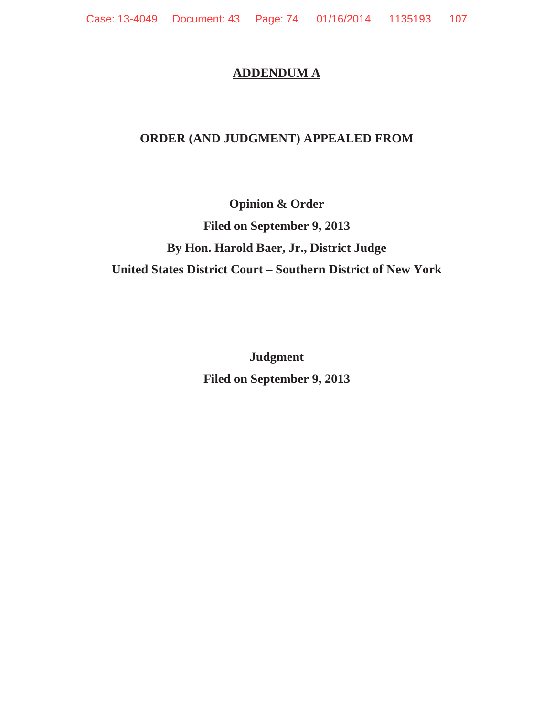### **ADDENDUM A**

## **ORDER (AND JUDGMENT) APPEALED FROM**

**Opinion & Order Filed on September 9, 2013 By Hon. Harold Baer, Jr., District Judge United States District Court – Southern District of New York** 

> **Judgment Filed on September 9, 2013**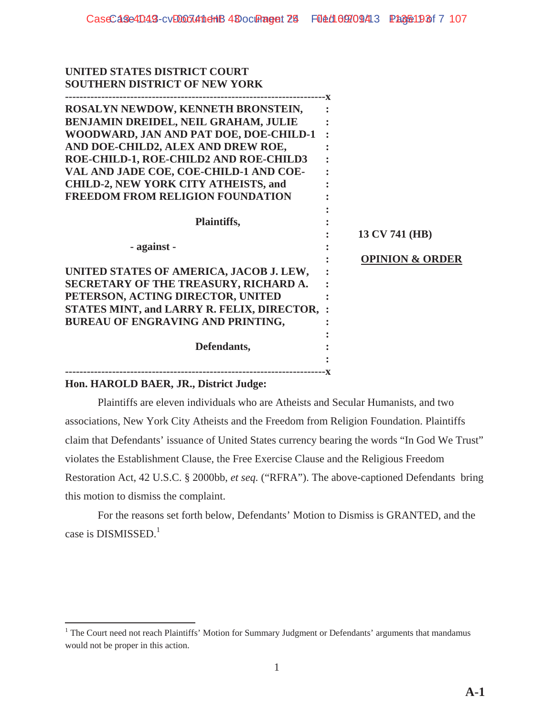| <b>UNITED STATES DISTRICT COURT</b>            |                            |
|------------------------------------------------|----------------------------|
| <b>SOUTHERN DISTRICT OF NEW YORK</b>           |                            |
| -------X<br>ROSALYN NEWDOW, KENNETH BRONSTEIN, |                            |
| BENJAMIN DREIDEL, NEIL GRAHAM, JULIE           |                            |
| WOODWARD, JAN AND PAT DOE, DOE-CHILD-1         |                            |
| AND DOE-CHILD2, ALEX AND DREW ROE,             |                            |
| ROE-CHILD-1, ROE-CHILD2 AND ROE-CHILD3         |                            |
| VAL AND JADE COE, COE-CHILD-1 AND COE-         |                            |
| <b>CHILD-2, NEW YORK CITY ATHEISTS, and</b>    |                            |
| <b>FREEDOM FROM RELIGION FOUNDATION</b>        |                            |
| Plaintiffs,                                    |                            |
|                                                | 13 CV 741 (HB)             |
| - against -                                    |                            |
|                                                | <b>OPINION &amp; ORDER</b> |
| UNITED STATES OF AMERICA, JACOB J. LEW,        |                            |
| SECRETARY OF THE TREASURY, RICHARD A.          |                            |
| PETERSON, ACTING DIRECTOR, UNITED              |                            |
| STATES MINT, and LARRY R. FELIX, DIRECTOR, :   |                            |
| BUREAU OF ENGRAVING AND PRINTING,              |                            |
| Defendants,                                    |                            |
| <br>Hon. HAROLD BAER, JR., District Judge:     |                            |

# Plaintiffs are eleven individuals who are Atheists and Secular Humanists, and two associations, New York City Atheists and the Freedom from Religion Foundation. Plaintiffs claim that Defendants' issuance of United States currency bearing the words "In God We Trust" violates the Establishment Clause, the Free Exercise Clause and the Religious Freedom Restoration Act, 42 U.S.C. § 2000bb, *et seq.* ("RFRA"). The above-captioned Defendants bring this motion to dismiss the complaint.

For the reasons set forth below, Defendants' Motion to Dismiss is GRANTED, and the case is  $DISMISSED<sup>1</sup>$ .

<sup>&</sup>lt;sup>1</sup> The Court need not reach Plaintiffs' Motion for Summary Judgment or Defendants' arguments that mandamus would not be proper in this action.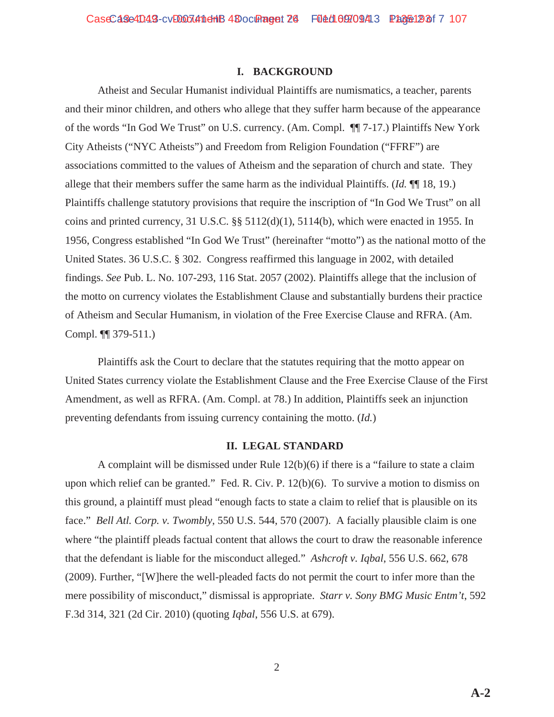#### **I. BACKGROUND**

Atheist and Secular Humanist individual Plaintiffs are numismatics, a teacher, parents and their minor children, and others who allege that they suffer harm because of the appearance of the words "In God We Trust" on U.S. currency. (Am. Compl. ¶¶ 7-17.) Plaintiffs New York City Atheists ("NYC Atheists") and Freedom from Religion Foundation ("FFRF") are associations committed to the values of Atheism and the separation of church and state. They allege that their members suffer the same harm as the individual Plaintiffs. (*Id.* ¶¶ 18, 19.) Plaintiffs challenge statutory provisions that require the inscription of "In God We Trust" on all coins and printed currency, 31 U.S.C. §§ 5112(d)(1), 5114(b), which were enacted in 1955. In 1956, Congress established "In God We Trust" (hereinafter "motto") as the national motto of the United States. 36 U.S.C. § 302. Congress reaffirmed this language in 2002, with detailed findings. *See* Pub. L. No. 107-293, 116 Stat. 2057 (2002). Plaintiffs allege that the inclusion of the motto on currency violates the Establishment Clause and substantially burdens their practice of Atheism and Secular Humanism, in violation of the Free Exercise Clause and RFRA. (Am. Compl. ¶¶ 379-511.)

Plaintiffs ask the Court to declare that the statutes requiring that the motto appear on United States currency violate the Establishment Clause and the Free Exercise Clause of the First Amendment, as well as RFRA. (Am. Compl. at 78.) In addition, Plaintiffs seek an injunction preventing defendants from issuing currency containing the motto. (*Id.*)

#### **II. LEGAL STANDARD**

A complaint will be dismissed under Rule 12(b)(6) if there is a "failure to state a claim upon which relief can be granted." Fed. R. Civ. P. 12(b)(6). To survive a motion to dismiss on this ground, a plaintiff must plead "enough facts to state a claim to relief that is plausible on its face." *Bell Atl. Corp. v. Twombly*, 550 U.S. 544, 570 (2007). A facially plausible claim is one where "the plaintiff pleads factual content that allows the court to draw the reasonable inference that the defendant is liable for the misconduct alleged." *Ashcroft v. Iqbal*, 556 U.S. 662, 678 (2009). Further, "[W]here the well-pleaded facts do not permit the court to infer more than the mere possibility of misconduct," dismissal is appropriate. *Starr v. Sony BMG Music Entm't*, 592 F.3d 314, 321 (2d Cir. 2010) (quoting *Iqbal*, 556 U.S. at 679).

2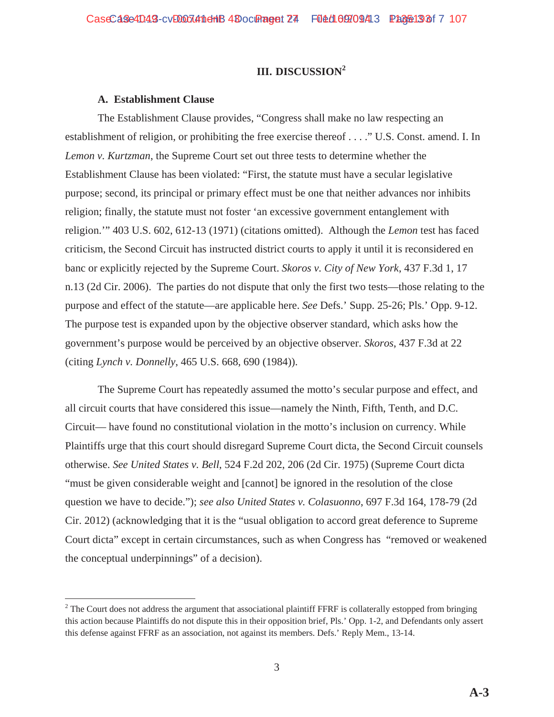#### **III. DISCUSSION2**

#### **A. Establishment Clause**

The Establishment Clause provides, "Congress shall make no law respecting an establishment of religion, or prohibiting the free exercise thereof . . . ." U.S. Const. amend. I. In *Lemon v. Kurtzman*, the Supreme Court set out three tests to determine whether the Establishment Clause has been violated: "First, the statute must have a secular legislative purpose; second, its principal or primary effect must be one that neither advances nor inhibits religion; finally, the statute must not foster 'an excessive government entanglement with religion.'" 403 U.S. 602, 612-13 (1971) (citations omitted). Although the *Lemon* test has faced criticism, the Second Circuit has instructed district courts to apply it until it is reconsidered en banc or explicitly rejected by the Supreme Court. *Skoros v. City of New York*, 437 F.3d 1, 17 n.13 (2d Cir. 2006). The parties do not dispute that only the first two tests—those relating to the purpose and effect of the statute—are applicable here. *See* Defs.' Supp. 25-26; Pls.' Opp. 9-12. The purpose test is expanded upon by the objective observer standard, which asks how the government's purpose would be perceived by an objective observer. *Skoros*, 437 F.3d at 22 (citing *Lynch v. Donnelly*, 465 U.S. 668, 690 (1984)).

The Supreme Court has repeatedly assumed the motto's secular purpose and effect, and all circuit courts that have considered this issue—namely the Ninth, Fifth, Tenth, and D.C. Circuit— have found no constitutional violation in the motto's inclusion on currency. While Plaintiffs urge that this court should disregard Supreme Court dicta, the Second Circuit counsels otherwise. *See United States v. Bell*, 524 F.2d 202, 206 (2d Cir. 1975) (Supreme Court dicta "must be given considerable weight and [cannot] be ignored in the resolution of the close question we have to decide."); *see also United States v. Colasuonno*, 697 F.3d 164, 178-79 (2d Cir. 2012) (acknowledging that it is the "usual obligation to accord great deference to Supreme Court dicta" except in certain circumstances, such as when Congress has "removed or weakened the conceptual underpinnings" of a decision).

 $2^2$  The Court does not address the argument that associational plaintiff FFRF is collaterally estopped from bringing this action because Plaintiffs do not dispute this in their opposition brief, Pls.' Opp. 1-2, and Defendants only assert this defense against FFRF as an association, not against its members. Defs.' Reply Mem., 13-14.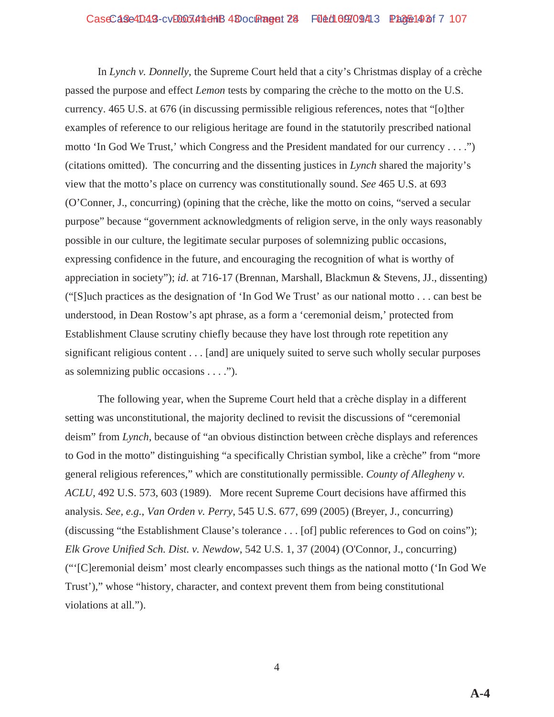In *Lynch v. Donnelly*, the Supreme Court held that a city's Christmas display of a crèche passed the purpose and effect *Lemon* tests by comparing the crèche to the motto on the U.S. currency. 465 U.S. at 676 (in discussing permissible religious references, notes that "[o]ther examples of reference to our religious heritage are found in the statutorily prescribed national motto 'In God We Trust,' which Congress and the President mandated for our currency . . . .") (citations omitted). The concurring and the dissenting justices in *Lynch* shared the majority's view that the motto's place on currency was constitutionally sound. *See* 465 U.S. at 693 (O'Conner, J., concurring) (opining that the crèche, like the motto on coins, "served a secular purpose" because "government acknowledgments of religion serve, in the only ways reasonably possible in our culture, the legitimate secular purposes of solemnizing public occasions, expressing confidence in the future, and encouraging the recognition of what is worthy of appreciation in society"); *id*. at 716-17 (Brennan, Marshall, Blackmun & Stevens, JJ., dissenting) ("[S]uch practices as the designation of 'In God We Trust' as our national motto . . . can best be understood, in Dean Rostow's apt phrase, as a form a 'ceremonial deism,' protected from Establishment Clause scrutiny chiefly because they have lost through rote repetition any significant religious content . . . [and] are uniquely suited to serve such wholly secular purposes as solemnizing public occasions . . . .").

The following year, when the Supreme Court held that a crèche display in a different setting was unconstitutional, the majority declined to revisit the discussions of "ceremonial deism" from *Lynch*, because of "an obvious distinction between crèche displays and references to God in the motto" distinguishing "a specifically Christian symbol, like a crèche" from "more general religious references," which are constitutionally permissible. *County of Allegheny v. ACLU*, 492 U.S. 573, 603 (1989). More recent Supreme Court decisions have affirmed this analysis. *See, e.g.*, *Van Orden v. Perry*, 545 U.S. 677, 699 (2005) (Breyer, J., concurring) (discussing "the Establishment Clause's tolerance . . . [of] public references to God on coins"); *Elk Grove Unified Sch. Dist. v. Newdow*, 542 U.S. 1, 37 (2004) (O'Connor, J., concurring) ("'[C]eremonial deism' most clearly encompasses such things as the national motto ('In God We Trust')," whose "history, character, and context prevent them from being constitutional violations at all.").

4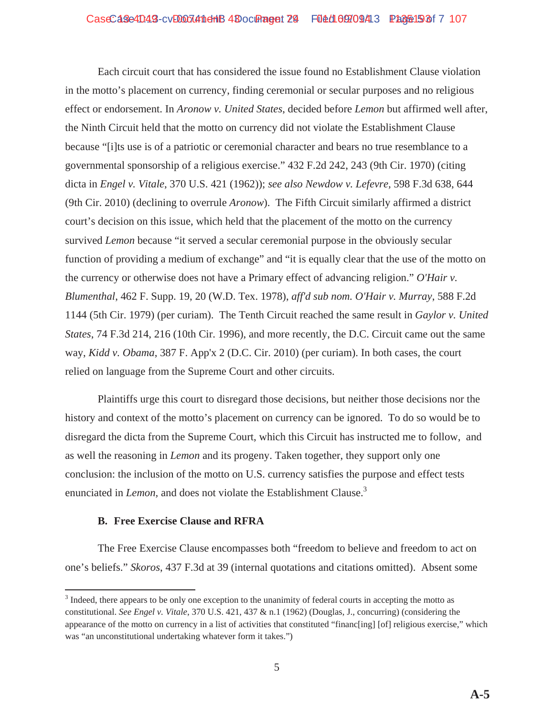Each circuit court that has considered the issue found no Establishment Clause violation in the motto's placement on currency, finding ceremonial or secular purposes and no religious effect or endorsement. In *Aronow v. United States*, decided before *Lemon* but affirmed well after, the Ninth Circuit held that the motto on currency did not violate the Establishment Clause because "[i]ts use is of a patriotic or ceremonial character and bears no true resemblance to a governmental sponsorship of a religious exercise." 432 F.2d 242, 243 (9th Cir. 1970) (citing dicta in *Engel v. Vitale*, 370 U.S. 421 (1962)); *see also Newdow v. Lefevre,* 598 F.3d 638, 644 (9th Cir. 2010) (declining to overrule *Aronow*). The Fifth Circuit similarly affirmed a district court's decision on this issue, which held that the placement of the motto on the currency survived *Lemon* because "it served a secular ceremonial purpose in the obviously secular function of providing a medium of exchange" and "it is equally clear that the use of the motto on the currency or otherwise does not have a Primary effect of advancing religion." *O'Hair v. Blumenthal*, 462 F. Supp. 19, 20 (W.D. Tex. 1978), *aff'd sub nom. O'Hair v. Murray*, 588 F.2d 1144 (5th Cir. 1979) (per curiam). The Tenth Circuit reached the same result in *Gaylor v. United States*, 74 F.3d 214, 216 (10th Cir. 1996), and more recently, the D.C. Circuit came out the same way, *Kidd v. Obama*, 387 F. App'x 2 (D.C. Cir. 2010) (per curiam). In both cases, the court relied on language from the Supreme Court and other circuits.

Plaintiffs urge this court to disregard those decisions, but neither those decisions nor the history and context of the motto's placement on currency can be ignored. To do so would be to disregard the dicta from the Supreme Court, which this Circuit has instructed me to follow, and as well the reasoning in *Lemon* and its progeny. Taken together, they support only one conclusion: the inclusion of the motto on U.S. currency satisfies the purpose and effect tests enunciated in *Lemon*, and does not violate the Establishment Clause.<sup>3</sup>

#### **B. Free Exercise Clause and RFRA**

The Free Exercise Clause encompasses both "freedom to believe and freedom to act on one's beliefs." *Skoros*, 437 F.3d at 39 (internal quotations and citations omitted). Absent some

<sup>&</sup>lt;sup>3</sup> Indeed, there appears to be only one exception to the unanimity of federal courts in accepting the motto as constitutional. *See Engel v. Vitale*, 370 U.S. 421, 437 & n.1 (1962) (Douglas, J., concurring) (considering the appearance of the motto on currency in a list of activities that constituted "financ[ing] [of] religious exercise," which was "an unconstitutional undertaking whatever form it takes.")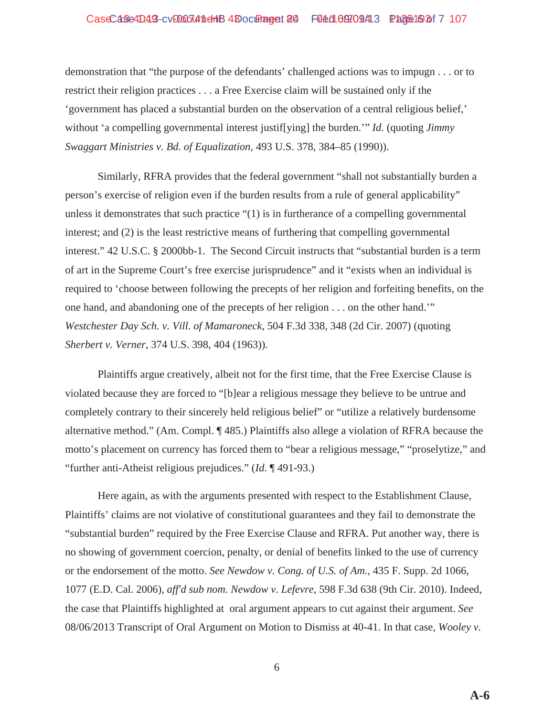demonstration that "the purpose of the defendants' challenged actions was to impugn . . . or to restrict their religion practices . . . a Free Exercise claim will be sustained only if the 'government has placed a substantial burden on the observation of a central religious belief,' without 'a compelling governmental interest justif[ying] the burden.'" *Id*. (quoting *Jimmy Swaggart Ministries v. Bd. of Equalization*, 493 U.S. 378, 384–85 (1990)).

Similarly, RFRA provides that the federal government "shall not substantially burden a person's exercise of religion even if the burden results from a rule of general applicability" unless it demonstrates that such practice "(1) is in furtherance of a compelling governmental interest; and (2) is the least restrictive means of furthering that compelling governmental interest." 42 U.S.C. § 2000bb-1. The Second Circuit instructs that "substantial burden is a term of art in the Supreme Court's free exercise jurisprudence" and it "exists when an individual is required to 'choose between following the precepts of her religion and forfeiting benefits, on the one hand, and abandoning one of the precepts of her religion . . . on the other hand.'" *Westchester Day Sch. v. Vill. of Mamaroneck*, 504 F.3d 338, 348 (2d Cir. 2007) (quoting *Sherbert v. Verner*, 374 U.S. 398, 404 (1963)).

Plaintiffs argue creatively, albeit not for the first time, that the Free Exercise Clause is violated because they are forced to "[b]ear a religious message they believe to be untrue and completely contrary to their sincerely held religious belief" or "utilize a relatively burdensome alternative method." (Am. Compl. ¶ 485.) Plaintiffs also allege a violation of RFRA because the motto's placement on currency has forced them to "bear a religious message," "proselytize," and "further anti-Atheist religious prejudices." (*Id*. ¶ 491-93.)

Here again, as with the arguments presented with respect to the Establishment Clause, Plaintiffs' claims are not violative of constitutional guarantees and they fail to demonstrate the "substantial burden" required by the Free Exercise Clause and RFRA. Put another way, there is no showing of government coercion, penalty, or denial of benefits linked to the use of currency or the endorsement of the motto. *See Newdow v. Cong. of U.S. of Am.,* 435 F. Supp. 2d 1066, 1077 (E.D. Cal. 2006), *aff'd sub nom. Newdow v. Lefevre*, 598 F.3d 638 (9th Cir. 2010). Indeed, the case that Plaintiffs highlighted at oral argument appears to cut against their argument. *See* 08/06/2013 Transcript of Oral Argument on Motion to Dismiss at 40-41. In that case, *Wooley v.* 

6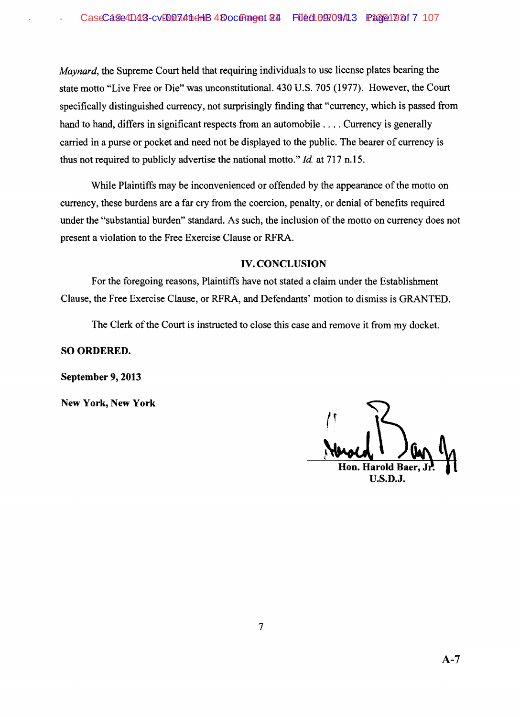*Maynard,* the Supreme Court held that requiring individuals to use license plates bearing the state motto "Live Free or Die" was unconstitutional. 430 U.S. 70S (1977). However, the Court specifically distinguished currency, not surprisingly finding that "currency, which is passed from hand to hand, differs in significant respects from an automobile .... Currency is generally carried in a purse or pocket and need not be displayed to the public. The bearer of currency is thus not required to publicly advertise the national motto." *[d.* at 717 n.1S.

While Plaintiffs may be inconvenienced or offended by the appearance of the motto on currency, these burdens are a far cry from the coercion, penalty, or denial of benefits required under the "substantial burden" standard. As such, the inclusion of the motto on currency does not present a violation to the Free Exercise Clause or RFRA.

#### IV. CONCLUSION

For the foregoing reasons, Plaintiffs have not stated a claim under the Establishment Clause, the Free Exercise Clause, or RFRA, and Defendants' motion to dismiss is GRANTED.

The Clerk of the Court is instructed to close this case and remove it from my docket.

SO ORDERED.

September 9, 2013

New York, New York

 $\mathcal{L}$ Hon. Harold Baer

U.S.D.J.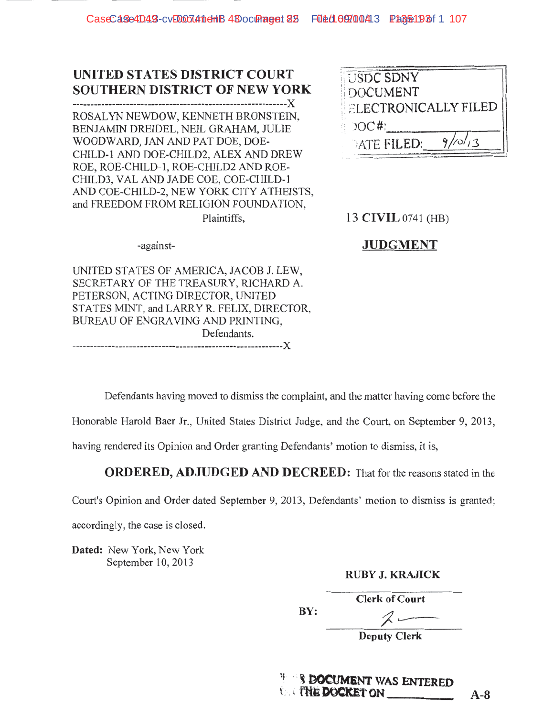## UNITED STATES DISTRICT COURT **SOUTHERN DISTRICT OF NEW YORK**

ROSALYN NEWDOW, KENNETH BRONSTEIN, BENJAMIN DREIDEL, NEIL GRAHAM, JULIE WOODWARD, JAN AND PAT DOE, DOE-CHILD-1 AND DOE-CHILD2, ALEX AND DREW ROE, ROE-CHILD-1, ROE-CHILD2 AND ROE-CHILD3, VAL AND JADE COE, COE-CHILD-1 AND COE-CHILD-2, NEW YORK CITY ATHEISTS, and FREEDOM FROM RELIGION FOUNDATION, Plaintiffs.

| <b>USDC SDNY</b>            |         |
|-----------------------------|---------|
| <b>DOCUMENT</b>             |         |
| <b>ELECTRONICALLY FILED</b> |         |
| $20C$ #:                    |         |
| ATE FILED:                  | 9/10/13 |

#### 13 CIVIL 0741 (HB)

#### -against-

UNITED STATES OF AMERICA, JACOB J. LEW, SECRETARY OF THE TREASURY, RICHARD A. PETERSON, ACTING DIRECTOR, UNITED STATES MINT, and LARRY R. FELIX, DIRECTOR, BUREAU OF ENGRAVING AND PRINTING. Defendants. ------------------------X

### **JUDGMENT**

Defendants having moved to dismiss the complaint, and the matter having come before the

Honorable Harold Baer Jr., United States District Judge, and the Court, on September 9, 2013,

having rendered its Opinion and Order granting Defendants' motion to dismiss, it is,

#### **ORDERED, ADJUDGED AND DECREED:** That for the reasons stated in the

BY:

Court's Opinion and Order dated September 9, 2013, Defendants' motion to dismiss is granted;

accordingly, the case is closed.

Dated: New York, New York September 10, 2013

**RUBY J. KRAJICK** 

**Clerk of Court** 

**Deputy Clerk** 

 $\sim$ 

**S DOCUMENT WAS ENTERED E. THE DOCKET ON** 

**A-8**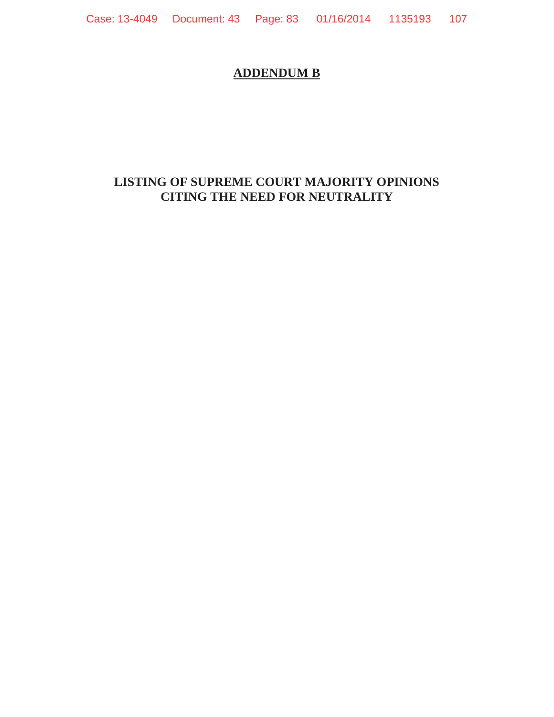## **ADDENDUM B**

## **LISTING OF SUPREME COURT MAJORITY OPINIONS CITING THE NEED FOR NEUTRALITY**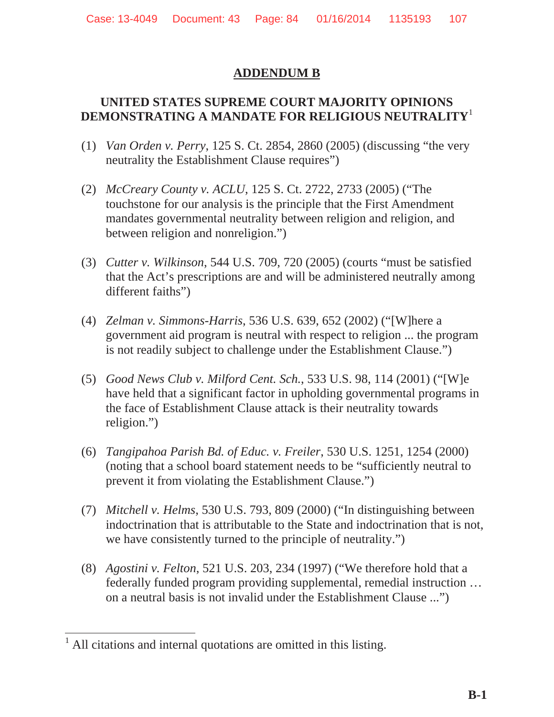## **ADDENDUM B**

## **UNITED STATES SUPREME COURT MAJORITY OPINIONS DEMONSTRATING A MANDATE FOR RELIGIOUS NEUTRALITY**<sup>1</sup>

- (1) *Van Orden v. Perry*, 125 S. Ct. 2854, 2860 (2005) (discussing "the very neutrality the Establishment Clause requires")
- (2) *McCreary County v. ACLU*, 125 S. Ct. 2722, 2733 (2005) ("The touchstone for our analysis is the principle that the First Amendment mandates governmental neutrality between religion and religion, and between religion and nonreligion.")
- (3) *Cutter v. Wilkinson*, 544 U.S. 709, 720 (2005) (courts "must be satisfied that the Act's prescriptions are and will be administered neutrally among different faiths")
- (4) *Zelman v. Simmons-Harris*, 536 U.S. 639, 652 (2002) ("[W]here a government aid program is neutral with respect to religion ... the program is not readily subject to challenge under the Establishment Clause.")
- (5) *Good News Club v. Milford Cent. Sch.*, 533 U.S. 98, 114 (2001) ("[W]e have held that a significant factor in upholding governmental programs in the face of Establishment Clause attack is their neutrality towards religion.")
- (6) *Tangipahoa Parish Bd. of Educ. v. Freiler*, 530 U.S. 1251, 1254 (2000) (noting that a school board statement needs to be "sufficiently neutral to prevent it from violating the Establishment Clause.")
- (7) *Mitchell v. Helms*, 530 U.S. 793, 809 (2000) ("In distinguishing between indoctrination that is attributable to the State and indoctrination that is not, we have consistently turned to the principle of neutrality.")
- (8) *Agostini v. Felton*, 521 U.S. 203, 234 (1997) ("We therefore hold that a federally funded program providing supplemental, remedial instruction … on a neutral basis is not invalid under the Establishment Clause ...")

 $\overline{a}$ 

<sup>&</sup>lt;sup>1</sup> All citations and internal quotations are omitted in this listing.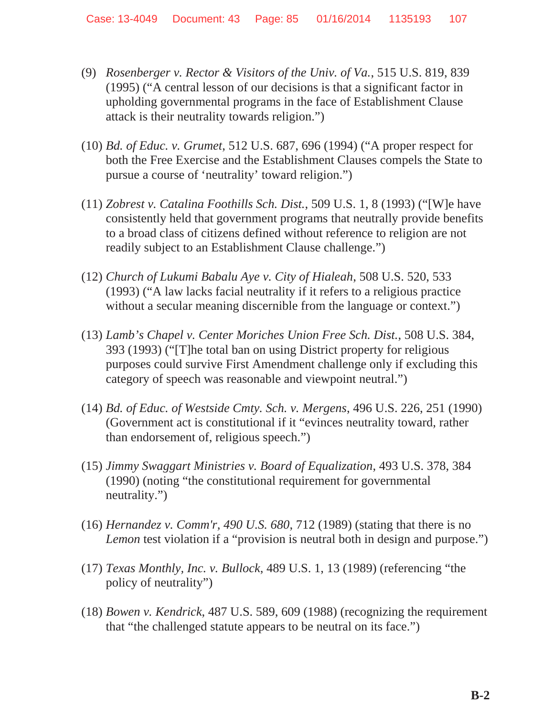- (9) *Rosenberger v. Rector & Visitors of the Univ. of Va.*, 515 U.S. 819, 839 (1995) ("A central lesson of our decisions is that a significant factor in upholding governmental programs in the face of Establishment Clause attack is their neutrality towards religion.")
- (10) *Bd. of Educ. v. Grumet*, 512 U.S. 687, 696 (1994) ("A proper respect for both the Free Exercise and the Establishment Clauses compels the State to pursue a course of 'neutrality' toward religion.")
- (11) *Zobrest v. Catalina Foothills Sch. Dist.*, 509 U.S. 1, 8 (1993) ("[W]e have consistently held that government programs that neutrally provide benefits to a broad class of citizens defined without reference to religion are not readily subject to an Establishment Clause challenge.")
- (12) *Church of Lukumi Babalu Aye v. City of Hialeah*, 508 U.S. 520, 533 (1993) ("A law lacks facial neutrality if it refers to a religious practice without a secular meaning discernible from the language or context.")
- (13) *Lamb's Chapel v. Center Moriches Union Free Sch. Dist.*, 508 U.S. 384, 393 (1993) ("[T]he total ban on using District property for religious purposes could survive First Amendment challenge only if excluding this category of speech was reasonable and viewpoint neutral.")
- (14) *Bd. of Educ. of Westside Cmty. Sch. v. Mergens*, 496 U.S. 226, 251 (1990) (Government act is constitutional if it "evinces neutrality toward, rather than endorsement of, religious speech.")
- (15) *Jimmy Swaggart Ministries v. Board of Equalization*, 493 U.S. 378, 384 (1990) (noting "the constitutional requirement for governmental neutrality.")
- (16) *Hernandez v. Comm'r, 490 U.S. 680*, 712 (1989) (stating that there is no *Lemon* test violation if a "provision is neutral both in design and purpose.")
- (17) *Texas Monthly, Inc. v. Bullock*, 489 U.S. 1, 13 (1989) (referencing "the policy of neutrality")
- (18) *Bowen v. Kendrick*, 487 U.S. 589, 609 (1988) (recognizing the requirement that "the challenged statute appears to be neutral on its face.")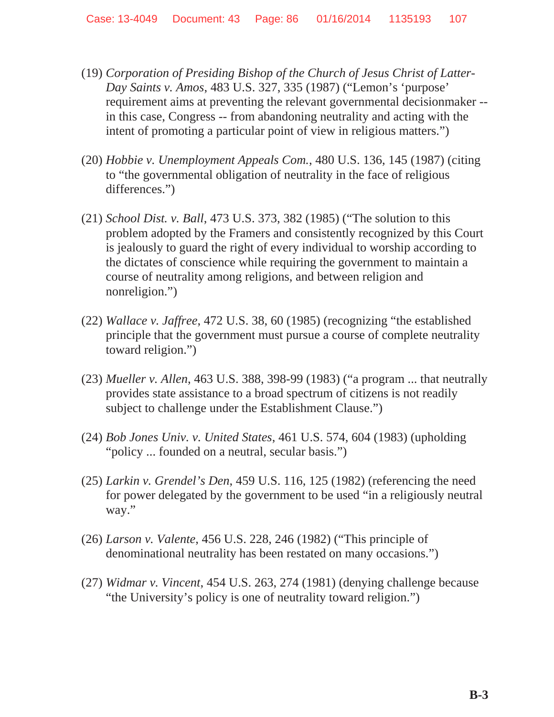- (19) *Corporation of Presiding Bishop of the Church of Jesus Christ of Latter-Day Saints v. Amos*, 483 U.S. 327, 335 (1987) ("Lemon's 'purpose' requirement aims at preventing the relevant governmental decisionmaker - in this case, Congress -- from abandoning neutrality and acting with the intent of promoting a particular point of view in religious matters.")
- (20) *Hobbie v. Unemployment Appeals Com.*, 480 U.S. 136, 145 (1987) (citing to "the governmental obligation of neutrality in the face of religious differences.")
- (21) *School Dist. v. Ball*, 473 U.S. 373, 382 (1985) ("The solution to this problem adopted by the Framers and consistently recognized by this Court is jealously to guard the right of every individual to worship according to the dictates of conscience while requiring the government to maintain a course of neutrality among religions, and between religion and nonreligion.")
- (22) *Wallace v. Jaffree*, 472 U.S. 38, 60 (1985) (recognizing "the established principle that the government must pursue a course of complete neutrality toward religion.")
- (23) *Mueller v. Allen*, 463 U.S. 388, 398-99 (1983) ("a program ... that neutrally provides state assistance to a broad spectrum of citizens is not readily subject to challenge under the Establishment Clause.")
- (24) *Bob Jones Univ. v. United States*, 461 U.S. 574, 604 (1983) (upholding "policy ... founded on a neutral, secular basis.")
- (25) *Larkin v. Grendel's Den*, 459 U.S. 116, 125 (1982) (referencing the need for power delegated by the government to be used "in a religiously neutral way."
- (26) *Larson v. Valente*, 456 U.S. 228, 246 (1982) ("This principle of denominational neutrality has been restated on many occasions.")
- (27) *Widmar v. Vincent*, 454 U.S. 263, 274 (1981) (denying challenge because "the University's policy is one of neutrality toward religion.")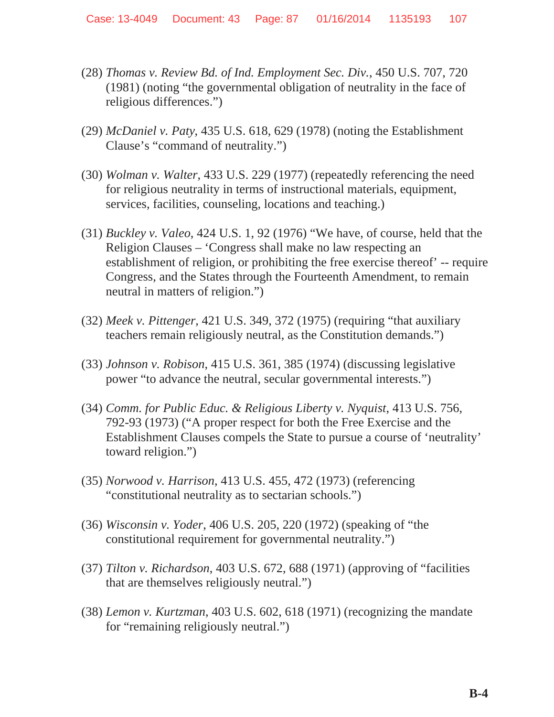- (28) *Thomas v. Review Bd. of Ind. Employment Sec. Div.*, 450 U.S. 707, 720 (1981) (noting "the governmental obligation of neutrality in the face of religious differences.")
- (29) *McDaniel v. Paty*, 435 U.S. 618, 629 (1978) (noting the Establishment Clause's "command of neutrality.")
- (30) *Wolman v. Walter*, 433 U.S. 229 (1977) (repeatedly referencing the need for religious neutrality in terms of instructional materials, equipment, services, facilities, counseling, locations and teaching.)
- (31) *Buckley v. Valeo*, 424 U.S. 1, 92 (1976) "We have, of course, held that the Religion Clauses – 'Congress shall make no law respecting an establishment of religion, or prohibiting the free exercise thereof' -- require Congress, and the States through the Fourteenth Amendment, to remain neutral in matters of religion.")
- (32) *Meek v. Pittenger*, 421 U.S. 349, 372 (1975) (requiring "that auxiliary teachers remain religiously neutral, as the Constitution demands.")
- (33) *Johnson v. Robison*, 415 U.S. 361, 385 (1974) (discussing legislative power "to advance the neutral, secular governmental interests.")
- (34) *Comm. for Public Educ. & Religious Liberty v. Nyquist*, 413 U.S. 756, 792-93 (1973) ("A proper respect for both the Free Exercise and the Establishment Clauses compels the State to pursue a course of 'neutrality' toward religion.")
- (35) *Norwood v. Harrison*, 413 U.S. 455, 472 (1973) (referencing "constitutional neutrality as to sectarian schools.")
- (36) *Wisconsin v. Yoder*, 406 U.S. 205, 220 (1972) (speaking of "the constitutional requirement for governmental neutrality.")
- (37) *Tilton v. Richardson*, 403 U.S. 672, 688 (1971) (approving of "facilities that are themselves religiously neutral.")
- (38) *Lemon v. Kurtzman*, 403 U.S. 602, 618 (1971) (recognizing the mandate for "remaining religiously neutral.")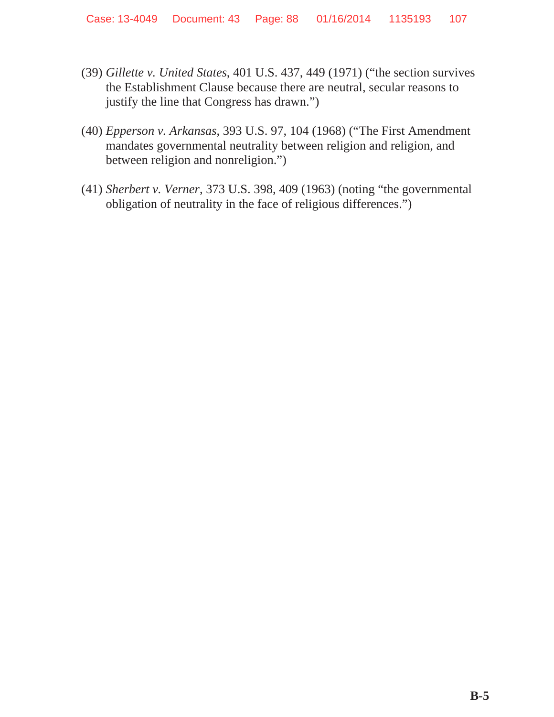- (39) *Gillette v. United States*, 401 U.S. 437, 449 (1971) ("the section survives the Establishment Clause because there are neutral, secular reasons to justify the line that Congress has drawn.")
- (40) *Epperson v. Arkansas*, 393 U.S. 97, 104 (1968) ("The First Amendment mandates governmental neutrality between religion and religion, and between religion and nonreligion.")
- (41) *Sherbert v. Verner*, 373 U.S. 398, 409 (1963) (noting "the governmental obligation of neutrality in the face of religious differences.")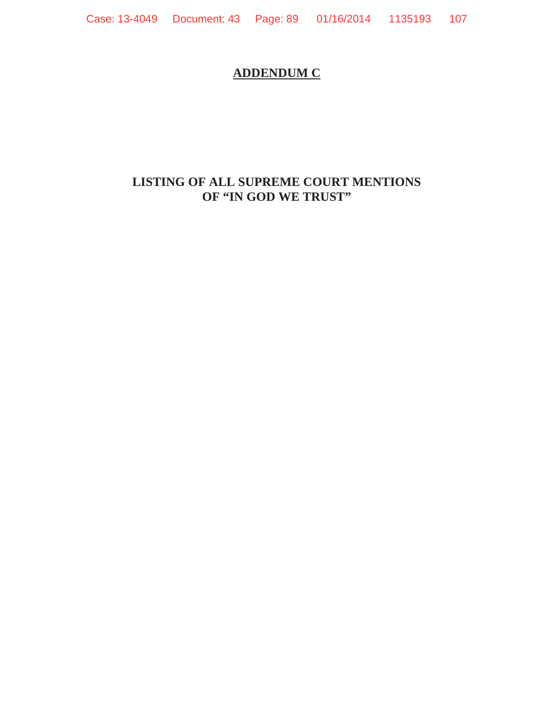# **ADDENDUM C**

## **LISTING OF ALL SUPREME COURT MENTIONS OF "IN GOD WE TRUST"**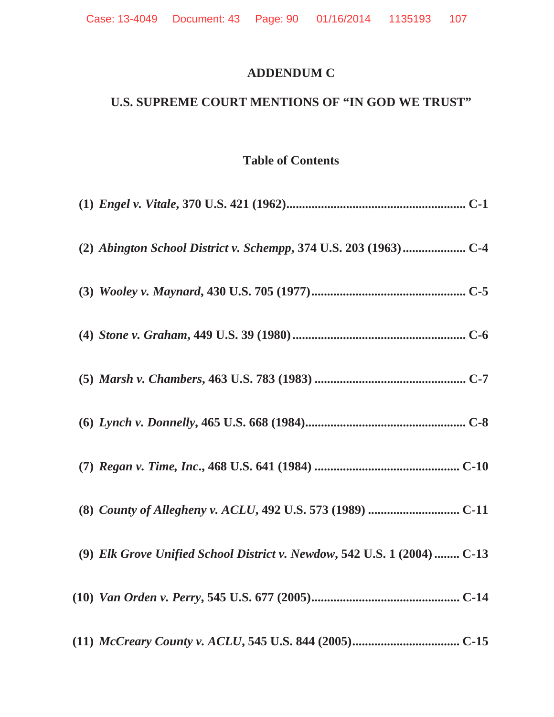### **ADDENDUM C**

## **U.S. SUPREME COURT MENTIONS OF "IN GOD WE TRUST"**

### **Table of Contents**

| (9) Elk Grove Unified School District v. Newdow, 542 U.S. 1 (2004)  C-13 |
|--------------------------------------------------------------------------|
|                                                                          |
|                                                                          |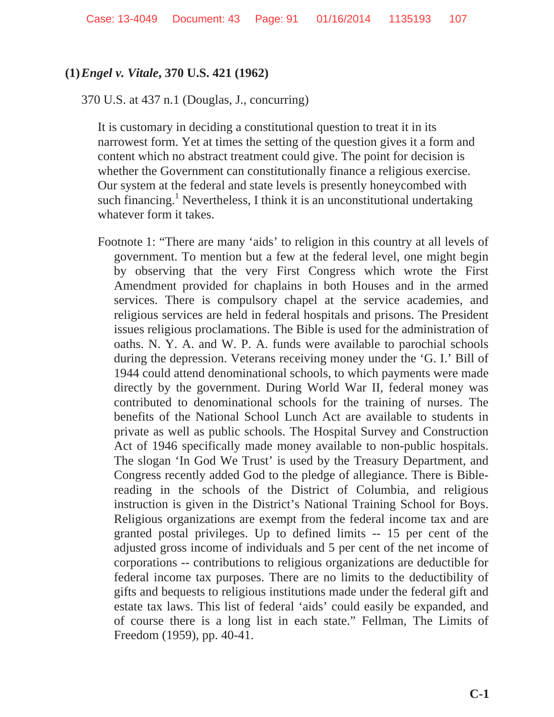#### **(1)***Engel v. Vitale***, 370 U.S. 421 (1962)**

370 U.S. at 437 n.1 (Douglas, J., concurring)

It is customary in deciding a constitutional question to treat it in its narrowest form. Yet at times the setting of the question gives it a form and content which no abstract treatment could give. The point for decision is whether the Government can constitutionally finance a religious exercise. Our system at the federal and state levels is presently honeycombed with such financing.<sup>1</sup> Nevertheless, I think it is an unconstitutional undertaking whatever form it takes.

Footnote 1: "There are many 'aids' to religion in this country at all levels of government. To mention but a few at the federal level, one might begin by observing that the very First Congress which wrote the First Amendment provided for chaplains in both Houses and in the armed services. There is compulsory chapel at the service academies, and religious services are held in federal hospitals and prisons. The President issues religious proclamations. The Bible is used for the administration of oaths. N. Y. A. and W. P. A. funds were available to parochial schools during the depression. Veterans receiving money under the 'G. I.' Bill of 1944 could attend denominational schools, to which payments were made directly by the government. During World War II, federal money was contributed to denominational schools for the training of nurses. The benefits of the National School Lunch Act are available to students in private as well as public schools. The Hospital Survey and Construction Act of 1946 specifically made money available to non-public hospitals. The slogan 'In God We Trust' is used by the Treasury Department, and Congress recently added God to the pledge of allegiance. There is Biblereading in the schools of the District of Columbia, and religious instruction is given in the District's National Training School for Boys. Religious organizations are exempt from the federal income tax and are granted postal privileges. Up to defined limits -- 15 per cent of the adjusted gross income of individuals and 5 per cent of the net income of corporations -- contributions to religious organizations are deductible for federal income tax purposes. There are no limits to the deductibility of gifts and bequests to religious institutions made under the federal gift and estate tax laws. This list of federal 'aids' could easily be expanded, and of course there is a long list in each state." Fellman, The Limits of Freedom (1959), pp. 40-41.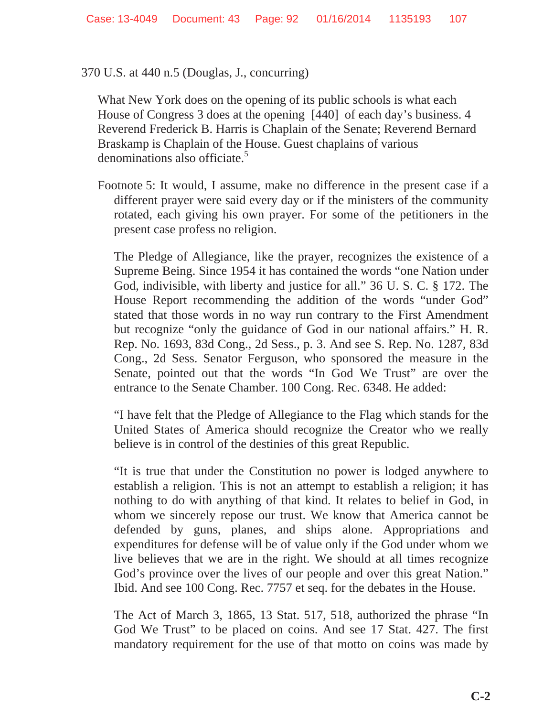### 370 U.S. at 440 n.5 (Douglas, J., concurring)

What New York does on the opening of its public schools is what each House of Congress 3 does at the opening [440] of each day's business. 4 Reverend Frederick B. Harris is Chaplain of the Senate; Reverend Bernard Braskamp is Chaplain of the House. Guest chaplains of various denominations also officiate. $5$ 

Footnote 5: It would, I assume, make no difference in the present case if a different prayer were said every day or if the ministers of the community rotated, each giving his own prayer. For some of the petitioners in the present case profess no religion.

The Pledge of Allegiance, like the prayer, recognizes the existence of a Supreme Being. Since 1954 it has contained the words "one Nation under God, indivisible, with liberty and justice for all." 36 U. S. C. § 172. The House Report recommending the addition of the words "under God" stated that those words in no way run contrary to the First Amendment but recognize "only the guidance of God in our national affairs." H. R. Rep. No. 1693, 83d Cong., 2d Sess., p. 3. And see S. Rep. No. 1287, 83d Cong., 2d Sess. Senator Ferguson, who sponsored the measure in the Senate, pointed out that the words "In God We Trust" are over the entrance to the Senate Chamber. 100 Cong. Rec. 6348. He added:

"I have felt that the Pledge of Allegiance to the Flag which stands for the United States of America should recognize the Creator who we really believe is in control of the destinies of this great Republic.

"It is true that under the Constitution no power is lodged anywhere to establish a religion. This is not an attempt to establish a religion; it has nothing to do with anything of that kind. It relates to belief in God, in whom we sincerely repose our trust. We know that America cannot be defended by guns, planes, and ships alone. Appropriations and expenditures for defense will be of value only if the God under whom we live believes that we are in the right. We should at all times recognize God's province over the lives of our people and over this great Nation." Ibid. And see 100 Cong. Rec. 7757 et seq. for the debates in the House.

The Act of March 3, 1865, 13 Stat. 517, 518, authorized the phrase "In God We Trust" to be placed on coins. And see 17 Stat. 427. The first mandatory requirement for the use of that motto on coins was made by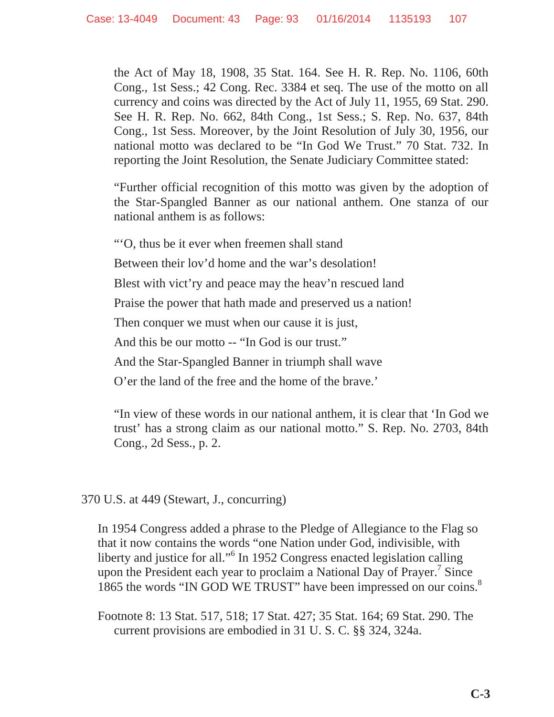the Act of May 18, 1908, 35 Stat. 164. See H. R. Rep. No. 1106, 60th Cong., 1st Sess.; 42 Cong. Rec. 3384 et seq. The use of the motto on all currency and coins was directed by the Act of July 11, 1955, 69 Stat. 290. See H. R. Rep. No. 662, 84th Cong., 1st Sess.; S. Rep. No. 637, 84th Cong., 1st Sess. Moreover, by the Joint Resolution of July 30, 1956, our national motto was declared to be "In God We Trust." 70 Stat. 732. In reporting the Joint Resolution, the Senate Judiciary Committee stated:

"Further official recognition of this motto was given by the adoption of the Star-Spangled Banner as our national anthem. One stanza of our national anthem is as follows:

"'O, thus be it ever when freemen shall stand Between their lov'd home and the war's desolation! Blest with vict'ry and peace may the heav'n rescued land Praise the power that hath made and preserved us a nation! Then conquer we must when our cause it is just, And this be our motto -- "In God is our trust." And the Star-Spangled Banner in triumph shall wave O'er the land of the free and the home of the brave.'

"In view of these words in our national anthem, it is clear that 'In God we trust' has a strong claim as our national motto." S. Rep. No. 2703, 84th Cong., 2d Sess., p. 2.

### 370 U.S. at 449 (Stewart, J., concurring)

In 1954 Congress added a phrase to the Pledge of Allegiance to the Flag so that it now contains the words "one Nation under God, indivisible, with liberty and justice for all."<sup>6</sup> In 1952 Congress enacted legislation calling upon the President each year to proclaim a National Day of Prayer.<sup>7</sup> Since 1865 the words "IN GOD WE TRUST" have been impressed on our coins.<sup>8</sup>

Footnote 8: 13 Stat. 517, 518; 17 Stat. 427; 35 Stat. 164; 69 Stat. 290. The current provisions are embodied in 31 U. S. C. §§ 324, 324a.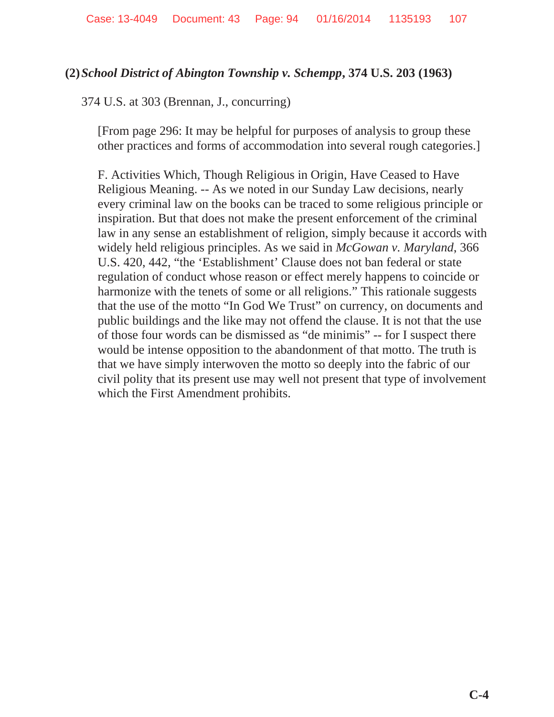### **(2)***School District of Abington Township v. Schempp***, 374 U.S. 203 (1963)**

374 U.S. at 303 (Brennan, J., concurring)

[From page 296: It may be helpful for purposes of analysis to group these other practices and forms of accommodation into several rough categories.]

F. Activities Which, Though Religious in Origin, Have Ceased to Have Religious Meaning. -- As we noted in our Sunday Law decisions, nearly every criminal law on the books can be traced to some religious principle or inspiration. But that does not make the present enforcement of the criminal law in any sense an establishment of religion, simply because it accords with widely held religious principles. As we said in *McGowan v. Maryland*, 366 U.S. 420, 442, "the 'Establishment' Clause does not ban federal or state regulation of conduct whose reason or effect merely happens to coincide or harmonize with the tenets of some or all religions." This rationale suggests that the use of the motto "In God We Trust" on currency, on documents and public buildings and the like may not offend the clause. It is not that the use of those four words can be dismissed as "de minimis" -- for I suspect there would be intense opposition to the abandonment of that motto. The truth is that we have simply interwoven the motto so deeply into the fabric of our civil polity that its present use may well not present that type of involvement which the First Amendment prohibits.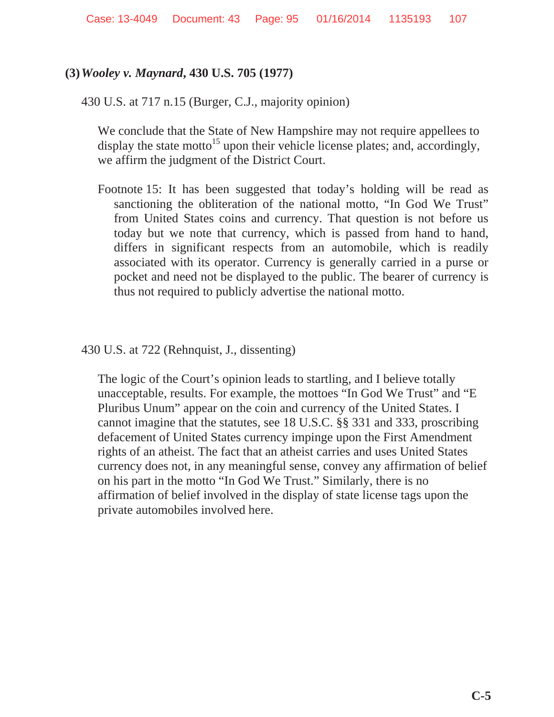### **(3)***Wooley v. Maynard***, 430 U.S. 705 (1977)**

430 U.S. at 717 n.15 (Burger, C.J., majority opinion)

We conclude that the State of New Hampshire may not require appellees to display the state motto<sup>15</sup> upon their vehicle license plates; and, accordingly, we affirm the judgment of the District Court.

Footnote 15: It has been suggested that today's holding will be read as sanctioning the obliteration of the national motto, "In God We Trust" from United States coins and currency. That question is not before us today but we note that currency, which is passed from hand to hand, differs in significant respects from an automobile, which is readily associated with its operator. Currency is generally carried in a purse or pocket and need not be displayed to the public. The bearer of currency is thus not required to publicly advertise the national motto.

#### 430 U.S. at 722 (Rehnquist, J., dissenting)

The logic of the Court's opinion leads to startling, and I believe totally unacceptable, results. For example, the mottoes "In God We Trust" and "E Pluribus Unum" appear on the coin and currency of the United States. I cannot imagine that the statutes, see 18 U.S.C. §§ 331 and 333, proscribing defacement of United States currency impinge upon the First Amendment rights of an atheist. The fact that an atheist carries and uses United States currency does not, in any meaningful sense, convey any affirmation of belief on his part in the motto "In God We Trust." Similarly, there is no affirmation of belief involved in the display of state license tags upon the private automobiles involved here.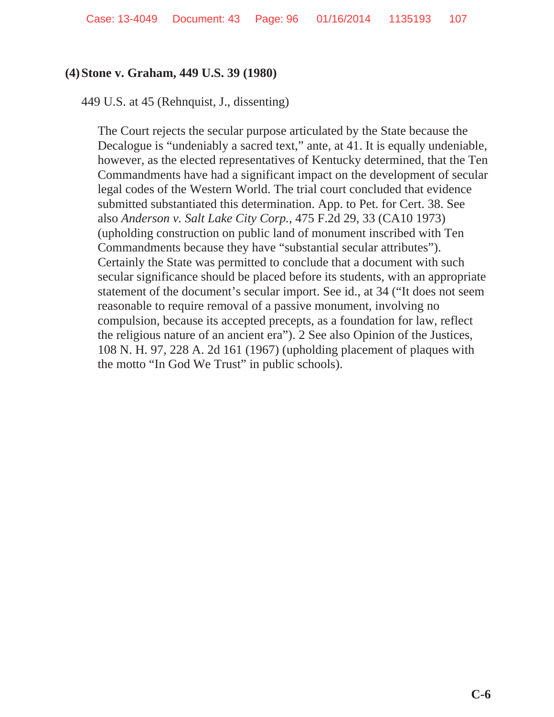### **(4)Stone v. Graham, 449 U.S. 39 (1980)**

449 U.S. at 45 (Rehnquist, J., dissenting)

The Court rejects the secular purpose articulated by the State because the Decalogue is "undeniably a sacred text," ante, at 41. It is equally undeniable, however, as the elected representatives of Kentucky determined, that the Ten Commandments have had a significant impact on the development of secular legal codes of the Western World. The trial court concluded that evidence submitted substantiated this determination. App. to Pet. for Cert. 38. See also *Anderson v. Salt Lake City Corp.*, 475 F.2d 29, 33 (CA10 1973) (upholding construction on public land of monument inscribed with Ten Commandments because they have "substantial secular attributes"). Certainly the State was permitted to conclude that a document with such secular significance should be placed before its students, with an appropriate statement of the document's secular import. See id., at 34 ("It does not seem reasonable to require removal of a passive monument, involving no compulsion, because its accepted precepts, as a foundation for law, reflect the religious nature of an ancient era"). 2 See also Opinion of the Justices, 108 N. H. 97, 228 A. 2d 161 (1967) (upholding placement of plaques with the motto "In God We Trust" in public schools).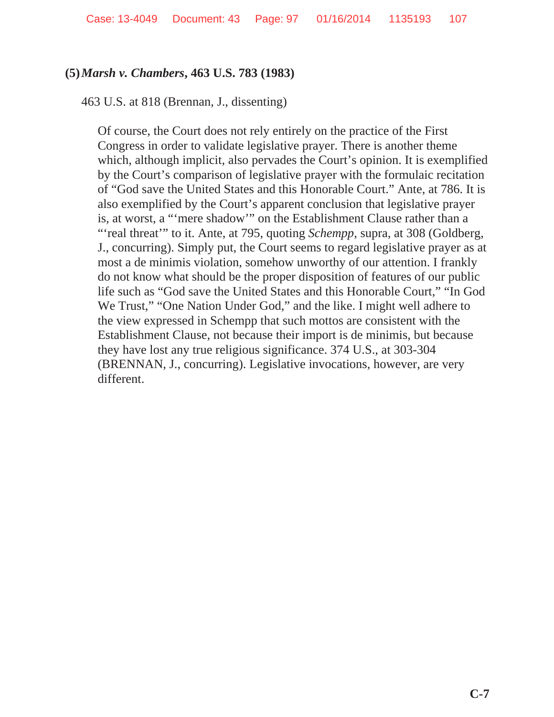### **(5)***Marsh v. Chambers***, 463 U.S. 783 (1983)**

463 U.S. at 818 (Brennan, J., dissenting)

Of course, the Court does not rely entirely on the practice of the First Congress in order to validate legislative prayer. There is another theme which, although implicit, also pervades the Court's opinion. It is exemplified by the Court's comparison of legislative prayer with the formulaic recitation of "God save the United States and this Honorable Court." Ante, at 786. It is also exemplified by the Court's apparent conclusion that legislative prayer is, at worst, a "'mere shadow'" on the Establishment Clause rather than a "'real threat'" to it. Ante, at 795, quoting *Schempp*, supra, at 308 (Goldberg, J., concurring). Simply put, the Court seems to regard legislative prayer as at most a de minimis violation, somehow unworthy of our attention. I frankly do not know what should be the proper disposition of features of our public life such as "God save the United States and this Honorable Court," "In God We Trust," "One Nation Under God," and the like. I might well adhere to the view expressed in Schempp that such mottos are consistent with the Establishment Clause, not because their import is de minimis, but because they have lost any true religious significance. 374 U.S., at 303-304 (BRENNAN, J., concurring). Legislative invocations, however, are very different.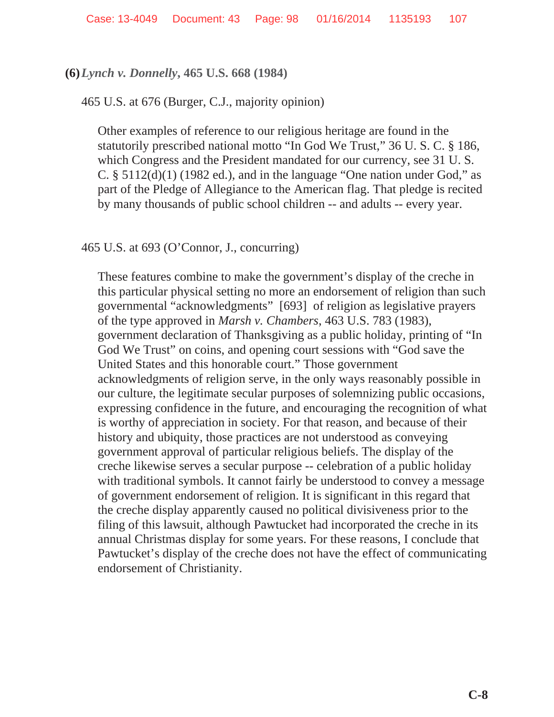### **(6)***Lynch v. Donnelly***, 465 U.S. 668 (1984)**

### 465 U.S. at 676 (Burger, C.J., majority opinion)

Other examples of reference to our religious heritage are found in the statutorily prescribed national motto "In God We Trust," 36 U. S. C. § 186, which Congress and the President mandated for our currency, see 31 U. S. C.  $\S$  5112(d)(1) (1982 ed.), and in the language "One nation under God," as part of the Pledge of Allegiance to the American flag. That pledge is recited by many thousands of public school children -- and adults -- every year.

#### 465 U.S. at 693 (O'Connor, J., concurring)

These features combine to make the government's display of the creche in this particular physical setting no more an endorsement of religion than such governmental "acknowledgments" [693] of religion as legislative prayers of the type approved in *Marsh v. Chambers*, 463 U.S. 783 (1983), government declaration of Thanksgiving as a public holiday, printing of "In God We Trust" on coins, and opening court sessions with "God save the United States and this honorable court." Those government acknowledgments of religion serve, in the only ways reasonably possible in our culture, the legitimate secular purposes of solemnizing public occasions, expressing confidence in the future, and encouraging the recognition of what is worthy of appreciation in society. For that reason, and because of their history and ubiquity, those practices are not understood as conveying government approval of particular religious beliefs. The display of the creche likewise serves a secular purpose -- celebration of a public holiday with traditional symbols. It cannot fairly be understood to convey a message of government endorsement of religion. It is significant in this regard that the creche display apparently caused no political divisiveness prior to the filing of this lawsuit, although Pawtucket had incorporated the creche in its annual Christmas display for some years. For these reasons, I conclude that Pawtucket's display of the creche does not have the effect of communicating endorsement of Christianity.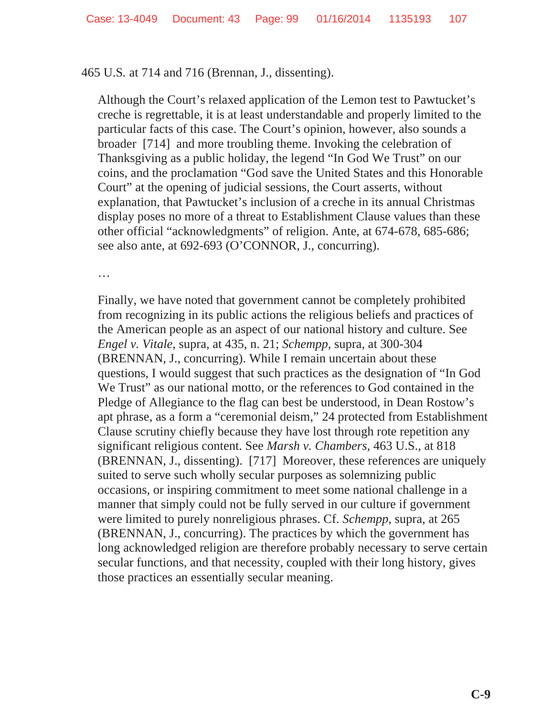#### 465 U.S*.* at 714 and 716 (Brennan, J., dissenting).

Although the Court's relaxed application of the Lemon test to Pawtucket's creche is regrettable, it is at least understandable and properly limited to the particular facts of this case. The Court's opinion, however, also sounds a broader [714] and more troubling theme. Invoking the celebration of Thanksgiving as a public holiday, the legend "In God We Trust" on our coins, and the proclamation "God save the United States and this Honorable Court" at the opening of judicial sessions, the Court asserts, without explanation, that Pawtucket's inclusion of a creche in its annual Christmas display poses no more of a threat to Establishment Clause values than these other official "acknowledgments" of religion. Ante, at 674-678, 685-686; see also ante, at 692-693 (O'CONNOR, J., concurring).

…

Finally, we have noted that government cannot be completely prohibited from recognizing in its public actions the religious beliefs and practices of the American people as an aspect of our national history and culture. See *Engel v. Vitale*, supra, at 435, n. 21; *Schempp*, supra, at 300-304 (BRENNAN, J., concurring). While I remain uncertain about these questions, I would suggest that such practices as the designation of "In God We Trust" as our national motto, or the references to God contained in the Pledge of Allegiance to the flag can best be understood, in Dean Rostow's apt phrase, as a form a "ceremonial deism," 24 protected from Establishment Clause scrutiny chiefly because they have lost through rote repetition any significant religious content. See *Marsh v. Chambers*, 463 U.S., at 818 (BRENNAN, J., dissenting). [717] Moreover, these references are uniquely suited to serve such wholly secular purposes as solemnizing public occasions, or inspiring commitment to meet some national challenge in a manner that simply could not be fully served in our culture if government were limited to purely nonreligious phrases. Cf. *Schempp*, supra, at 265 (BRENNAN, J., concurring). The practices by which the government has long acknowledged religion are therefore probably necessary to serve certain secular functions, and that necessity, coupled with their long history, gives those practices an essentially secular meaning.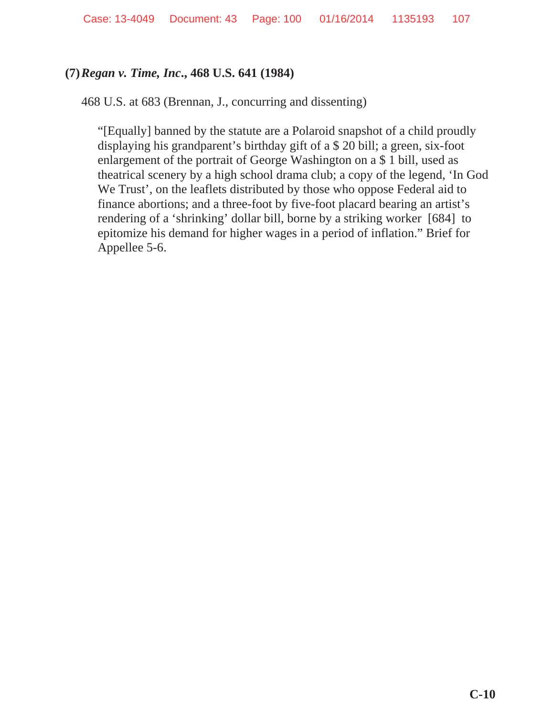## **(7)***Regan v. Time, Inc***., 468 U.S. 641 (1984)**

468 U.S. at 683 (Brennan, J., concurring and dissenting)

"[Equally] banned by the statute are a Polaroid snapshot of a child proudly displaying his grandparent's birthday gift of a \$ 20 bill; a green, six-foot enlargement of the portrait of George Washington on a \$ 1 bill, used as theatrical scenery by a high school drama club; a copy of the legend, 'In God We Trust', on the leaflets distributed by those who oppose Federal aid to finance abortions; and a three-foot by five-foot placard bearing an artist's rendering of a 'shrinking' dollar bill, borne by a striking worker [684] to epitomize his demand for higher wages in a period of inflation." Brief for Appellee 5-6.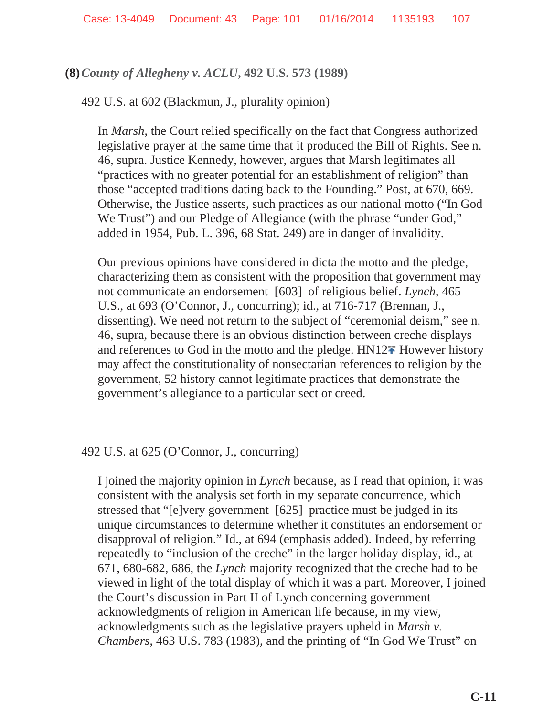### **(8)***County of Allegheny v. ACLU***, 492 U.S. 573 (1989)**

492 U.S. at 602 (Blackmun, J., plurality opinion)

In *Marsh*, the Court relied specifically on the fact that Congress authorized legislative prayer at the same time that it produced the Bill of Rights. See n. 46, supra. Justice Kennedy, however, argues that Marsh legitimates all "practices with no greater potential for an establishment of religion" than those "accepted traditions dating back to the Founding." Post, at 670, 669. Otherwise, the Justice asserts, such practices as our national motto ("In God We Trust") and our Pledge of Allegiance (with the phrase "under God," added in 1954, Pub. L. 396, 68 Stat. 249) are in danger of invalidity.

Our previous opinions have considered in dicta the motto and the pledge, characterizing them as consistent with the proposition that government may not communicate an endorsement [603] of religious belief. *Lynch*, 465 U.S., at 693 (O'Connor, J., concurring); id., at 716-717 (Brennan, J., dissenting). We need not return to the subject of "ceremonial deism," see n. 46, supra, because there is an obvious distinction between creche displays and references to God in the motto and the pledge.  $HNI2\rightarrow However$  history may affect the constitutionality of nonsectarian references to religion by the government, 52 history cannot legitimate practices that demonstrate the government's allegiance to a particular sect or creed.

### 492 U.S. at 625 (O'Connor, J., concurring)

I joined the majority opinion in *Lynch* because, as I read that opinion, it was consistent with the analysis set forth in my separate concurrence, which stressed that "[e]very government [625] practice must be judged in its unique circumstances to determine whether it constitutes an endorsement or disapproval of religion." Id., at 694 (emphasis added). Indeed, by referring repeatedly to "inclusion of the creche" in the larger holiday display, id., at 671, 680-682, 686, the *Lynch* majority recognized that the creche had to be viewed in light of the total display of which it was a part. Moreover, I joined the Court's discussion in Part II of Lynch concerning government acknowledgments of religion in American life because, in my view, acknowledgments such as the legislative prayers upheld in *Marsh v. Chambers*, 463 U.S. 783 (1983), and the printing of "In God We Trust" on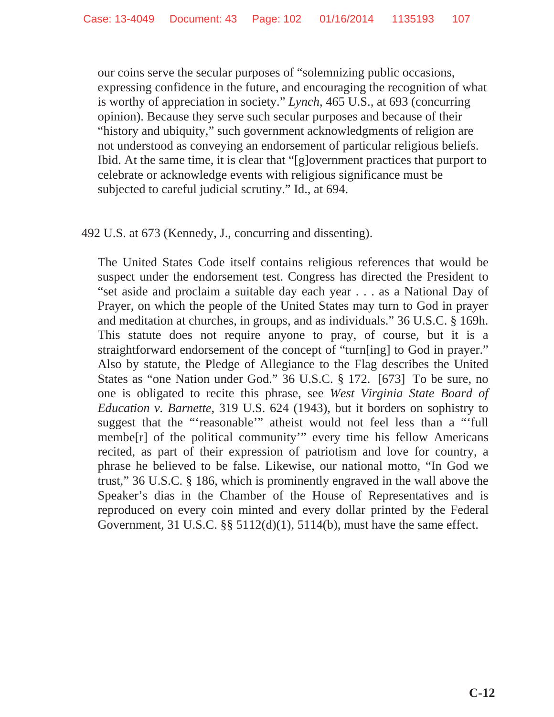our coins serve the secular purposes of "solemnizing public occasions, expressing confidence in the future, and encouraging the recognition of what is worthy of appreciation in society." *Lynch*, 465 U.S., at 693 (concurring opinion). Because they serve such secular purposes and because of their "history and ubiquity," such government acknowledgments of religion are not understood as conveying an endorsement of particular religious beliefs. Ibid. At the same time, it is clear that "[g]overnment practices that purport to celebrate or acknowledge events with religious significance must be subjected to careful judicial scrutiny." Id., at 694.

#### 492 U.S. at 673 (Kennedy, J., concurring and dissenting).

The United States Code itself contains religious references that would be suspect under the endorsement test. Congress has directed the President to "set aside and proclaim a suitable day each year . . . as a National Day of Prayer, on which the people of the United States may turn to God in prayer and meditation at churches, in groups, and as individuals." 36 U.S.C. § 169h. This statute does not require anyone to pray, of course, but it is a straightforward endorsement of the concept of "turn[ing] to God in prayer." Also by statute, the Pledge of Allegiance to the Flag describes the United States as "one Nation under God." 36 U.S.C. § 172. [673] To be sure, no one is obligated to recite this phrase, see *West Virginia State Board of Education v. Barnette*, 319 U.S. 624 (1943), but it borders on sophistry to suggest that the "'reasonable'" atheist would not feel less than a "'full membe[r] of the political community'" every time his fellow Americans recited, as part of their expression of patriotism and love for country, a phrase he believed to be false. Likewise, our national motto, "In God we trust," 36 U.S.C. § 186, which is prominently engraved in the wall above the Speaker's dias in the Chamber of the House of Representatives and is reproduced on every coin minted and every dollar printed by the Federal Government, 31 U.S.C. §§ 5112(d)(1), 5114(b), must have the same effect.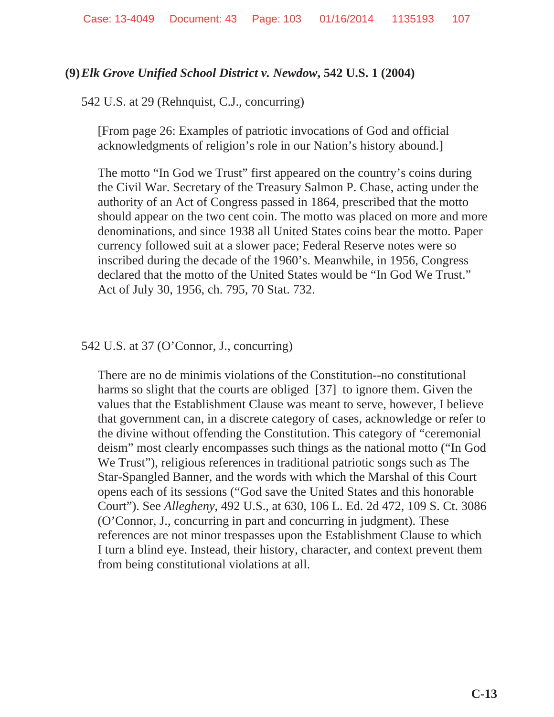### **(9)***Elk Grove Unified School District v. Newdow***, 542 U.S. 1 (2004)**

542 U.S. at 29 (Rehnquist, C.J., concurring)

[From page 26: Examples of patriotic invocations of God and official acknowledgments of religion's role in our Nation's history abound.]

The motto "In God we Trust" first appeared on the country's coins during the Civil War. Secretary of the Treasury Salmon P. Chase, acting under the authority of an Act of Congress passed in 1864, prescribed that the motto should appear on the two cent coin. The motto was placed on more and more denominations, and since 1938 all United States coins bear the motto. Paper currency followed suit at a slower pace; Federal Reserve notes were so inscribed during the decade of the 1960's. Meanwhile, in 1956, Congress declared that the motto of the United States would be "In God We Trust." Act of July 30, 1956, ch. 795, 70 Stat. 732.

#### 542 U.S. at 37 (O'Connor, J., concurring)

There are no de minimis violations of the Constitution--no constitutional harms so slight that the courts are obliged [37] to ignore them. Given the values that the Establishment Clause was meant to serve, however, I believe that government can, in a discrete category of cases, acknowledge or refer to the divine without offending the Constitution. This category of "ceremonial deism" most clearly encompasses such things as the national motto ("In God We Trust"), religious references in traditional patriotic songs such as The Star-Spangled Banner, and the words with which the Marshal of this Court opens each of its sessions ("God save the United States and this honorable Court"). See *Allegheny*, 492 U.S., at 630, 106 L. Ed. 2d 472, 109 S. Ct. 3086 (O'Connor, J., concurring in part and concurring in judgment). These references are not minor trespasses upon the Establishment Clause to which I turn a blind eye. Instead, their history, character, and context prevent them from being constitutional violations at all.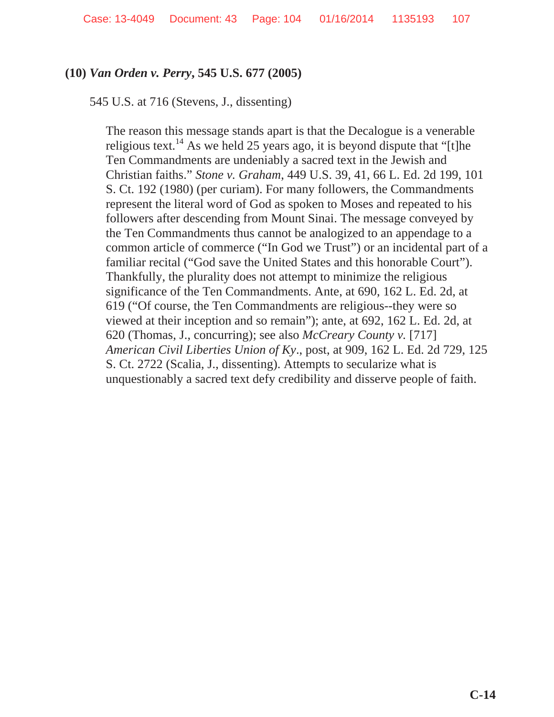### **(10)** *Van Orden v. Perry***, 545 U.S. 677 (2005)**

545 U.S. at 716 (Stevens, J., dissenting)

The reason this message stands apart is that the Decalogue is a venerable religious text.<sup>14</sup> As we held 25 years ago, it is beyond dispute that "[t]he Ten Commandments are undeniably a sacred text in the Jewish and Christian faiths." *Stone v. Graham*, 449 U.S. 39, 41, 66 L. Ed. 2d 199, 101 S. Ct. 192 (1980) (per curiam). For many followers, the Commandments represent the literal word of God as spoken to Moses and repeated to his followers after descending from Mount Sinai. The message conveyed by the Ten Commandments thus cannot be analogized to an appendage to a common article of commerce ("In God we Trust") or an incidental part of a familiar recital ("God save the United States and this honorable Court"). Thankfully, the plurality does not attempt to minimize the religious significance of the Ten Commandments. Ante, at 690, 162 L. Ed. 2d, at 619 ("Of course, the Ten Commandments are religious--they were so viewed at their inception and so remain"); ante, at 692, 162 L. Ed. 2d, at 620 (Thomas, J., concurring); see also *McCreary County v.* [717] *American Civil Liberties Union of Ky*., post, at 909, 162 L. Ed. 2d 729, 125 S. Ct. 2722 (Scalia, J., dissenting). Attempts to secularize what is unquestionably a sacred text defy credibility and disserve people of faith.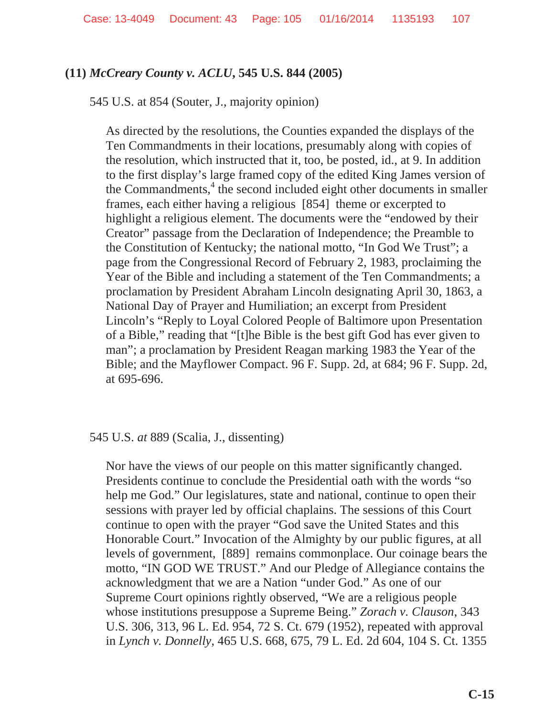### **(11)** *McCreary County v. ACLU***, 545 U.S. 844 (2005)**

545 U.S. at 854 (Souter, J., majority opinion)

As directed by the resolutions, the Counties expanded the displays of the Ten Commandments in their locations, presumably along with copies of the resolution, which instructed that it, too, be posted, id., at 9. In addition to the first display's large framed copy of the edited King James version of the Commandments,<sup>4</sup> the second included eight other documents in smaller frames, each either having a religious [854] theme or excerpted to highlight a religious element. The documents were the "endowed by their Creator" passage from the Declaration of Independence; the Preamble to the Constitution of Kentucky; the national motto, "In God We Trust"; a page from the Congressional Record of February 2, 1983, proclaiming the Year of the Bible and including a statement of the Ten Commandments; a proclamation by President Abraham Lincoln designating April 30, 1863, a National Day of Prayer and Humiliation; an excerpt from President Lincoln's "Reply to Loyal Colored People of Baltimore upon Presentation of a Bible," reading that "[t]he Bible is the best gift God has ever given to man"; a proclamation by President Reagan marking 1983 the Year of the Bible; and the Mayflower Compact. 96 F. Supp. 2d, at 684; 96 F. Supp. 2d, at 695-696.

### 545 U.S. *at* 889 (Scalia, J., dissenting)

Nor have the views of our people on this matter significantly changed. Presidents continue to conclude the Presidential oath with the words "so help me God." Our legislatures, state and national, continue to open their sessions with prayer led by official chaplains. The sessions of this Court continue to open with the prayer "God save the United States and this Honorable Court." Invocation of the Almighty by our public figures, at all levels of government, [889] remains commonplace. Our coinage bears the motto, "IN GOD WE TRUST." And our Pledge of Allegiance contains the acknowledgment that we are a Nation "under God." As one of our Supreme Court opinions rightly observed, "We are a religious people whose institutions presuppose a Supreme Being." *Zorach v. Clauson*, 343 U.S. 306, 313, 96 L. Ed. 954, 72 S. Ct. 679 (1952), repeated with approval in *Lynch v. Donnelly*, 465 U.S. 668, 675, 79 L. Ed. 2d 604, 104 S. Ct. 1355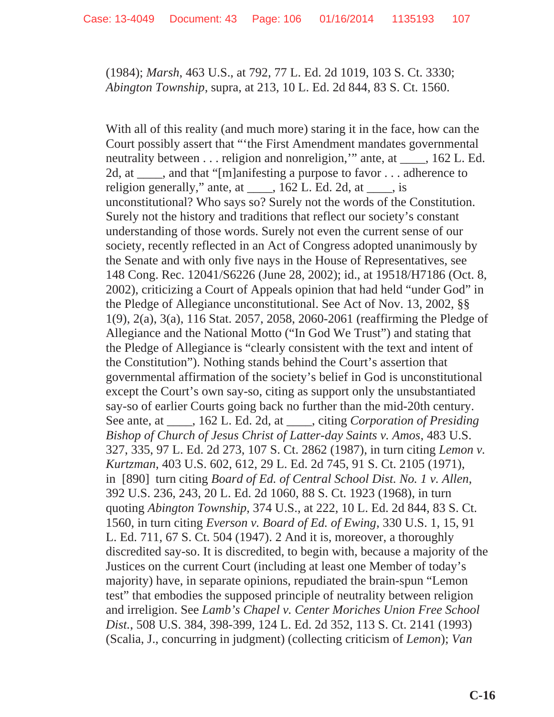(1984); *Marsh*, 463 U.S., at 792, 77 L. Ed. 2d 1019, 103 S. Ct. 3330; *Abington Township*, supra, at 213, 10 L. Ed. 2d 844, 83 S. Ct. 1560.

With all of this reality (and much more) staring it in the face, how can the Court possibly assert that "'the First Amendment mandates governmental neutrality between . . . religion and nonreligion," ante, at \_\_\_\_, 162 L. Ed. 2d, at \_\_\_\_, and that "[m]anifesting a purpose to favor . . . adherence to religion generally," ante, at  $\_\_\_\_$ , 162 L. Ed. 2d, at  $\_\_\_\_\$ , is unconstitutional? Who says so? Surely not the words of the Constitution. Surely not the history and traditions that reflect our society's constant understanding of those words. Surely not even the current sense of our society, recently reflected in an Act of Congress adopted unanimously by the Senate and with only five nays in the House of Representatives, see 148 Cong. Rec. 12041/S6226 (June 28, 2002); id., at 19518/H7186 (Oct. 8, 2002), criticizing a Court of Appeals opinion that had held "under God" in the Pledge of Allegiance unconstitutional. See Act of Nov. 13, 2002, §§ 1(9), 2(a), 3(a), 116 Stat. 2057, 2058, 2060-2061 (reaffirming the Pledge of Allegiance and the National Motto ("In God We Trust") and stating that the Pledge of Allegiance is "clearly consistent with the text and intent of the Constitution"). Nothing stands behind the Court's assertion that governmental affirmation of the society's belief in God is unconstitutional except the Court's own say-so, citing as support only the unsubstantiated say-so of earlier Courts going back no further than the mid-20th century. See ante, at \_\_\_\_, 162 L. Ed. 2d, at \_\_\_\_, citing *Corporation of Presiding Bishop of Church of Jesus Christ of Latter-day Saints v. Amos*, 483 U.S. 327, 335, 97 L. Ed. 2d 273, 107 S. Ct. 2862 (1987), in turn citing *Lemon v. Kurtzman*, 403 U.S. 602, 612, 29 L. Ed. 2d 745, 91 S. Ct. 2105 (1971), in [890] turn citing *Board of Ed. of Central School Dist. No. 1 v. Allen*, 392 U.S. 236, 243, 20 L. Ed. 2d 1060, 88 S. Ct. 1923 (1968), in turn quoting *Abington Township*, 374 U.S., at 222, 10 L. Ed. 2d 844, 83 S. Ct. 1560, in turn citing *Everson v. Board of Ed. of Ewing*, 330 U.S. 1, 15, 91 L. Ed. 711, 67 S. Ct. 504 (1947). 2 And it is, moreover, a thoroughly discredited say-so. It is discredited, to begin with, because a majority of the Justices on the current Court (including at least one Member of today's majority) have, in separate opinions, repudiated the brain-spun "Lemon test" that embodies the supposed principle of neutrality between religion and irreligion. See *Lamb's Chapel v. Center Moriches Union Free School Dist.*, 508 U.S. 384, 398-399, 124 L. Ed. 2d 352, 113 S. Ct. 2141 (1993) (Scalia, J., concurring in judgment) (collecting criticism of *Lemon*); *Van*